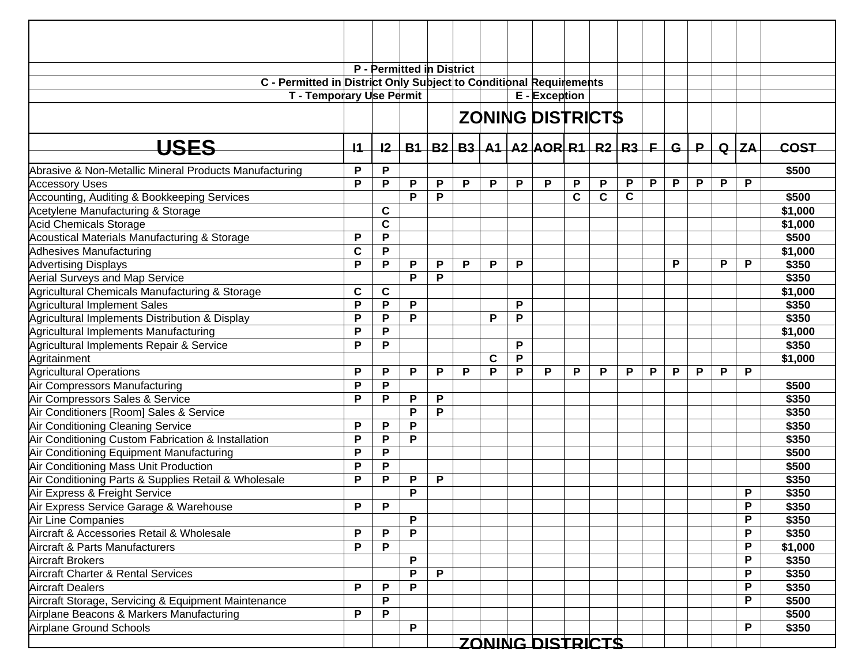|                                                                    |      |             | P - Permitted in District |   |   |             |   |                                                   |             |             |             |   |              |             |   |          |         |
|--------------------------------------------------------------------|------|-------------|---------------------------|---|---|-------------|---|---------------------------------------------------|-------------|-------------|-------------|---|--------------|-------------|---|----------|---------|
| C - Permitted in District Only Subject to Conditional Requirements |      |             |                           |   |   |             |   |                                                   |             |             |             |   |              |             |   |          |         |
| T - Temporary Use Permit                                           |      |             |                           |   |   |             |   | $E -$ Exception                                   |             |             |             |   |              |             |   |          |         |
|                                                                    |      |             |                           |   |   |             |   |                                                   |             |             |             |   |              |             |   |          |         |
|                                                                    |      |             |                           |   |   |             |   | <b>ZONING DISTRICTS</b>                           |             |             |             |   |              |             |   |          |         |
| <b>USES</b>                                                        | $+1$ | $12-$       |                           |   |   |             |   | $B1   B2   B3   A1   A2   AOR   R1   R2   R3   F$ |             |             |             |   | $\mathbf{G}$ | $\mathsf P$ |   | $Q$ $ZA$ | COST    |
| Abrasive & Non-Metallic Mineral Products Manufacturing             | P    | P           |                           |   |   |             |   |                                                   |             |             |             |   |              |             |   |          | \$500   |
| <b>Accessory Uses</b>                                              | P    | P           | P                         | Ρ | P | P           | P | P                                                 | P           | P           | P           | P | P            | P           | P | P        |         |
| Accounting, Auditing & Bookkeeping Services                        |      |             | P                         | P |   |             |   |                                                   | $\mathbf c$ | $\mathbf C$ | $\mathbf c$ |   |              |             |   |          | \$500   |
| Acetylene Manufacturing & Storage                                  |      | $\mathbf c$ |                           |   |   |             |   |                                                   |             |             |             |   |              |             |   |          | \$1,000 |
| Acid Chemicals Storage                                             |      | $\mathbf c$ |                           |   |   |             |   |                                                   |             |             |             |   |              |             |   |          | \$1,000 |
| Acoustical Materials Manufacturing & Storage                       | P    | P           |                           |   |   |             |   |                                                   |             |             |             |   |              |             |   |          | \$500   |
| Adhesives Manufacturing                                            | C    | P           |                           |   |   |             |   |                                                   |             |             |             |   |              |             |   |          | \$1,000 |
| <b>Advertising Displays</b>                                        | P    | P           | P                         | P | P | P           | P |                                                   |             |             |             |   | P            |             | P | P        | \$350   |
| <b>Aerial Surveys and Map Service</b>                              |      |             | P                         | P |   |             |   |                                                   |             |             |             |   |              |             |   |          | \$350   |
| Agricultural Chemicals Manufacturing & Storage                     | C    | C           |                           |   |   |             |   |                                                   |             |             |             |   |              |             |   |          | \$1,000 |
| Agricultural Implement Sales                                       | P    | P           | P                         |   |   |             | P |                                                   |             |             |             |   |              |             |   |          | \$350   |
| Agricultural Implements Distribution & Display                     | P    | P           | P                         |   |   | P           | P |                                                   |             |             |             |   |              |             |   |          | \$350   |
| Agricultural Implements Manufacturing                              | P    | P           |                           |   |   |             |   |                                                   |             |             |             |   |              |             |   |          | \$1,000 |
| Agricultural Implements Repair & Service                           | P    | P           |                           |   |   |             | P |                                                   |             |             |             |   |              |             |   |          | \$350   |
| Agritainment                                                       |      |             |                           |   |   | $\mathbf c$ | P |                                                   |             |             |             |   |              |             |   |          | \$1,000 |
| <b>Agricultural Operations</b>                                     | P    | P           | P                         | P | P | P           | P | P                                                 | P           | P           | P           | P | P            | P           | P | P        |         |
| Air Compressors Manufacturing                                      | P    | P           |                           |   |   |             |   |                                                   |             |             |             |   |              |             |   |          | \$500   |
| Air Compressors Sales & Service                                    | P    | P           | P                         | P |   |             |   |                                                   |             |             |             |   |              |             |   |          | \$350   |
| Air Conditioners [Room] Sales & Service                            |      |             | P                         | P |   |             |   |                                                   |             |             |             |   |              |             |   |          | \$350   |
| Air Conditioning Cleaning Service                                  | P    | P           | P                         |   |   |             |   |                                                   |             |             |             |   |              |             |   |          | \$350   |
| Air Conditioning Custom Fabrication & Installation                 | P    | P           | P                         |   |   |             |   |                                                   |             |             |             |   |              |             |   |          | \$350   |
| Air Conditioning Equipment Manufacturing                           | P    | P           |                           |   |   |             |   |                                                   |             |             |             |   |              |             |   |          | \$500   |
| Air Conditioning Mass Unit Production                              | P    | P           |                           |   |   |             |   |                                                   |             |             |             |   |              |             |   |          | \$500   |
| Air Conditioning Parts & Supplies Retail & Wholesale               | P    | P           | P                         | Ρ |   |             |   |                                                   |             |             |             |   |              |             |   |          | \$350   |
| Air Express & Freight Service                                      |      |             | P                         |   |   |             |   |                                                   |             |             |             |   |              |             |   | P        | \$350   |
| Air Express Service Garage & Warehouse                             | P    | P           |                           |   |   |             |   |                                                   |             |             |             |   |              |             |   | P        | \$350   |
| Air Line Companies                                                 |      |             | P                         |   |   |             |   |                                                   |             |             |             |   |              |             |   | P        | \$350   |
| Aircraft & Accessories Retail & Wholesale                          | P    | P           | P                         |   |   |             |   |                                                   |             |             |             |   |              |             |   | P        | \$350   |
| Aircraft & Parts Manufacturers                                     | P    | P           |                           |   |   |             |   |                                                   |             |             |             |   |              |             |   | P        | \$1,000 |
| <b>Aircraft Brokers</b>                                            |      |             | P                         |   |   |             |   |                                                   |             |             |             |   |              |             |   | P        | \$350   |
| Aircraft Charter & Rental Services                                 |      |             | P                         | P |   |             |   |                                                   |             |             |             |   |              |             |   | P        | \$350   |
| <b>Aircraft Dealers</b>                                            | P    | P           | P                         |   |   |             |   |                                                   |             |             |             |   |              |             |   | P        | \$350   |
| Aircraft Storage, Servicing & Equipment Maintenance                |      | P           |                           |   |   |             |   |                                                   |             |             |             |   |              |             |   | P        | \$500   |
| Airplane Beacons & Markers Manufacturing                           | P    | P           |                           |   |   |             |   |                                                   |             |             |             |   |              |             |   |          | \$500   |
| Airplane Ground Schools                                            |      |             | P                         |   |   |             |   |                                                   |             |             |             |   |              |             |   | P        | \$350   |
|                                                                    |      |             |                           |   |   |             |   | ZONING DISTRICTS                                  |             |             |             |   |              |             |   |          |         |
|                                                                    |      |             |                           |   |   |             |   |                                                   |             |             |             |   |              |             |   |          |         |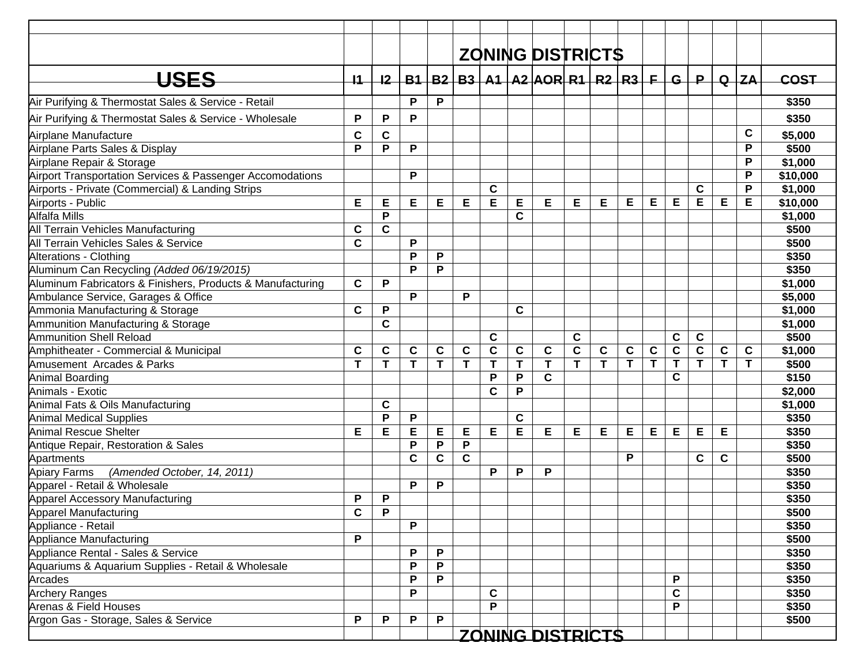|                                                            |                 |             |   |              |             |              |             | <b>ZONING DISTRICTS</b>                           |             |              |              |             |                |                |             |             |             |
|------------------------------------------------------------|-----------------|-------------|---|--------------|-------------|--------------|-------------|---------------------------------------------------|-------------|--------------|--------------|-------------|----------------|----------------|-------------|-------------|-------------|
|                                                            |                 |             |   |              |             |              |             |                                                   |             |              |              |             |                |                |             |             |             |
| <b>USES</b>                                                | $\overline{11}$ | 12          |   |              |             |              |             | $B1   B2   B3   A1   A2   AOR   R1   R2   R3   F$ |             |              |              |             |                | G P            |             | $Q$ $ZA$    | <b>COST</b> |
| Air Purifying & Thermostat Sales & Service - Retail        |                 |             | P | P            |             |              |             |                                                   |             |              |              |             |                |                |             |             | \$350       |
| Air Purifying & Thermostat Sales & Service - Wholesale     | P               | P           | P |              |             |              |             |                                                   |             |              |              |             |                |                |             |             | \$350       |
| Airplane Manufacture                                       | C               | $\mathbf C$ |   |              |             |              |             |                                                   |             |              |              |             |                |                |             | $\mathbf c$ | \$5,000     |
| Airplane Parts Sales & Display                             | P               | P           | P |              |             |              |             |                                                   |             |              |              |             |                |                |             | P           | \$500       |
| Airplane Repair & Storage                                  |                 |             |   |              |             |              |             |                                                   |             |              |              |             |                |                |             | P           | \$1,000     |
| Airport Transportation Services & Passenger Accomodations  |                 |             | P |              |             |              |             |                                                   |             |              |              |             |                |                |             | P           | \$10,000    |
| Airports - Private (Commercial) & Landing Strips           |                 |             |   |              |             | $\mathbf c$  |             |                                                   |             |              |              |             |                | $\mathbf c$    |             | P           | \$1,000     |
| Airports - Public                                          | Е               | Е           | Е | Е            | Е           | E            | E           | E                                                 | Е           | Е            | Е            | Е           | Е              | Е              | Е           | Е           | \$10,000    |
| Alfalfa Mills                                              |                 | P           |   |              |             |              | C           |                                                   |             |              |              |             |                |                |             |             | \$1,000     |
| All Terrain Vehicles Manufacturing                         | C               | $\mathbf c$ |   |              |             |              |             |                                                   |             |              |              |             |                |                |             |             | \$500       |
| All Terrain Vehicles Sales & Service                       | $\mathbf c$     |             | P |              |             |              |             |                                                   |             |              |              |             |                |                |             |             | \$500       |
| Alterations - Clothing                                     |                 |             | P | P            |             |              |             |                                                   |             |              |              |             |                |                |             |             | \$350       |
| Aluminum Can Recycling (Added 06/19/2015)                  |                 |             | P | P            |             |              |             |                                                   |             |              |              |             |                |                |             |             | \$350       |
| Aluminum Fabricators & Finishers, Products & Manufacturing | $\mathbf c$     | P           |   |              |             |              |             |                                                   |             |              |              |             |                |                |             |             | \$1,000     |
| Ambulance Service, Garages & Office                        |                 |             | P |              | P           |              |             |                                                   |             |              |              |             |                |                |             |             | \$5,000     |
| Ammonia Manufacturing & Storage                            | C               | P           |   |              |             |              | C           |                                                   |             |              |              |             |                |                |             |             | \$1,000     |
| Ammunition Manufacturing & Storage                         |                 | $\mathbf C$ |   |              |             |              |             |                                                   |             |              |              |             |                |                |             |             | \$1,000     |
| Ammunition Shell Reload                                    |                 |             |   |              |             | $\mathbf c$  |             |                                                   | $\mathbf c$ |              |              |             | $\mathbf c$    | C              |             |             | \$500       |
| Amphitheater - Commercial & Municipal                      | $\mathbf c$     | $\mathbf c$ | C | $\mathbf c$  | $\mathbf c$ | $\mathbf C$  | C           | $\mathbf c$                                       | $\mathbf C$ | $\mathbf c$  | $\mathbf c$  | $\mathbf c$ | $\overline{c}$ | $\overline{c}$ | $\mathbf c$ | C           | \$1,000     |
| Amusement Arcades & Parks                                  | T               | T           | T | T            | T           | $\mathbf{T}$ | T           | T                                                 | T           | $\mathbf{T}$ | $\mathbf{T}$ | T           | T              | T              | T           | T           | \$500       |
| Animal Boarding                                            |                 |             |   |              |             | P            | P           | $\mathbf{C}$                                      |             |              |              |             | C              |                |             |             | \$150       |
| Animals - Exotic                                           |                 |             |   |              |             | $\mathbf C$  | P           |                                                   |             |              |              |             |                |                |             |             | \$2,000     |
| Animal Fats & Oils Manufacturing                           |                 | $\mathbf c$ |   |              |             |              |             |                                                   |             |              |              |             |                |                |             |             | \$1,000     |
| <b>Animal Medical Supplies</b>                             |                 | P           | P |              |             |              | $\mathbf c$ |                                                   |             |              |              |             |                |                |             |             | \$350       |
| <b>Animal Rescue Shelter</b>                               | Е               | E           | E | E            | E           | E            | E           | E                                                 | E           | E            | E            | E           | Е              | Е              | Е           |             | \$350       |
| Antique Repair, Restoration & Sales                        |                 |             | P | P            | P           |              |             |                                                   |             |              |              |             |                |                |             |             | \$350       |
| Apartments                                                 |                 |             | C | $\mathbf C$  | $\mathbf c$ |              |             |                                                   |             |              | P            |             |                | $\mathbf c$    | C           |             | \$500       |
| <b>Apiary Farms</b><br>(Amended October, 14, 2011)         |                 |             |   |              |             | P            | P           | P                                                 |             |              |              |             |                |                |             |             | \$350       |
| Apparel - Retail & Wholesale                               |                 |             | P | P            |             |              |             |                                                   |             |              |              |             |                |                |             |             | \$350       |
| Apparel Accessory Manufacturing                            | P               | P           |   |              |             |              |             |                                                   |             |              |              |             |                |                |             |             | \$350       |
| Apparel Manufacturing                                      | C               | P           |   |              |             |              |             |                                                   |             |              |              |             |                |                |             |             | \$500       |
| Appliance - Retail                                         |                 |             | P |              |             |              |             |                                                   |             |              |              |             |                |                |             |             | \$350       |
| Appliance Manufacturing                                    | P               |             |   |              |             |              |             |                                                   |             |              |              |             |                |                |             |             | \$500       |
| Appliance Rental - Sales & Service                         |                 |             | P | P            |             |              |             |                                                   |             |              |              |             |                |                |             |             | \$350       |
| Aquariums & Aquarium Supplies - Retail & Wholesale         |                 |             | P | $\mathsf{P}$ |             |              |             |                                                   |             |              |              |             |                |                |             |             | \$350       |
| Arcades                                                    |                 |             | P | P            |             |              |             |                                                   |             |              |              |             | P              |                |             |             | \$350       |
| <b>Archery Ranges</b>                                      |                 |             | P |              |             | C            |             |                                                   |             |              |              |             | $\mathbf c$    |                |             |             | \$350       |
| Arenas & Field Houses                                      |                 |             |   |              |             | P            |             |                                                   |             |              |              |             | P              |                |             |             | \$350       |
| Argon Gas - Storage, Sales & Service                       | P               | P           | P | P            |             |              |             |                                                   |             |              |              |             |                |                |             |             | \$500       |
|                                                            |                 |             |   |              |             |              |             | ZONING DISTRICTS                                  |             |              |              |             |                |                |             |             |             |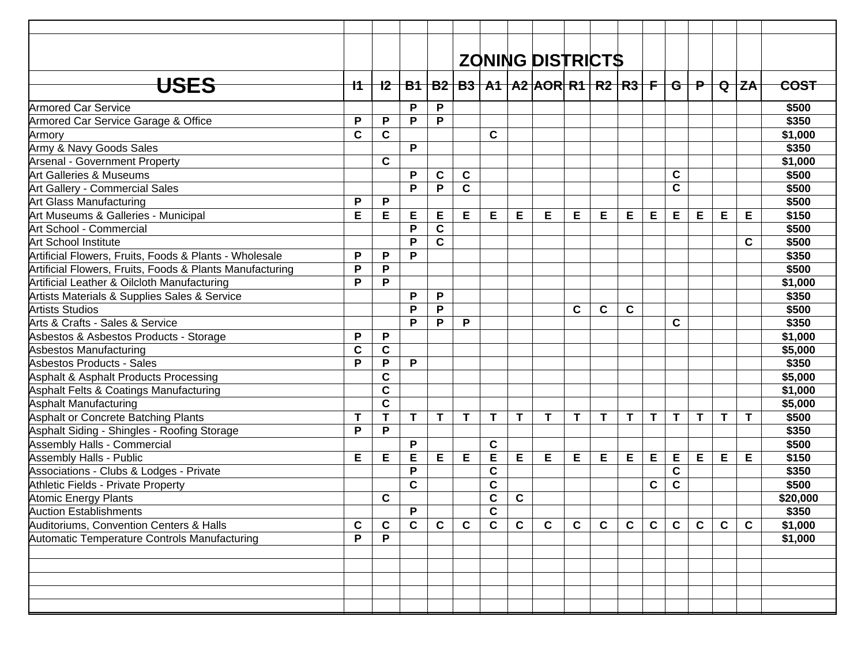|                                                          |             |             |              |              |             |             |             | <b>ZONING DISTRICTS</b>                                                  |              |             |             |              |              |             |             |              |             |
|----------------------------------------------------------|-------------|-------------|--------------|--------------|-------------|-------------|-------------|--------------------------------------------------------------------------|--------------|-------------|-------------|--------------|--------------|-------------|-------------|--------------|-------------|
| <b>USES</b>                                              | 11          | $+2$        |              |              |             |             |             | <u>B1   B2   B3   A1   A2  AOR  R1   R2   R3   F   G   P   Q   ZA   </u> |              |             |             |              |              |             |             |              | <b>COST</b> |
| <b>Armored Car Service</b>                               |             |             | P            | P            |             |             |             |                                                                          |              |             |             |              |              |             |             |              | \$500       |
| Armored Car Service Garage & Office                      | P           | P           | P            | P            |             |             |             |                                                                          |              |             |             |              |              |             |             |              | \$350       |
| Armory                                                   | $\mathbf c$ | $\mathbf C$ |              |              |             | C           |             |                                                                          |              |             |             |              |              |             |             |              | \$1,000     |
| Army & Navy Goods Sales                                  |             |             | P            |              |             |             |             |                                                                          |              |             |             |              |              |             |             |              | \$350       |
| <b>Arsenal - Government Property</b>                     |             | $\mathbf C$ |              |              |             |             |             |                                                                          |              |             |             |              |              |             |             |              | \$1,000     |
| Art Galleries & Museums                                  |             |             | P            | C            | C           |             |             |                                                                          |              |             |             |              | C            |             |             |              | \$500       |
| Art Gallery - Commercial Sales                           |             |             | P            | P            | $\mathbf c$ |             |             |                                                                          |              |             |             |              | C            |             |             |              | \$500       |
| <b>Art Glass Manufacturing</b>                           | P           | P           |              |              |             |             |             |                                                                          |              |             |             |              |              |             |             |              | \$500       |
| Art Museums & Galleries - Municipal                      | Е           | E           | E            | Е            | Е           | Е           | Е           | Е                                                                        | Е            | E           | Е           | Е            | E            | Е           | E           | Е            | \$150       |
| Art School - Commercial                                  |             |             | P            | $\mathbf C$  |             |             |             |                                                                          |              |             |             |              |              |             |             |              | \$500       |
| <b>Art School Institute</b>                              |             |             | P            | $\mathbf C$  |             |             |             |                                                                          |              |             |             |              |              |             |             | C            | \$500       |
| Artificial Flowers, Fruits, Foods & Plants - Wholesale   | P           | P           | P            |              |             |             |             |                                                                          |              |             |             |              |              |             |             |              | \$350       |
| Artificial Flowers, Fruits, Foods & Plants Manufacturing | P           | P           |              |              |             |             |             |                                                                          |              |             |             |              |              |             |             |              | \$500       |
| Artificial Leather & Oilcloth Manufacturing              | P           | P           |              |              |             |             |             |                                                                          |              |             |             |              |              |             |             |              | \$1,000     |
| Artists Materials & Supplies Sales & Service             |             |             | P            | P            |             |             |             |                                                                          |              |             |             |              |              |             |             |              | \$350       |
| Artists Studios                                          |             |             | P            | P            |             |             |             |                                                                          | $\mathbf c$  | $\mathbf c$ | $\mathbf c$ |              |              |             |             |              | \$500       |
| Arts & Crafts - Sales & Service                          |             |             | P            | P            | P           |             |             |                                                                          |              |             |             |              | C            |             |             |              | \$350       |
| Asbestos & Asbestos Products - Storage                   | P           | P           |              |              |             |             |             |                                                                          |              |             |             |              |              |             |             |              | \$1,000     |
| Asbestos Manufacturing                                   | $\mathbf c$ | $\mathbf c$ |              |              |             |             |             |                                                                          |              |             |             |              |              |             |             |              | \$5,000     |
| Asbestos Products - Sales                                | P           | P           | P            |              |             |             |             |                                                                          |              |             |             |              |              |             |             |              | \$350       |
| Asphalt & Asphalt Products Processing                    |             | $\mathbf c$ |              |              |             |             |             |                                                                          |              |             |             |              |              |             |             |              | \$5,000     |
| Asphalt Felts & Coatings Manufacturing                   |             | $\mathbf c$ |              |              |             |             |             |                                                                          |              |             |             |              |              |             |             |              | \$1,000     |
| <b>Asphalt Manufacturing</b>                             |             | $\mathbf c$ |              |              |             |             |             |                                                                          |              |             |             |              |              |             |             |              | \$5,000     |
| Asphalt or Concrete Batching Plants                      | $\mathbf T$ | T           | T            | $\mathbf{T}$ | $\mathbf T$ | $\mathbf T$ | T           | T                                                                        | Τ            | T           | $\mathbf T$ | $\mathsf{T}$ | T            | $\mathbf T$ | $\mathbf T$ | $\mathsf{T}$ | \$500       |
| Asphalt Siding - Shingles - Roofing Storage              | P           | P           |              |              |             |             |             |                                                                          |              |             |             |              |              |             |             |              | \$350       |
| Assembly Halls - Commercial                              |             |             | P            |              |             | $\mathbf c$ |             |                                                                          |              |             |             |              |              |             |             |              | \$500       |
| <b>Assembly Halls - Public</b>                           | E           | E           | E            | E            | Е           | E           | E           | E                                                                        | E            | E           | Е           | E            | $\mathsf E$  | E           | E           | Е            | \$150       |
| Associations - Clubs & Lodges - Private                  |             |             | P            |              |             | $\mathbf C$ |             |                                                                          |              |             |             |              | $\mathbf c$  |             |             |              | \$350       |
| Athletic Fields - Private Property                       |             |             | C            |              |             | $\mathbf c$ |             |                                                                          |              |             |             | $\mathbf{C}$ | $\mathbf c$  |             |             |              | \$500       |
| <b>Atomic Energy Plants</b>                              |             | $\mathbf c$ |              |              |             | $\mathbf c$ | $\mathbf c$ |                                                                          |              |             |             |              |              |             |             |              | \$20,000    |
| <b>Auction Establishments</b>                            |             |             | P            |              |             | $\mathbf C$ |             |                                                                          |              |             |             |              |              |             |             |              | \$350       |
| Auditoriums, Convention Centers & Halls                  | $\mathbf c$ | $\mathbf c$ | $\mathbf{C}$ | $\mathbf c$  | C           | $\mathbf C$ | $\mathbf c$ | $\mathbf c$                                                              | $\mathbf{C}$ | $\mathbf c$ | $\mathbf c$ | $\mathbf{C}$ | $\mathbf{C}$ | $\mathbf c$ | $\mathbf c$ | $\mathbf c$  | \$1,000     |
| Automatic Temperature Controls Manufacturing             | P           | P           |              |              |             |             |             |                                                                          |              |             |             |              |              |             |             |              | \$1,000     |
|                                                          |             |             |              |              |             |             |             |                                                                          |              |             |             |              |              |             |             |              |             |
|                                                          |             |             |              |              |             |             |             |                                                                          |              |             |             |              |              |             |             |              |             |
|                                                          |             |             |              |              |             |             |             |                                                                          |              |             |             |              |              |             |             |              |             |
|                                                          |             |             |              |              |             |             |             |                                                                          |              |             |             |              |              |             |             |              |             |
|                                                          |             |             |              |              |             |             |             |                                                                          |              |             |             |              |              |             |             |              |             |
|                                                          |             |             |              |              |             |             |             |                                                                          |              |             |             |              |              |             |             |              |             |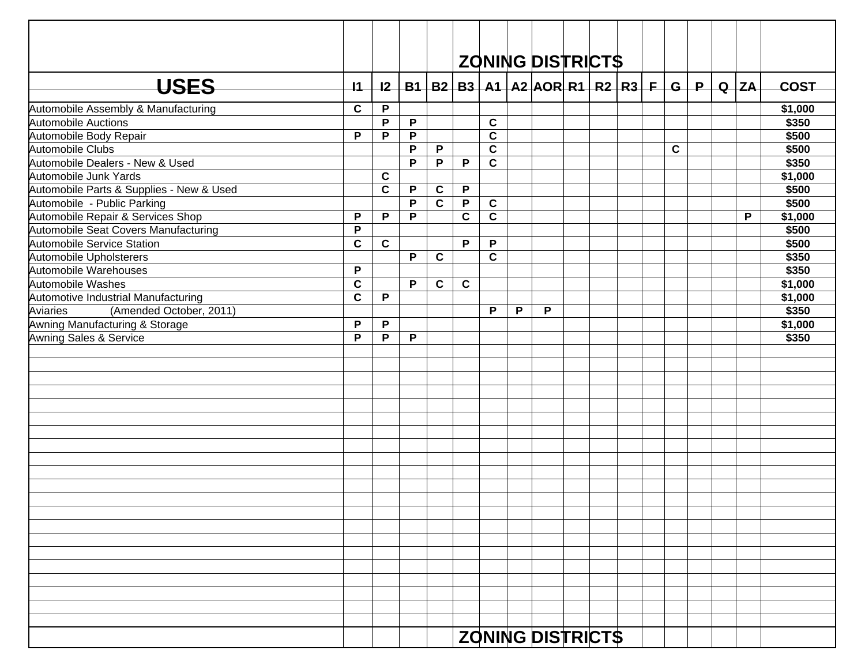|                                          |             |              |   |             |             |             |   | <b>ZONING DISTRICTS</b>                                 |  |  |             |  |        |             |
|------------------------------------------|-------------|--------------|---|-------------|-------------|-------------|---|---------------------------------------------------------|--|--|-------------|--|--------|-------------|
| <b>USES</b>                              | $+1$        | 12           |   |             |             |             |   | B1   B2   B3   A1   A2   AOR   R1   R2   R3   F   G   P |  |  |             |  | Q   ZA | <b>COST</b> |
| Automobile Assembly & Manufacturing      | $\mathbf c$ | P            |   |             |             |             |   |                                                         |  |  |             |  |        | \$1,000     |
| <b>Automobile Auctions</b>               |             | P            | P |             |             | $\mathbf c$ |   |                                                         |  |  |             |  |        | \$350       |
| Automobile Body Repair                   | P           | P            | P |             |             | $\mathbf C$ |   |                                                         |  |  |             |  |        | \$500       |
| Automobile Clubs                         |             |              | P | P           |             | $\mathbf c$ |   |                                                         |  |  | $\mathbf c$ |  |        | \$500       |
| Automobile Dealers - New & Used          |             |              | P | P           | P           | $\mathbf c$ |   |                                                         |  |  |             |  |        | \$350       |
| Automobile Junk Yards                    |             | C            |   |             |             |             |   |                                                         |  |  |             |  |        | \$1,000     |
| Automobile Parts & Supplies - New & Used |             | $\mathbf c$  | P | $\mathbf c$ | P           |             |   |                                                         |  |  |             |  |        | \$500       |
| Automobile - Public Parking              |             |              | P | $\mathbf c$ | P           | $\mathbf c$ |   |                                                         |  |  |             |  |        | \$500       |
| Automobile Repair & Services Shop        | P           | P            | P |             | $\mathbf c$ | $\mathbf c$ |   |                                                         |  |  |             |  | P      | \$1,000     |
| Automobile Seat Covers Manufacturing     | $\mathsf P$ |              |   |             |             |             |   |                                                         |  |  |             |  |        | \$500       |
| <b>Automobile Service Station</b>        | $\mathbf c$ | $\mathbf{C}$ |   |             | P           | P           |   |                                                         |  |  |             |  |        | \$500       |
| Automobile Upholsterers                  |             |              | P | $\mathbf c$ |             | $\mathbf c$ |   |                                                         |  |  |             |  |        | \$350       |
| Automobile Warehouses                    | $\mathsf P$ |              |   |             |             |             |   |                                                         |  |  |             |  |        | \$350       |
| Automobile Washes                        | $\mathbf c$ |              | P | $\mathbf c$ | $\mathbf c$ |             |   |                                                         |  |  |             |  |        | \$1,000     |
| Automotive Industrial Manufacturing      | $\mathbf c$ | P            |   |             |             |             |   |                                                         |  |  |             |  |        | \$1,000     |
| Aviaries<br>(Amended October, 2011)      |             |              |   |             |             | P           | P | P                                                       |  |  |             |  |        | \$350       |
| Awning Manufacturing & Storage           | P           | P            |   |             |             |             |   |                                                         |  |  |             |  |        | \$1,000     |
| Awning Sales & Service                   | P           | P            | P |             |             |             |   |                                                         |  |  |             |  |        | \$350       |
|                                          |             |              |   |             |             |             |   |                                                         |  |  |             |  |        |             |
|                                          |             |              |   |             |             |             |   |                                                         |  |  |             |  |        |             |
|                                          |             |              |   |             |             |             |   |                                                         |  |  |             |  |        |             |
|                                          |             |              |   |             |             |             |   |                                                         |  |  |             |  |        |             |
|                                          |             |              |   |             |             |             |   |                                                         |  |  |             |  |        |             |
|                                          |             |              |   |             |             |             |   |                                                         |  |  |             |  |        |             |
|                                          |             |              |   |             |             |             |   |                                                         |  |  |             |  |        |             |
|                                          |             |              |   |             |             |             |   |                                                         |  |  |             |  |        |             |
|                                          |             |              |   |             |             |             |   |                                                         |  |  |             |  |        |             |
|                                          |             |              |   |             |             |             |   |                                                         |  |  |             |  |        |             |
|                                          |             |              |   |             |             |             |   |                                                         |  |  |             |  |        |             |
|                                          |             |              |   |             |             |             |   |                                                         |  |  |             |  |        |             |
|                                          |             |              |   |             |             |             |   |                                                         |  |  |             |  |        |             |
|                                          |             |              |   |             |             |             |   |                                                         |  |  |             |  |        |             |
|                                          |             |              |   |             |             |             |   |                                                         |  |  |             |  |        |             |
|                                          |             |              |   |             |             |             |   |                                                         |  |  |             |  |        |             |
|                                          |             |              |   |             |             |             |   |                                                         |  |  |             |  |        |             |
|                                          |             |              |   |             |             |             |   |                                                         |  |  |             |  |        |             |
|                                          |             |              |   |             |             |             |   |                                                         |  |  |             |  |        |             |
|                                          |             |              |   |             |             |             |   |                                                         |  |  |             |  |        |             |
|                                          |             |              |   |             |             |             |   |                                                         |  |  |             |  |        |             |
|                                          |             |              |   |             |             |             |   | <b>ZONING DISTRICTS</b>                                 |  |  |             |  |        |             |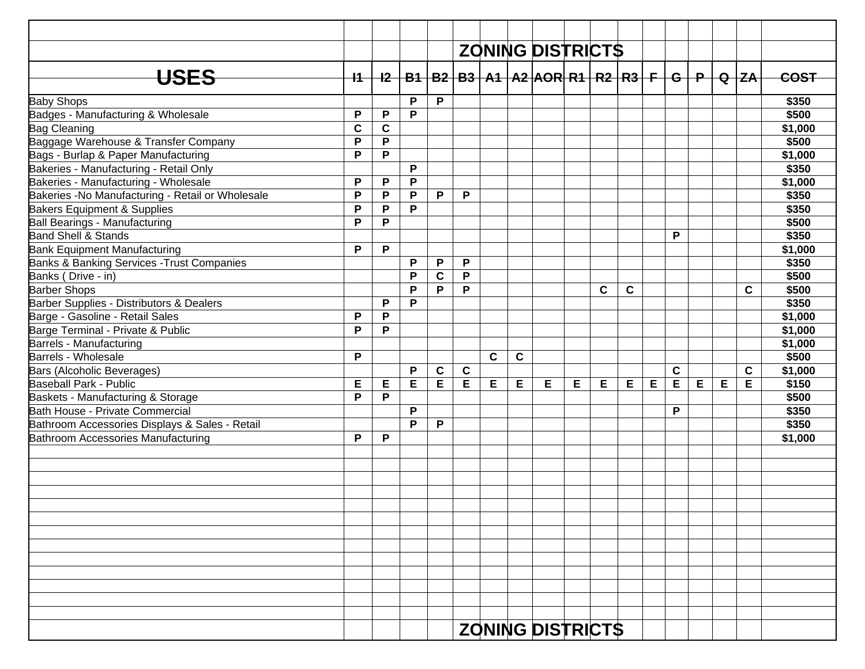|                                                   |             |             |   |             |             |              |             | <b>ZONING DISTRICTS</b>                                                       |   |             |             |   |             |   |   |   |             |
|---------------------------------------------------|-------------|-------------|---|-------------|-------------|--------------|-------------|-------------------------------------------------------------------------------|---|-------------|-------------|---|-------------|---|---|---|-------------|
|                                                   |             |             |   |             |             |              |             |                                                                               |   |             |             |   |             |   |   |   |             |
| <b>USES</b>                                       | $+1$        |             |   |             |             |              |             | <u>I2   B1   B2   B3   A1   A2  AOR  R1   R2   R3   F   G   P   Q   ZA   </u> |   |             |             |   |             |   |   |   | <b>COST</b> |
| <b>Baby Shops</b>                                 |             |             | P | P           |             |              |             |                                                                               |   |             |             |   |             |   |   |   | \$350       |
| Badges - Manufacturing & Wholesale                | P           | P           | P |             |             |              |             |                                                                               |   |             |             |   |             |   |   |   | \$500       |
| <b>Bag Cleaning</b>                               | $\mathbf c$ | $\mathbf c$ |   |             |             |              |             |                                                                               |   |             |             |   |             |   |   |   | \$1,000     |
| Baggage Warehouse & Transfer Company              | P           | P           |   |             |             |              |             |                                                                               |   |             |             |   |             |   |   |   | \$500       |
| Bags - Burlap & Paper Manufacturing               | P           | P           |   |             |             |              |             |                                                                               |   |             |             |   |             |   |   |   | \$1,000     |
| Bakeries - Manufacturing - Retail Only            |             |             | P |             |             |              |             |                                                                               |   |             |             |   |             |   |   |   | \$350       |
| Bakeries - Manufacturing - Wholesale              | P           | P           | P |             |             |              |             |                                                                               |   |             |             |   |             |   |   |   | \$1,000     |
| Bakeries - No Manufacturing - Retail or Wholesale | P           | P           | P | P           | P           |              |             |                                                                               |   |             |             |   |             |   |   |   | \$350       |
| Bakers Equipment & Supplies                       | P           | P           | P |             |             |              |             |                                                                               |   |             |             |   |             |   |   |   | \$350       |
| Ball Bearings - Manufacturing                     | P           | P           |   |             |             |              |             |                                                                               |   |             |             |   |             |   |   |   | \$500       |
| <b>Band Shell &amp; Stands</b>                    |             |             |   |             |             |              |             |                                                                               |   |             |             |   | P           |   |   |   | \$350       |
| <b>Bank Equipment Manufacturing</b>               | P           | P           |   |             |             |              |             |                                                                               |   |             |             |   |             |   |   |   | \$1,000     |
| Banks & Banking Services - Trust Companies        |             |             | P | P           | P           |              |             |                                                                               |   |             |             |   |             |   |   |   | \$350       |
| Banks (Drive - in)                                |             |             | P | $\mathbf c$ | P           |              |             |                                                                               |   |             |             |   |             |   |   |   | \$500       |
| <b>Barber Shops</b>                               |             |             | P | P           | P           |              |             |                                                                               |   | $\mathbf c$ | $\mathbf c$ |   |             |   |   | C | \$500       |
| Barber Supplies - Distributors & Dealers          |             | P           | P |             |             |              |             |                                                                               |   |             |             |   |             |   |   |   | \$350       |
| Barge - Gasoline - Retail Sales                   | P           | P           |   |             |             |              |             |                                                                               |   |             |             |   |             |   |   |   | \$1,000     |
| Barge Terminal - Private & Public                 | P           | P           |   |             |             |              |             |                                                                               |   |             |             |   |             |   |   |   | \$1,000     |
| Barrels - Manufacturing                           |             |             |   |             |             |              |             |                                                                               |   |             |             |   |             |   |   |   | \$1,000     |
| Barrels - Wholesale                               | P           |             |   |             |             | $\mathbf{C}$ | $\mathbf c$ |                                                                               |   |             |             |   |             |   |   |   | \$500       |
| Bars (Alcoholic Beverages)                        |             |             | P | $\mathbf c$ | $\mathbf c$ |              |             |                                                                               |   |             |             |   | $\mathbf c$ |   |   | C | \$1,000     |
| <b>Baseball Park - Public</b>                     | Е           | Е           | E | E           | E           | Е            | Е           | Е                                                                             | Е | Е           | Е           | E | E           | E | E | Е | \$150       |
| Baskets - Manufacturing & Storage                 | P           | P           |   |             |             |              |             |                                                                               |   |             |             |   |             |   |   |   | \$500       |
| Bath House - Private Commercial                   |             |             | P |             |             |              |             |                                                                               |   |             |             |   | P           |   |   |   | \$350       |
| Bathroom Accessories Displays & Sales - Retail    |             |             | P | P           |             |              |             |                                                                               |   |             |             |   |             |   |   |   | \$350       |
| Bathroom Accessories Manufacturing                | P           | P           |   |             |             |              |             |                                                                               |   |             |             |   |             |   |   |   | \$1,000     |
|                                                   |             |             |   |             |             |              |             |                                                                               |   |             |             |   |             |   |   |   |             |
|                                                   |             |             |   |             |             |              |             |                                                                               |   |             |             |   |             |   |   |   |             |
|                                                   |             |             |   |             |             |              |             |                                                                               |   |             |             |   |             |   |   |   |             |
|                                                   |             |             |   |             |             |              |             |                                                                               |   |             |             |   |             |   |   |   |             |
|                                                   |             |             |   |             |             |              |             |                                                                               |   |             |             |   |             |   |   |   |             |
|                                                   |             |             |   |             |             |              |             |                                                                               |   |             |             |   |             |   |   |   |             |
|                                                   |             |             |   |             |             |              |             |                                                                               |   |             |             |   |             |   |   |   |             |
|                                                   |             |             |   |             |             |              |             |                                                                               |   |             |             |   |             |   |   |   |             |
|                                                   |             |             |   |             |             |              |             |                                                                               |   |             |             |   |             |   |   |   |             |
|                                                   |             |             |   |             |             |              |             |                                                                               |   |             |             |   |             |   |   |   |             |
|                                                   |             |             |   |             |             |              |             |                                                                               |   |             |             |   |             |   |   |   |             |
|                                                   |             |             |   |             |             |              |             |                                                                               |   |             |             |   |             |   |   |   |             |
|                                                   |             |             |   |             |             |              |             |                                                                               |   |             |             |   |             |   |   |   |             |
|                                                   |             |             |   |             |             |              |             | <b>ZONING DISTRICTS</b>                                                       |   |             |             |   |             |   |   |   |             |
|                                                   |             |             |   |             |             |              |             |                                                                               |   |             |             |   |             |   |   |   |             |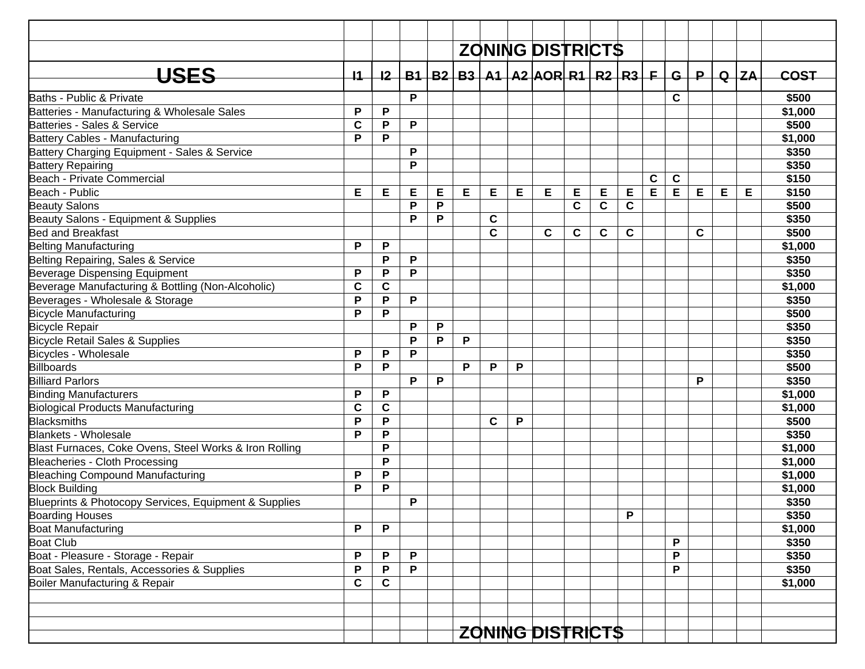|                                                        |                 |             |   |   |   |              |   | <b>ZONING DISTRICTS</b>                           |             |             |   |   |             |       |   |          |         |
|--------------------------------------------------------|-----------------|-------------|---|---|---|--------------|---|---------------------------------------------------|-------------|-------------|---|---|-------------|-------|---|----------|---------|
|                                                        |                 |             |   |   |   |              |   |                                                   |             |             |   |   |             |       |   |          |         |
| USES                                                   | $\overline{11}$ | 12          |   |   |   |              |   | $B1   B2   B3   A1   A2   AOR   R1   R2   R3   F$ |             |             |   |   |             | $G+P$ |   | $Q$ $ZA$ | COST    |
| Baths - Public & Private                               |                 |             | P |   |   |              |   |                                                   |             |             |   |   | C           |       |   |          | \$500   |
| Batteries - Manufacturing & Wholesale Sales            | P               | P           |   |   |   |              |   |                                                   |             |             |   |   |             |       |   |          | \$1,000 |
| Batteries - Sales & Service                            | $\mathbf c$     | ${\sf P}$   | P |   |   |              |   |                                                   |             |             |   |   |             |       |   |          | \$500   |
| Battery Cables - Manufacturing                         | P               | P           |   |   |   |              |   |                                                   |             |             |   |   |             |       |   |          | \$1,000 |
| Battery Charging Equipment - Sales & Service           |                 |             | P |   |   |              |   |                                                   |             |             |   |   |             |       |   |          | \$350   |
| <b>Battery Repairing</b>                               |                 |             | P |   |   |              |   |                                                   |             |             |   |   |             |       |   |          | \$350   |
| Beach - Private Commercial                             |                 |             |   |   |   |              |   |                                                   |             |             |   | C | $\mathbf c$ |       |   |          | \$150   |
| Beach - Public                                         | Е               | Е           | Е | Е | E | Е            | Е | Е                                                 | Е           | Е           | Е | E | E           | E     | Е | Е        | \$150   |
| <b>Beauty Salons</b>                                   |                 |             | P | P |   |              |   |                                                   | $\mathbf c$ | $\mathbf c$ | C |   |             |       |   |          | \$500   |
| Beauty Salons - Equipment & Supplies                   |                 |             | P | P |   | $\mathbf c$  |   |                                                   |             |             |   |   |             |       |   |          | \$350   |
| <b>Bed and Breakfast</b>                               |                 |             |   |   |   | $\mathbf{C}$ |   | $\mathbf c$                                       | C           | $\mathbf c$ | C |   |             | C     |   |          | \$500   |
| <b>Belting Manufacturing</b>                           | P               | P           |   |   |   |              |   |                                                   |             |             |   |   |             |       |   |          | \$1,000 |
| Belting Repairing, Sales & Service                     |                 | P           | P |   |   |              |   |                                                   |             |             |   |   |             |       |   |          | \$350   |
| <b>Beverage Dispensing Equipment</b>                   | P               | P           | P |   |   |              |   |                                                   |             |             |   |   |             |       |   |          | \$350   |
| Beverage Manufacturing & Bottling (Non-Alcoholic)      | C               | $\mathbf c$ |   |   |   |              |   |                                                   |             |             |   |   |             |       |   |          | \$1,000 |
| Beverages - Wholesale & Storage                        | P               | P           | P |   |   |              |   |                                                   |             |             |   |   |             |       |   |          | \$350   |
| <b>Bicycle Manufacturing</b>                           | P               | P           |   |   |   |              |   |                                                   |             |             |   |   |             |       |   |          | \$500   |
| <b>Bicycle Repair</b>                                  |                 |             | P | P |   |              |   |                                                   |             |             |   |   |             |       |   |          | \$350   |
| <b>Bicycle Retail Sales &amp; Supplies</b>             |                 |             | P | P | P |              |   |                                                   |             |             |   |   |             |       |   |          | \$350   |
| <b>Bicycles - Wholesale</b>                            | P               | P           | P |   |   |              |   |                                                   |             |             |   |   |             |       |   |          | \$350   |
| <b>Billboards</b>                                      | P               | P           |   |   | P | P            | P |                                                   |             |             |   |   |             |       |   |          | \$500   |
| <b>Billiard Parlors</b>                                |                 |             | P | P |   |              |   |                                                   |             |             |   |   |             | P     |   |          | \$350   |
| <b>Binding Manufacturers</b>                           | P               | P           |   |   |   |              |   |                                                   |             |             |   |   |             |       |   |          | \$1,000 |
| <b>Biological Products Manufacturing</b>               | $\mathbf c$     | $\mathbf c$ |   |   |   |              |   |                                                   |             |             |   |   |             |       |   |          | \$1,000 |
| Blacksmiths                                            | P               | P           |   |   |   | $\mathbf c$  | P |                                                   |             |             |   |   |             |       |   |          | \$500   |
| <b>Blankets - Wholesale</b>                            | P               | P           |   |   |   |              |   |                                                   |             |             |   |   |             |       |   |          | \$350   |
| Blast Furnaces, Coke Ovens, Steel Works & Iron Rolling |                 | P           |   |   |   |              |   |                                                   |             |             |   |   |             |       |   |          | \$1,000 |
| Bleacheries - Cloth Processing                         |                 | P           |   |   |   |              |   |                                                   |             |             |   |   |             |       |   |          | \$1,000 |
| <b>Bleaching Compound Manufacturing</b>                | P               | P           |   |   |   |              |   |                                                   |             |             |   |   |             |       |   |          | \$1,000 |
| <b>Block Building</b>                                  | P               | P           |   |   |   |              |   |                                                   |             |             |   |   |             |       |   |          | \$1,000 |
| Blueprints & Photocopy Services, Equipment & Supplies  |                 |             | P |   |   |              |   |                                                   |             |             |   |   |             |       |   |          | \$350   |
| <b>Boarding Houses</b>                                 |                 |             |   |   |   |              |   |                                                   |             |             | P |   |             |       |   |          | \$350   |
| <b>Boat Manufacturing</b>                              | P               | ${\sf P}$   |   |   |   |              |   |                                                   |             |             |   |   |             |       |   |          | \$1,000 |
| <b>Boat Club</b>                                       |                 |             |   |   |   |              |   |                                                   |             |             |   |   | P           |       |   |          | \$350   |
| Boat - Pleasure - Storage - Repair                     | P               | P           | P |   |   |              |   |                                                   |             |             |   |   | P           |       |   |          | \$350   |
| Boat Sales, Rentals, Accessories & Supplies            | P               | P           | P |   |   |              |   |                                                   |             |             |   |   | P           |       |   |          | \$350   |
| Boiler Manufacturing & Repair                          | $\mathbf c$     | C           |   |   |   |              |   |                                                   |             |             |   |   |             |       |   |          | \$1,000 |
|                                                        |                 |             |   |   |   |              |   |                                                   |             |             |   |   |             |       |   |          |         |
|                                                        |                 |             |   |   |   |              |   |                                                   |             |             |   |   |             |       |   |          |         |
|                                                        |                 |             |   |   |   |              |   |                                                   |             |             |   |   |             |       |   |          |         |
|                                                        |                 |             |   |   |   |              |   | <b>ZONING DISTRICTS</b>                           |             |             |   |   |             |       |   |          |         |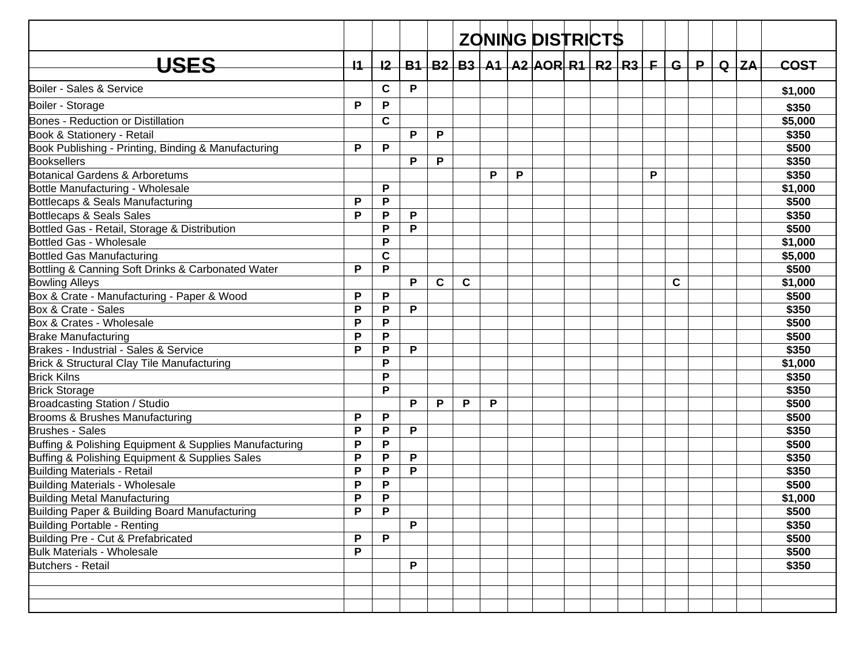|                                                        |                 |    |   |             |             |   |   | <b>ZONING DISTRICTS</b>                  |  |   |   |  |             |
|--------------------------------------------------------|-----------------|----|---|-------------|-------------|---|---|------------------------------------------|--|---|---|--|-------------|
|                                                        |                 |    |   |             |             |   |   |                                          |  |   |   |  |             |
| <b>USES</b>                                            | $\overline{11}$ | 12 |   |             |             |   |   | $B1 B2 B3 A1 A2 AOR R1 R2 R3 F G P Q ZA$ |  |   |   |  | <b>COST</b> |
| Boiler - Sales & Service                               |                 | C  | P |             |             |   |   |                                          |  |   |   |  | \$1,000     |
| Boiler - Storage                                       | P               | P  |   |             |             |   |   |                                          |  |   |   |  | \$350       |
| Bones - Reduction or Distillation                      |                 | C  |   |             |             |   |   |                                          |  |   |   |  | \$5,000     |
| Book & Stationery - Retail                             |                 |    | P | P           |             |   |   |                                          |  |   |   |  | \$350       |
| Book Publishing - Printing, Binding & Manufacturing    | P               | P  |   |             |             |   |   |                                          |  |   |   |  | \$500       |
| <b>Booksellers</b>                                     |                 |    | P | P           |             |   |   |                                          |  |   |   |  | \$350       |
| Botanical Gardens & Arboretums                         |                 |    |   |             |             | P | P |                                          |  | P |   |  | \$350       |
| Bottle Manufacturing - Wholesale                       |                 | P  |   |             |             |   |   |                                          |  |   |   |  | \$1,000     |
| Bottlecaps & Seals Manufacturing                       | P               | P  |   |             |             |   |   |                                          |  |   |   |  | \$500       |
| Bottlecaps & Seals Sales                               | P               | P  | P |             |             |   |   |                                          |  |   |   |  | \$350       |
| Bottled Gas - Retail, Storage & Distribution           |                 | P  | P |             |             |   |   |                                          |  |   |   |  | \$500       |
| Bottled Gas - Wholesale                                |                 | P  |   |             |             |   |   |                                          |  |   |   |  | \$1,000     |
| Bottled Gas Manufacturing                              |                 | C  |   |             |             |   |   |                                          |  |   |   |  | \$5,000     |
| Bottling & Canning Soft Drinks & Carbonated Water      | P               | P  |   |             |             |   |   |                                          |  |   |   |  | \$500       |
| <b>Bowling Alleys</b>                                  |                 |    | P | $\mathbf c$ | $\mathbf c$ |   |   |                                          |  |   | C |  | \$1,000     |
| Box & Crate - Manufacturing - Paper & Wood             | P               | P  |   |             |             |   |   |                                          |  |   |   |  | \$500       |
| Box & Crate - Sales                                    | P               | P  | P |             |             |   |   |                                          |  |   |   |  | \$350       |
| Box & Crates - Wholesale                               | P               | P  |   |             |             |   |   |                                          |  |   |   |  | \$500       |
| <b>Brake Manufacturing</b>                             | P               | P  |   |             |             |   |   |                                          |  |   |   |  | \$500       |
| Brakes - Industrial - Sales & Service                  | P               | P  | P |             |             |   |   |                                          |  |   |   |  | \$350       |
| Brick & Structural Clay Tile Manufacturing             |                 | P  |   |             |             |   |   |                                          |  |   |   |  | \$1,000     |
| <b>Brick Kilns</b>                                     |                 | P  |   |             |             |   |   |                                          |  |   |   |  | \$350       |
| <b>Brick Storage</b>                                   |                 | P  |   |             |             |   |   |                                          |  |   |   |  | \$350       |
| Broadcasting Station / Studio                          |                 |    | P | P           | P           | P |   |                                          |  |   |   |  | \$500       |
| Brooms & Brushes Manufacturing                         | P               | P  |   |             |             |   |   |                                          |  |   |   |  | \$500       |
| <b>Brushes - Sales</b>                                 | P               | P  | P |             |             |   |   |                                          |  |   |   |  | \$350       |
| Buffing & Polishing Equipment & Supplies Manufacturing | P               | P  |   |             |             |   |   |                                          |  |   |   |  | \$500       |
| Buffing & Polishing Equipment & Supplies Sales         | P               | P  | P |             |             |   |   |                                          |  |   |   |  | \$350       |
| <b>Building Materials - Retail</b>                     | P               | P  | P |             |             |   |   |                                          |  |   |   |  | \$350       |
| Building Materials - Wholesale                         | P               | P  |   |             |             |   |   |                                          |  |   |   |  | \$500       |
| <b>Building Metal Manufacturing</b>                    | P               | P  |   |             |             |   |   |                                          |  |   |   |  | \$1,000     |
| Building Paper & Building Board Manufacturing          | $\mathsf P$     | P  |   |             |             |   |   |                                          |  |   |   |  | \$500       |
| <b>Building Portable - Renting</b>                     |                 |    | P |             |             |   |   |                                          |  |   |   |  | \$350       |
| Building Pre - Cut & Prefabricated                     | $\mathsf{P}$    | P  |   |             |             |   |   |                                          |  |   |   |  | \$500       |
| <b>Bulk Materials - Wholesale</b>                      | $\mathsf{P}$    |    |   |             |             |   |   |                                          |  |   |   |  | \$500       |
| Butchers - Retail                                      |                 |    | P |             |             |   |   |                                          |  |   |   |  | \$350       |
|                                                        |                 |    |   |             |             |   |   |                                          |  |   |   |  |             |
|                                                        |                 |    |   |             |             |   |   |                                          |  |   |   |  |             |
|                                                        |                 |    |   |             |             |   |   |                                          |  |   |   |  |             |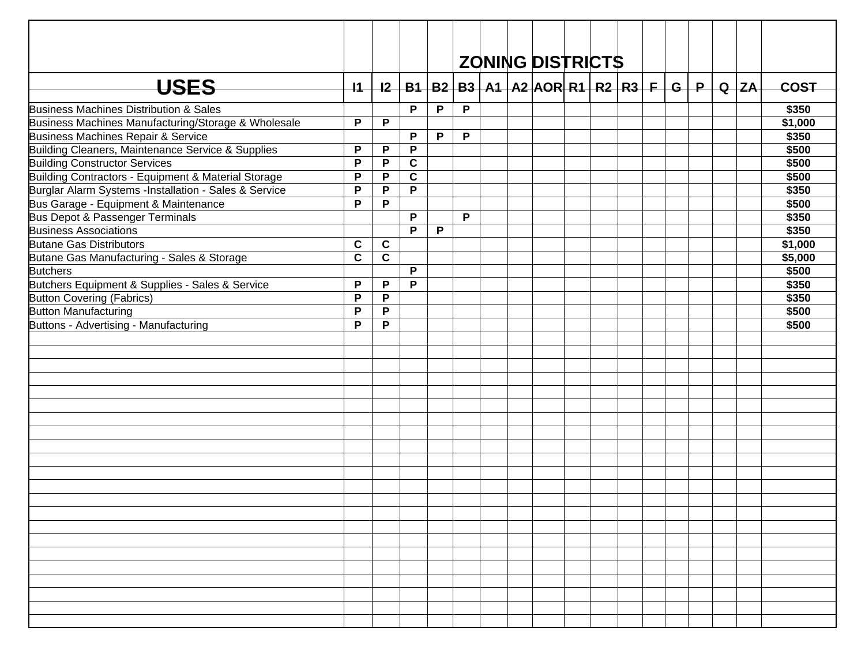|                                                       |              |                         |             |   |              |  | <b>ZONING DISTRICTS</b>                                              |  |  |  |          |             |
|-------------------------------------------------------|--------------|-------------------------|-------------|---|--------------|--|----------------------------------------------------------------------|--|--|--|----------|-------------|
| USES                                                  | $+1$         |                         |             |   |              |  | <u>I2   B1   B2   B3   A1   A2  AOR  R1   R2   R3   F   G   P   </u> |  |  |  | $Q$ $ZA$ | <b>COST</b> |
| Business Machines Distribution & Sales                |              |                         | P           | P | $\mathsf{P}$ |  |                                                                      |  |  |  |          | \$350       |
| Business Machines Manufacturing/Storage & Wholesale   | P            | P                       |             |   |              |  |                                                                      |  |  |  |          | \$1,000     |
| Business Machines Repair & Service                    |              |                         | P           | P | P            |  |                                                                      |  |  |  |          | \$350       |
| Building Cleaners, Maintenance Service & Supplies     | P            | P                       | P           |   |              |  |                                                                      |  |  |  |          | \$500       |
| <b>Building Constructor Services</b>                  | P            | P                       | $\mathbf c$ |   |              |  |                                                                      |  |  |  |          | \$500       |
| Building Contractors - Equipment & Material Storage   | P            | P                       | $\mathbf c$ |   |              |  |                                                                      |  |  |  |          | \$500       |
| Burglar Alarm Systems -Installation - Sales & Service | $\mathsf{P}$ | P                       | P           |   |              |  |                                                                      |  |  |  |          | \$350       |
| Bus Garage - Equipment & Maintenance                  | P            | P                       |             |   |              |  |                                                                      |  |  |  |          | \$500       |
| Bus Depot & Passenger Terminals                       |              |                         | P           |   | P            |  |                                                                      |  |  |  |          | \$350       |
| <b>Business Associations</b>                          |              |                         | P           | P |              |  |                                                                      |  |  |  |          | \$350       |
| <b>Butane Gas Distributors</b>                        | $\mathbf c$  | C                       |             |   |              |  |                                                                      |  |  |  |          | \$1,000     |
| Butane Gas Manufacturing - Sales & Storage            | $\mathbf c$  | $\overline{\mathbf{c}}$ |             |   |              |  |                                                                      |  |  |  |          | \$5,000     |
| <b>Butchers</b>                                       |              |                         | P           |   |              |  |                                                                      |  |  |  |          | \$500       |
| Butchers Equipment & Supplies - Sales & Service       | P            | P                       | P           |   |              |  |                                                                      |  |  |  |          | \$350       |
| <b>Button Covering (Fabrics)</b>                      | P            | P                       |             |   |              |  |                                                                      |  |  |  |          | \$350       |
| <b>Button Manufacturing</b>                           | P            | $\mathsf P$             |             |   |              |  |                                                                      |  |  |  |          | \$500       |
| Buttons - Advertising - Manufacturing                 | P            | P                       |             |   |              |  |                                                                      |  |  |  |          | \$500       |
|                                                       |              |                         |             |   |              |  |                                                                      |  |  |  |          |             |
|                                                       |              |                         |             |   |              |  |                                                                      |  |  |  |          |             |
|                                                       |              |                         |             |   |              |  |                                                                      |  |  |  |          |             |
|                                                       |              |                         |             |   |              |  |                                                                      |  |  |  |          |             |
|                                                       |              |                         |             |   |              |  |                                                                      |  |  |  |          |             |
|                                                       |              |                         |             |   |              |  |                                                                      |  |  |  |          |             |
|                                                       |              |                         |             |   |              |  |                                                                      |  |  |  |          |             |
|                                                       |              |                         |             |   |              |  |                                                                      |  |  |  |          |             |
|                                                       |              |                         |             |   |              |  |                                                                      |  |  |  |          |             |
|                                                       |              |                         |             |   |              |  |                                                                      |  |  |  |          |             |
|                                                       |              |                         |             |   |              |  |                                                                      |  |  |  |          |             |
|                                                       |              |                         |             |   |              |  |                                                                      |  |  |  |          |             |
|                                                       |              |                         |             |   |              |  |                                                                      |  |  |  |          |             |
|                                                       |              |                         |             |   |              |  |                                                                      |  |  |  |          |             |
|                                                       |              |                         |             |   |              |  |                                                                      |  |  |  |          |             |
|                                                       |              |                         |             |   |              |  |                                                                      |  |  |  |          |             |
|                                                       |              |                         |             |   |              |  |                                                                      |  |  |  |          |             |
|                                                       |              |                         |             |   |              |  |                                                                      |  |  |  |          |             |
|                                                       |              |                         |             |   |              |  |                                                                      |  |  |  |          |             |
|                                                       |              |                         |             |   |              |  |                                                                      |  |  |  |          |             |
|                                                       |              |                         |             |   |              |  |                                                                      |  |  |  |          |             |
|                                                       |              |                         |             |   |              |  |                                                                      |  |  |  |          |             |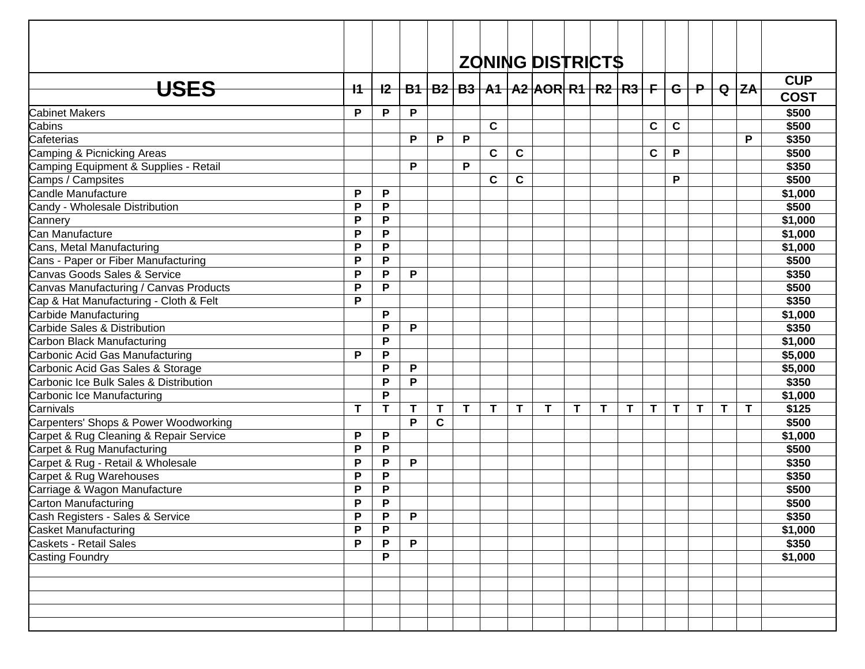|                                        |              |       |   |             |              |             |             | <b>ZONING DISTRICTS</b>                                          |   |             |   |              |              |   |              |          |             |
|----------------------------------------|--------------|-------|---|-------------|--------------|-------------|-------------|------------------------------------------------------------------|---|-------------|---|--------------|--------------|---|--------------|----------|-------------|
|                                        |              |       |   |             |              |             |             |                                                                  |   |             |   |              |              |   |              |          | <b>CUP</b>  |
| <b>USES</b>                            | $+1$         | $+2-$ |   |             |              |             |             | <u>  B1   B2   B3   A1   A2  AOR  R1   R2   R3   F   G   P  </u> |   |             |   |              |              |   |              | $Q$ $ZA$ | <b>COST</b> |
| Cabinet Makers                         | P            | P     | P |             |              |             |             |                                                                  |   |             |   |              |              |   |              |          | \$500       |
| Cabins                                 |              |       |   |             |              | $\mathbf c$ |             |                                                                  |   |             |   | C            | $\mathbf c$  |   |              |          | \$500       |
| Cafeterias                             |              |       | P | P           | P            |             |             |                                                                  |   |             |   |              |              |   |              | P        | \$350       |
| Camping & Picnicking Areas             |              |       |   |             |              | $\mathbf c$ | $\mathbf c$ |                                                                  |   |             |   | C            | P            |   |              |          | \$500       |
| Camping Equipment & Supplies - Retail  |              |       | P |             | P            |             |             |                                                                  |   |             |   |              |              |   |              |          | \$350       |
| Camps / Campsites                      |              |       |   |             |              | $\mathbf c$ | $\mathbf c$ |                                                                  |   |             |   |              | P            |   |              |          | \$500       |
| Candle Manufacture                     | P            | P     |   |             |              |             |             |                                                                  |   |             |   |              |              |   |              |          | \$1,000     |
| Candy - Wholesale Distribution         | P            | P     |   |             |              |             |             |                                                                  |   |             |   |              |              |   |              |          | \$500       |
| Cannery                                | $\mathsf{P}$ | P     |   |             |              |             |             |                                                                  |   |             |   |              |              |   |              |          | \$1,000     |
| Can Manufacture                        | P            | P     |   |             |              |             |             |                                                                  |   |             |   |              |              |   |              |          | \$1,000     |
| Cans, Metal Manufacturing              | P            | P     |   |             |              |             |             |                                                                  |   |             |   |              |              |   |              |          | \$1,000     |
| Cans - Paper or Fiber Manufacturing    | P            | P     |   |             |              |             |             |                                                                  |   |             |   |              |              |   |              |          | \$500       |
| Canvas Goods Sales & Service           | P            | P     | P |             |              |             |             |                                                                  |   |             |   |              |              |   |              |          | \$350       |
| Canvas Manufacturing / Canvas Products | P            | P     |   |             |              |             |             |                                                                  |   |             |   |              |              |   |              |          | \$500       |
| Cap & Hat Manufacturing - Cloth & Felt | P            |       |   |             |              |             |             |                                                                  |   |             |   |              |              |   |              |          | \$350       |
| Carbide Manufacturing                  |              | P     |   |             |              |             |             |                                                                  |   |             |   |              |              |   |              |          | \$1,000     |
| Carbide Sales & Distribution           |              | P     | P |             |              |             |             |                                                                  |   |             |   |              |              |   |              |          | \$350       |
| Carbon Black Manufacturing             |              | P     |   |             |              |             |             |                                                                  |   |             |   |              |              |   |              |          | \$1,000     |
| Carbonic Acid Gas Manufacturing        | P            | P     |   |             |              |             |             |                                                                  |   |             |   |              |              |   |              |          | \$5,000     |
| Carbonic Acid Gas Sales & Storage      |              | P     | P |             |              |             |             |                                                                  |   |             |   |              |              |   |              |          | \$5,000     |
| Carbonic Ice Bulk Sales & Distribution |              | P     | P |             |              |             |             |                                                                  |   |             |   |              |              |   |              |          | \$350       |
| Carbonic Ice Manufacturing             |              | P     |   |             |              |             |             |                                                                  |   |             |   |              |              |   |              |          | \$1,000     |
| Carnivals                              | $\mathsf T$  | T     | T | Τ           | $\mathbf{T}$ | T           | $\mathbf T$ | T                                                                | T | $\mathbf T$ | T | $\mathsf{T}$ | $\mathsf{T}$ | Τ | $\mathbf{T}$ | T        | \$125       |
| Carpenters' Shops & Power Woodworking  |              |       | P | $\mathbf c$ |              |             |             |                                                                  |   |             |   |              |              |   |              |          | \$500       |
| Carpet & Rug Cleaning & Repair Service | P            | P     |   |             |              |             |             |                                                                  |   |             |   |              |              |   |              |          | \$1,000     |
| Carpet & Rug Manufacturing             | P            | P     |   |             |              |             |             |                                                                  |   |             |   |              |              |   |              |          | \$500       |
| Carpet & Rug - Retail & Wholesale      | P            | P     | P |             |              |             |             |                                                                  |   |             |   |              |              |   |              |          | \$350       |
| Carpet & Rug Warehouses                | $\mathsf{P}$ | P     |   |             |              |             |             |                                                                  |   |             |   |              |              |   |              |          | \$350       |
| Carriage & Wagon Manufacture           | P            | P     |   |             |              |             |             |                                                                  |   |             |   |              |              |   |              |          | \$500       |
| Carton Manufacturing                   | P            | P     |   |             |              |             |             |                                                                  |   |             |   |              |              |   |              |          | \$500       |
| Cash Registers - Sales & Service       | P            | P     | P |             |              |             |             |                                                                  |   |             |   |              |              |   |              |          | \$350       |
| <b>Casket Manufacturing</b>            | P            | P     |   |             |              |             |             |                                                                  |   |             |   |              |              |   |              |          | \$1,000     |
| Caskets - Retail Sales                 | $\mathsf{P}$ | P     | P |             |              |             |             |                                                                  |   |             |   |              |              |   |              |          | \$350       |
| Casting Foundry                        |              | P     |   |             |              |             |             |                                                                  |   |             |   |              |              |   |              |          | \$1,000     |
|                                        |              |       |   |             |              |             |             |                                                                  |   |             |   |              |              |   |              |          |             |
|                                        |              |       |   |             |              |             |             |                                                                  |   |             |   |              |              |   |              |          |             |
|                                        |              |       |   |             |              |             |             |                                                                  |   |             |   |              |              |   |              |          |             |
|                                        |              |       |   |             |              |             |             |                                                                  |   |             |   |              |              |   |              |          |             |
|                                        |              |       |   |             |              |             |             |                                                                  |   |             |   |              |              |   |              |          |             |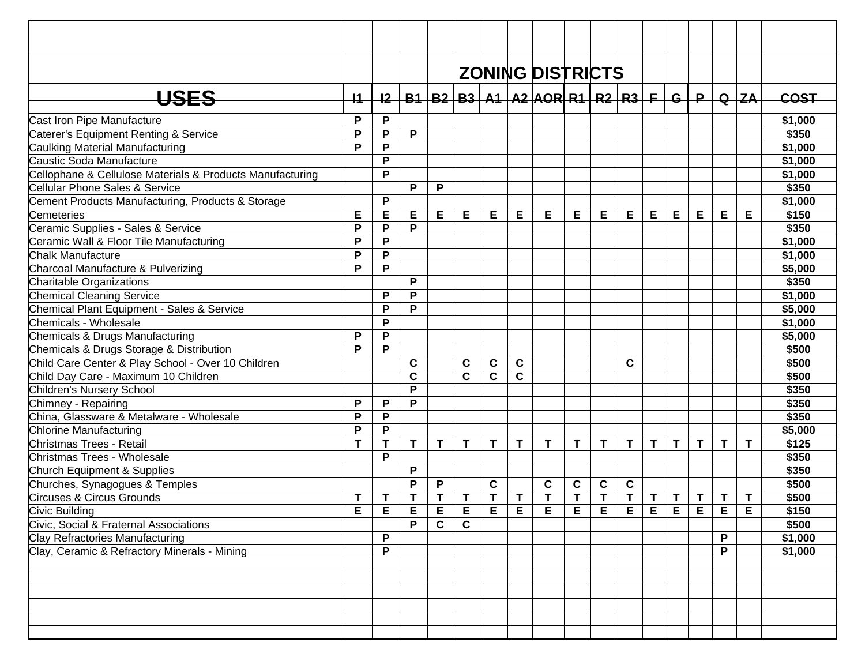|                                                           |             |              |             |             |             |             |             | <b>ZONING DISTRICTS</b>                           |   |   |             |    |             |       |    |          |             |
|-----------------------------------------------------------|-------------|--------------|-------------|-------------|-------------|-------------|-------------|---------------------------------------------------|---|---|-------------|----|-------------|-------|----|----------|-------------|
| <b>USES</b>                                               | 11          | 12           |             |             |             |             |             | $B1   B2   B3   A1   A2   AOR   R1   R2   R3   F$ |   |   |             |    |             | $G+P$ |    | $Q$ $ZA$ | <b>COST</b> |
| Cast Iron Pipe Manufacture                                | P           | P            |             |             |             |             |             |                                                   |   |   |             |    |             |       |    |          | \$1,000     |
| Caterer's Equipment Renting & Service                     | P           | P            | P           |             |             |             |             |                                                   |   |   |             |    |             |       |    |          | \$350       |
| Caulking Material Manufacturing                           | P           | P            |             |             |             |             |             |                                                   |   |   |             |    |             |       |    |          | \$1,000     |
| Caustic Soda Manufacture                                  |             | P            |             |             |             |             |             |                                                   |   |   |             |    |             |       |    |          | \$1,000     |
| Cellophane & Cellulose Materials & Products Manufacturing |             | P            |             |             |             |             |             |                                                   |   |   |             |    |             |       |    |          | \$1,000     |
| Cellular Phone Sales & Service                            |             |              | P           | P           |             |             |             |                                                   |   |   |             |    |             |       |    |          | \$350       |
| Cement Products Manufacturing, Products & Storage         |             | P            |             |             |             |             |             |                                                   |   |   |             |    |             |       |    |          | \$1,000     |
| Cemeteries                                                | E           | E            | Е           | E           | E           | E           | E           | Е                                                 | Е | E | E           | Е  | Е           | Е     | Е  | Е        | \$150       |
| Ceramic Supplies - Sales & Service                        | P           | P            | P           |             |             |             |             |                                                   |   |   |             |    |             |       |    |          | \$350       |
| Ceramic Wall & Floor Tile Manufacturing                   | P           | P            |             |             |             |             |             |                                                   |   |   |             |    |             |       |    |          | \$1,000     |
| <b>Chalk Manufacture</b>                                  | P           | $\mathsf{P}$ |             |             |             |             |             |                                                   |   |   |             |    |             |       |    |          | \$1,000     |
| Charcoal Manufacture & Pulverizing                        | P           | P            |             |             |             |             |             |                                                   |   |   |             |    |             |       |    |          | \$5,000     |
| Charitable Organizations                                  |             |              | P           |             |             |             |             |                                                   |   |   |             |    |             |       |    |          | \$350       |
| <b>Chemical Cleaning Service</b>                          |             | P            | P           |             |             |             |             |                                                   |   |   |             |    |             |       |    |          | \$1,000     |
| Chemical Plant Equipment - Sales & Service                |             | P            | P           |             |             |             |             |                                                   |   |   |             |    |             |       |    |          | \$5,000     |
| Chemicals - Wholesale                                     |             | P            |             |             |             |             |             |                                                   |   |   |             |    |             |       |    |          | \$1,000     |
| Chemicals & Drugs Manufacturing                           | P           | ${\sf P}$    |             |             |             |             |             |                                                   |   |   |             |    |             |       |    |          | \$5,000     |
| Chemicals & Drugs Storage & Distribution                  | P           | P            |             |             |             |             |             |                                                   |   |   |             |    |             |       |    |          | \$500       |
| Child Care Center & Play School - Over 10 Children        |             |              | C           |             | $\mathbf c$ | $\mathbf c$ | $\mathbf c$ |                                                   |   |   | C           |    |             |       |    |          | \$500       |
| Child Day Care - Maximum 10 Children                      |             |              | $\mathbf c$ |             | $\mathbf c$ | $\mathbf c$ | $\mathbf c$ |                                                   |   |   |             |    |             |       |    |          | \$500       |
| Children's Nursery School                                 |             |              | P           |             |             |             |             |                                                   |   |   |             |    |             |       |    |          | \$350       |
| Chimney - Repairing                                       | P           | P            | P           |             |             |             |             |                                                   |   |   |             |    |             |       |    |          | \$350       |
| China, Glassware & Metalware - Wholesale                  | P           | P            |             |             |             |             |             |                                                   |   |   |             |    |             |       |    |          | \$350       |
| <b>Chlorine Manufacturing</b>                             | P           | P            |             |             |             |             |             |                                                   |   |   |             |    |             |       |    |          | \$5,000     |
| Christmas Trees - Retail                                  | $\mathbf T$ | T            | T           | T           | $\mathbf T$ | T           | T           | T                                                 | T | T | $\mathbf T$ | T  | $\mathbf T$ | T     | T  | T        | \$125       |
| Christmas Trees - Wholesale                               |             | P            |             |             |             |             |             |                                                   |   |   |             |    |             |       |    |          | \$350       |
| Church Equipment & Supplies                               |             |              | P           |             |             |             |             |                                                   |   |   |             |    |             |       |    |          | \$350       |
| Churches, Synagogues & Temples                            |             |              | P           | P           |             | $\mathbf c$ |             | $\mathbf c$                                       | C | C | $\mathbf c$ |    |             |       |    |          | \$500       |
| Circuses & Circus Grounds                                 | $\mathsf T$ | Τ            | т           | T           | Τ           | T           | Τ           | T                                                 | T | T | T           | T  | $\mathbf T$ | T     | T  | Т        | \$500       |
| Civic Building                                            | Е           | E,           | E.          | Е           | E.          | E.          | Е           | E.                                                | Е | Е | Е.          | EI | E           | Е     | E, | Е        | \$150       |
| Civic, Social & Fraternal Associations                    |             |              | P           | $\mathbf c$ | C           |             |             |                                                   |   |   |             |    |             |       |    |          | \$500       |
| Clay Refractories Manufacturing                           |             | P            |             |             |             |             |             |                                                   |   |   |             |    |             |       | P  |          | \$1,000     |
| Clay, Ceramic & Refractory Minerals - Mining              |             | P            |             |             |             |             |             |                                                   |   |   |             |    |             |       | P  |          | \$1,000     |
|                                                           |             |              |             |             |             |             |             |                                                   |   |   |             |    |             |       |    |          |             |
|                                                           |             |              |             |             |             |             |             |                                                   |   |   |             |    |             |       |    |          |             |
|                                                           |             |              |             |             |             |             |             |                                                   |   |   |             |    |             |       |    |          |             |
|                                                           |             |              |             |             |             |             |             |                                                   |   |   |             |    |             |       |    |          |             |
|                                                           |             |              |             |             |             |             |             |                                                   |   |   |             |    |             |       |    |          |             |
|                                                           |             |              |             |             |             |             |             |                                                   |   |   |             |    |             |       |    |          |             |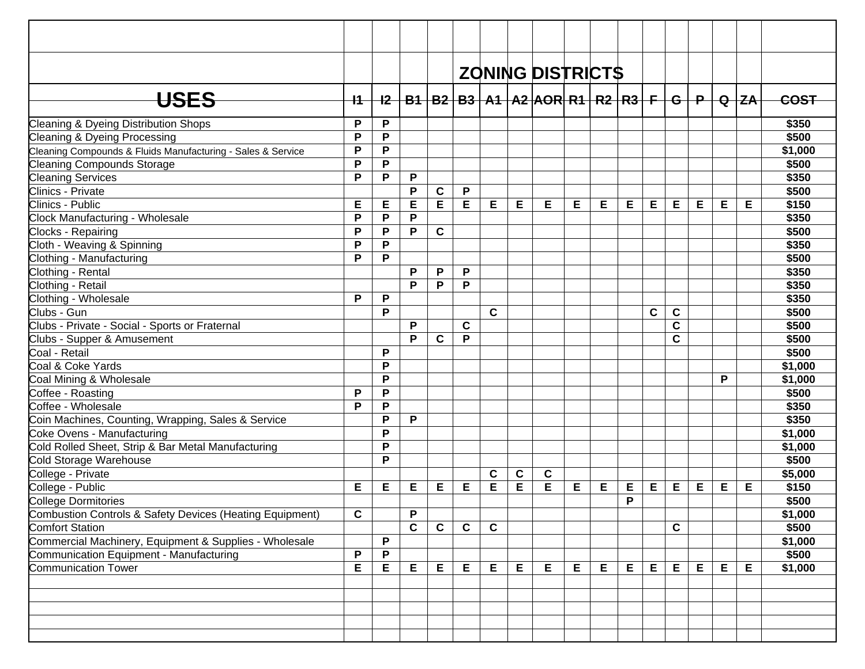|                                                             |              |           |   |             |             |              |   | <b>ZONING DISTRICTS</b>                                        |   |   |   |             |             |   |   |            |             |
|-------------------------------------------------------------|--------------|-----------|---|-------------|-------------|--------------|---|----------------------------------------------------------------|---|---|---|-------------|-------------|---|---|------------|-------------|
| <del>USES</del>                                             | -ł1-         | $+2-$     |   |             |             |              |   | <u>B1   B2   B3   A1   A2  AOR  R1   R2   R3   F   G   P  </u> |   |   |   |             |             |   |   | $Q$ $ ZA $ | <b>COST</b> |
| Cleaning & Dyeing Distribution Shops                        | P            | P         |   |             |             |              |   |                                                                |   |   |   |             |             |   |   |            | \$350       |
| <b>Cleaning &amp; Dyeing Processing</b>                     | P            | P         |   |             |             |              |   |                                                                |   |   |   |             |             |   |   |            | \$500       |
| Cleaning Compounds & Fluids Manufacturing - Sales & Service | $\mathsf{P}$ | ${\sf P}$ |   |             |             |              |   |                                                                |   |   |   |             |             |   |   |            | \$1,000     |
| <b>Cleaning Compounds Storage</b>                           | P            | P         |   |             |             |              |   |                                                                |   |   |   |             |             |   |   |            | \$500       |
| <b>Cleaning Services</b>                                    | P            | ${\sf P}$ | P |             |             |              |   |                                                                |   |   |   |             |             |   |   |            | \$350       |
| <b>Clinics - Private</b>                                    |              |           | P | $\mathbf c$ | P           |              |   |                                                                |   |   |   |             |             |   |   |            | \$500       |
| Clinics - Public                                            | Е            | Е         | E | E.          | Е           | Е            | Е | Е                                                              | Е | Е | Е | Е           | E           | Е | Е | Е          | \$150       |
| Clock Manufacturing - Wholesale                             | P            | P         | P |             |             |              |   |                                                                |   |   |   |             |             |   |   |            | \$350       |
| Clocks - Repairing                                          | P            | P         | P | $\mathbf c$ |             |              |   |                                                                |   |   |   |             |             |   |   |            | \$500       |
| Cloth - Weaving & Spinning                                  | P            | P         |   |             |             |              |   |                                                                |   |   |   |             |             |   |   |            | \$350       |
| Clothing - Manufacturing                                    | P            | P         |   |             |             |              |   |                                                                |   |   |   |             |             |   |   |            | \$500       |
| Clothing - Rental                                           |              |           | P | P           | P           |              |   |                                                                |   |   |   |             |             |   |   |            | \$350       |
| Clothing - Retail                                           |              |           | P | P           | P           |              |   |                                                                |   |   |   |             |             |   |   |            | \$350       |
| Clothing - Wholesale                                        | P            | P         |   |             |             |              |   |                                                                |   |   |   |             |             |   |   |            | \$350       |
| Clubs - Gun                                                 |              | P         |   |             |             | $\mathbf{C}$ |   |                                                                |   |   |   | $\mathbf c$ | $\mathbf c$ |   |   |            | \$500       |
| Clubs - Private - Social - Sports or Fraternal              |              |           | P |             | $\mathbf c$ |              |   |                                                                |   |   |   |             | $\mathbf c$ |   |   |            | \$500       |
| Clubs - Supper & Amusement                                  |              |           | P | $\mathbf c$ | P           |              |   |                                                                |   |   |   |             | $\mathbf C$ |   |   |            | \$500       |
| Coal - Retail                                               |              | P         |   |             |             |              |   |                                                                |   |   |   |             |             |   |   |            | \$500       |
| Coal & Coke Yards                                           |              | P         |   |             |             |              |   |                                                                |   |   |   |             |             |   |   |            | \$1,000     |
| Coal Mining & Wholesale                                     |              | P         |   |             |             |              |   |                                                                |   |   |   |             |             |   | P |            | \$1,000     |
| Coffee - Roasting                                           | P            | P         |   |             |             |              |   |                                                                |   |   |   |             |             |   |   |            | \$500       |
| Coffee - Wholesale                                          | P            | P         |   |             |             |              |   |                                                                |   |   |   |             |             |   |   |            | \$350       |
| Coin Machines, Counting, Wrapping, Sales & Service          |              | P         | P |             |             |              |   |                                                                |   |   |   |             |             |   |   |            | \$350       |
| Coke Ovens - Manufacturing                                  |              | P         |   |             |             |              |   |                                                                |   |   |   |             |             |   |   |            | \$1,000     |
| Cold Rolled Sheet, Strip & Bar Metal Manufacturing          |              | P         |   |             |             |              |   |                                                                |   |   |   |             |             |   |   |            | \$1,000     |
| Cold Storage Warehouse                                      |              | P         |   |             |             |              |   |                                                                |   |   |   |             |             |   |   |            | \$500       |
| College - Private                                           |              |           |   |             |             | C            | C | C                                                              |   |   |   |             |             |   |   |            | \$5,000     |
| College - Public                                            | Е            | E         | Е | Е           | Е           | E            | E | E                                                              | Е | E | Е | E           | Е           | Е | Е | Е          | \$150       |
| College Dormitories                                         |              |           |   |             |             |              |   |                                                                |   |   | P |             |             |   |   |            | \$500       |
| Combustion Controls & Safety Devices (Heating Equipment)    | $\mathbf c$  |           | P |             |             |              |   |                                                                |   |   |   |             |             |   |   |            | \$1,000     |
| <b>Comfort Station</b>                                      |              |           | C | $\mathbf c$ | $\mathbf c$ | $\mathbf c$  |   |                                                                |   |   |   |             | $\mathbf c$ |   |   |            | \$500       |
| Commercial Machinery, Equipment & Supplies - Wholesale      |              | P         |   |             |             |              |   |                                                                |   |   |   |             |             |   |   |            | \$1,000     |
| Communication Equipment - Manufacturing                     | P            | P         |   |             |             |              |   |                                                                |   |   |   |             |             |   |   |            | \$500       |
| <b>Communication Tower</b>                                  | E            | Е         | Е | Е           | Е           | E            | Е | E                                                              | E | E | Е | E           | E           | Е | Е | Е          | \$1,000     |
|                                                             |              |           |   |             |             |              |   |                                                                |   |   |   |             |             |   |   |            |             |
|                                                             |              |           |   |             |             |              |   |                                                                |   |   |   |             |             |   |   |            |             |
|                                                             |              |           |   |             |             |              |   |                                                                |   |   |   |             |             |   |   |            |             |
|                                                             |              |           |   |             |             |              |   |                                                                |   |   |   |             |             |   |   |            |             |
|                                                             |              |           |   |             |             |              |   |                                                                |   |   |   |             |             |   |   |            |             |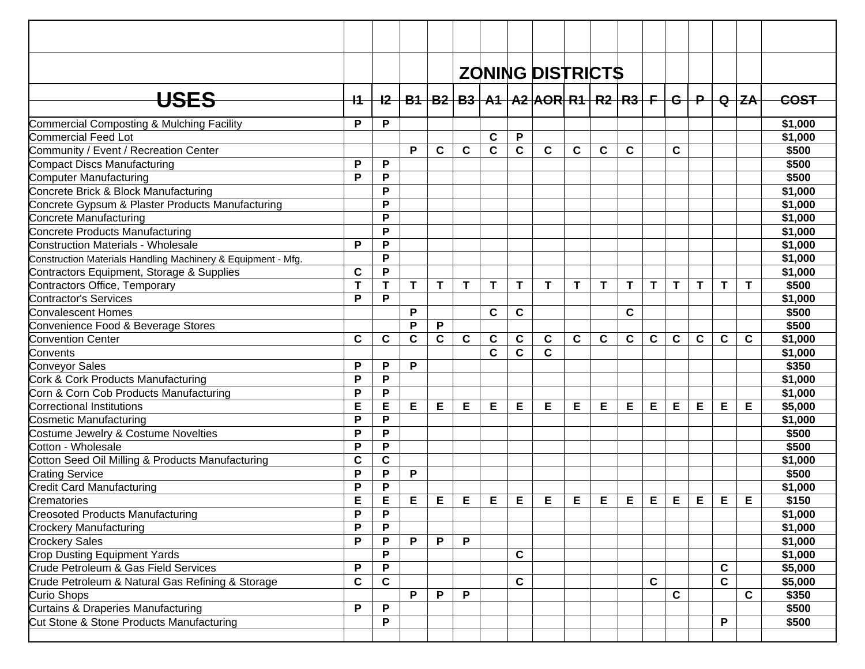|                                                              |             |              |              |             |             |             |             | <b>ZONING DISTRICTS</b>                                             |             |   |              |              |              |             |              |           |             |
|--------------------------------------------------------------|-------------|--------------|--------------|-------------|-------------|-------------|-------------|---------------------------------------------------------------------|-------------|---|--------------|--------------|--------------|-------------|--------------|-----------|-------------|
|                                                              |             |              |              |             |             |             |             |                                                                     |             |   |              |              |              |             |              |           |             |
| <b>USES</b>                                                  | -11-        |              |              |             |             |             |             | <u>I2   B1   B2   B3   A1   A2  AOR  R1   R2   R3   F   G   P  </u> |             |   |              |              |              |             |              | $Q$ $Z$ A | <b>COST</b> |
| Commercial Composting & Mulching Facility                    | P           | P            |              |             |             |             |             |                                                                     |             |   |              |              |              |             |              |           | \$1,000     |
| Commercial Feed Lot                                          |             |              |              |             |             | C           | P           |                                                                     |             |   |              |              |              |             |              |           | \$1,000     |
| Community / Event / Recreation Center                        |             |              | P            | C           | $\mathbf c$ | $\mathbf c$ | C           | $\mathbf c$                                                         | C           | C | C            |              | C            |             |              |           | \$500       |
| Compact Discs Manufacturing                                  | P           | P            |              |             |             |             |             |                                                                     |             |   |              |              |              |             |              |           | \$500       |
| <b>Computer Manufacturing</b>                                | P           | P            |              |             |             |             |             |                                                                     |             |   |              |              |              |             |              |           | \$500       |
| Concrete Brick & Block Manufacturing                         |             | P            |              |             |             |             |             |                                                                     |             |   |              |              |              |             |              |           | \$1,000     |
| Concrete Gypsum & Plaster Products Manufacturing             |             | P            |              |             |             |             |             |                                                                     |             |   |              |              |              |             |              |           | \$1,000     |
| Concrete Manufacturing                                       |             | P            |              |             |             |             |             |                                                                     |             |   |              |              |              |             |              |           | \$1,000     |
| Concrete Products Manufacturing                              |             | P            |              |             |             |             |             |                                                                     |             |   |              |              |              |             |              |           | \$1,000     |
| Construction Materials - Wholesale                           | P           | P            |              |             |             |             |             |                                                                     |             |   |              |              |              |             |              |           | \$1,000     |
| Construction Materials Handling Machinery & Equipment - Mfg. |             | P            |              |             |             |             |             |                                                                     |             |   |              |              |              |             |              |           | \$1,000     |
| Contractors Equipment, Storage & Supplies                    | $\mathbf c$ | P            |              |             |             |             |             |                                                                     |             |   |              |              |              |             |              |           | \$1,000     |
| Contractors Office, Temporary                                | T           | T            | T            | T           | Т           | Т           | T           | T                                                                   | Т           | T | т            | T            | T            | Т           | T            | T         | \$500       |
| <b>Contractor's Services</b>                                 | P           | P            |              |             |             |             |             |                                                                     |             |   |              |              |              |             |              |           | \$1,000     |
| <b>Convalescent Homes</b>                                    |             |              | P            |             |             | $\mathbf c$ | C           |                                                                     |             |   | $\mathbf{C}$ |              |              |             |              |           | \$500       |
| Convenience Food & Beverage Stores                           |             |              | P            | P           |             |             |             |                                                                     |             |   |              |              |              |             |              |           | \$500       |
| <b>Convention Center</b>                                     | $\mathbf c$ | $\mathbf c$  | $\mathbf{C}$ | $\mathbf C$ | C           | $\mathbf c$ | $\mathbf c$ | $\mathbf c$                                                         | $\mathbf c$ | C | $\mathbf c$  | $\mathbf c$  | $\mathbf{C}$ | $\mathbf c$ | $\mathbf c$  | C         | \$1,000     |
| Convents                                                     |             |              |              |             |             | $\mathbf C$ | C           | $\mathbf C$                                                         |             |   |              |              |              |             |              |           | \$1,000     |
| <b>Conveyor Sales</b>                                        | P           | P            | P            |             |             |             |             |                                                                     |             |   |              |              |              |             |              |           | \$350       |
| Cork & Cork Products Manufacturing                           | P           | P            |              |             |             |             |             |                                                                     |             |   |              |              |              |             |              |           | \$1,000     |
| Corn & Corn Cob Products Manufacturing                       | P           | P            |              |             |             |             |             |                                                                     |             |   |              |              |              |             |              |           | \$1,000     |
| <b>Correctional Institutions</b>                             | E           | E            | Е            | Е           | E           | Е           | E           | E                                                                   | Е           | Е | E            | E            | E            | Е           | Е            | Е         | \$5,000     |
| Cosmetic Manufacturing                                       | P           | P            |              |             |             |             |             |                                                                     |             |   |              |              |              |             |              |           | \$1,000     |
| Costume Jewelry & Costume Novelties                          | P           | P            |              |             |             |             |             |                                                                     |             |   |              |              |              |             |              |           | \$500       |
| Cotton - Wholesale                                           | P           | P            |              |             |             |             |             |                                                                     |             |   |              |              |              |             |              |           | \$500       |
| Cotton Seed Oil Milling & Products Manufacturing             | C           | $\mathbf c$  |              |             |             |             |             |                                                                     |             |   |              |              |              |             |              |           | \$1,000     |
| <b>Crating Service</b>                                       | P           | P            | P            |             |             |             |             |                                                                     |             |   |              |              |              |             |              |           | \$500       |
| <b>Credit Card Manufacturing</b>                             | P           | P            |              |             |             |             |             |                                                                     |             |   |              |              |              |             |              |           | \$1,000     |
| Crematories                                                  | E           | E            | Е            | Е           | Е           | E           | Е           | E                                                                   | Е           | Е | E            | Е            | E            | Е           | E            | Е         | \$150       |
| <b>Creosoted Products Manufacturing</b>                      | P           | P            |              |             |             |             |             |                                                                     |             |   |              |              |              |             |              |           | \$1,000     |
| <b>Crockery Manufacturing</b>                                | P           | P            |              |             |             |             |             |                                                                     |             |   |              |              |              |             |              |           | \$1,000     |
| <b>Crockery Sales</b>                                        | P           | P            | P            | P           | P           |             |             |                                                                     |             |   |              |              |              |             |              |           | \$1,000     |
| <b>Crop Dusting Equipment Yards</b>                          |             | P            |              |             |             |             | C           |                                                                     |             |   |              |              |              |             |              |           | \$1,000     |
| Crude Petroleum & Gas Field Services                         | P           | P            |              |             |             |             |             |                                                                     |             |   |              |              |              |             | $\mathbf c$  |           | \$5,000     |
| Crude Petroleum & Natural Gas Refining & Storage             | $\mathbf c$ | $\mathbf{C}$ |              |             |             |             | $\mathbf c$ |                                                                     |             |   |              | $\mathbf{C}$ |              |             | $\mathbf c$  |           | \$5,000     |
| Curio Shops                                                  |             |              | P            | P           | P           |             |             |                                                                     |             |   |              |              | $\mathbf c$  |             |              | C         | \$350       |
| Curtains & Draperies Manufacturing                           | P           | P            |              |             |             |             |             |                                                                     |             |   |              |              |              |             |              |           | \$500       |
| Cut Stone & Stone Products Manufacturing                     |             | P            |              |             |             |             |             |                                                                     |             |   |              |              |              |             | $\mathsf{P}$ |           | \$500       |
|                                                              |             |              |              |             |             |             |             |                                                                     |             |   |              |              |              |             |              |           |             |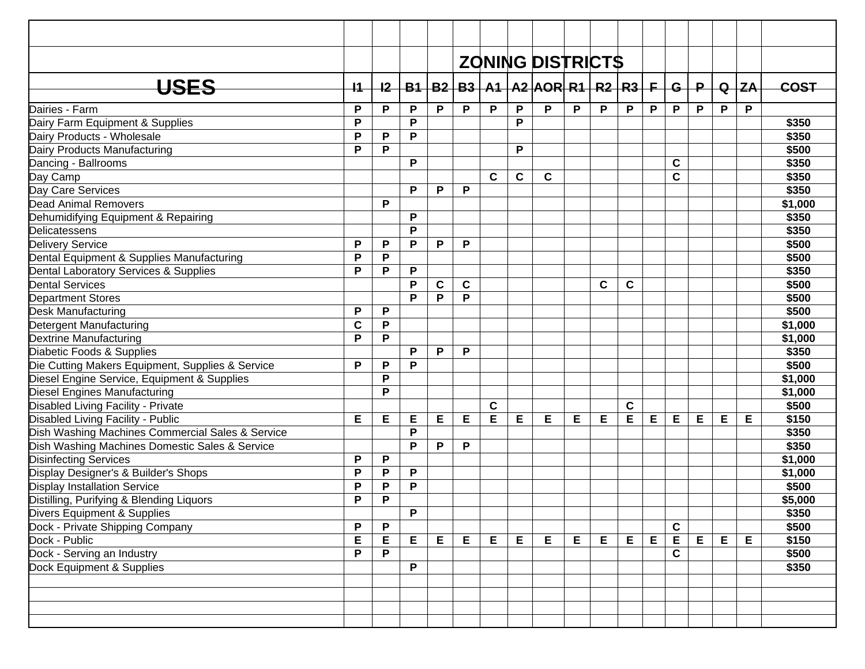|                                                  |             |    |   |   |             |             |             | <b>ZONING DISTRICTS</b>                           |   |   |             |             |              |              |             |          |             |
|--------------------------------------------------|-------------|----|---|---|-------------|-------------|-------------|---------------------------------------------------|---|---|-------------|-------------|--------------|--------------|-------------|----------|-------------|
| <b>USES</b>                                      | $+4$        | 12 |   |   |             |             |             | $B1   B2   B3   A1   A2   AOR   R1   R2   R3   F$ |   |   |             |             | $\mathbf{G}$ | $\mathsf{P}$ |             | $Q$ $ZA$ | <b>COST</b> |
| Dairies - Farm                                   | P           | P  | P | P | P           | P           | P           | P                                                 | P | P | P           | P           | P            | P            | P           | P        |             |
| Dairy Farm Equipment & Supplies                  | P           |    | P |   |             |             | P           |                                                   |   |   |             |             |              |              |             |          | \$350       |
| Dairy Products - Wholesale                       | P           | P  | P |   |             |             |             |                                                   |   |   |             |             |              |              |             |          | \$350       |
| Dairy Products Manufacturing                     | P           | P  |   |   |             |             | P           |                                                   |   |   |             |             |              |              |             |          | \$500       |
| Dancing - Ballrooms                              |             |    | P |   |             |             |             |                                                   |   |   |             |             | $\mathbf c$  |              |             |          | \$350       |
| Day Camp                                         |             |    |   |   |             | $\mathbf c$ | $\mathbf c$ | $\mathbf c$                                       |   |   |             |             | $\mathbf c$  |              |             |          | \$350       |
| Day Care Services                                |             |    | P | P | P           |             |             |                                                   |   |   |             |             |              |              |             |          | \$350       |
| <b>Dead Animal Removers</b>                      |             | P  |   |   |             |             |             |                                                   |   |   |             |             |              |              |             |          | \$1,000     |
| Dehumidifying Equipment & Repairing              |             |    | P |   |             |             |             |                                                   |   |   |             |             |              |              |             |          | \$350       |
| Delicatessens                                    |             |    | P |   |             |             |             |                                                   |   |   |             |             |              |              |             |          | \$350       |
| <b>Delivery Service</b>                          | P           | P  | P | P | P           |             |             |                                                   |   |   |             |             |              |              |             |          | \$500       |
| Dental Equipment & Supplies Manufacturing        | P           | P  |   |   |             |             |             |                                                   |   |   |             |             |              |              |             |          | \$500       |
| Dental Laboratory Services & Supplies            | P           | P  | P |   |             |             |             |                                                   |   |   |             |             |              |              |             |          | \$350       |
| <b>Dental Services</b>                           |             |    | P | C | $\mathbf c$ |             |             |                                                   |   | C | C           |             |              |              |             |          | \$500       |
| <b>Department Stores</b>                         |             |    | P | P | P           |             |             |                                                   |   |   |             |             |              |              |             |          | \$500       |
| <b>Desk Manufacturing</b>                        | P           | P  |   |   |             |             |             |                                                   |   |   |             |             |              |              |             |          | \$500       |
| Detergent Manufacturing                          | $\mathbf c$ | P  |   |   |             |             |             |                                                   |   |   |             |             |              |              |             |          | \$1,000     |
| <b>Dextrine Manufacturing</b>                    | P           | P  |   |   |             |             |             |                                                   |   |   |             |             |              |              |             |          | \$1,000     |
| Diabetic Foods & Supplies                        |             |    | P | P | P           |             |             |                                                   |   |   |             |             |              |              |             |          | \$350       |
| Die Cutting Makers Equipment, Supplies & Service | P           | P  | P |   |             |             |             |                                                   |   |   |             |             |              |              |             |          | \$500       |
| Diesel Engine Service, Equipment & Supplies      |             | P  |   |   |             |             |             |                                                   |   |   |             |             |              |              |             |          | \$1,000     |
| Diesel Engines Manufacturing                     |             | P  |   |   |             |             |             |                                                   |   |   |             |             |              |              |             |          | \$1,000     |
| Disabled Living Facility - Private               |             |    |   |   |             | $\mathbf c$ |             |                                                   |   |   | $\mathbf c$ |             |              |              |             |          | \$500       |
| Disabled Living Facility - Public                | E           | Е  | E | Е | E           | E           | E           | E                                                 | Е | E | E           | Е           | Е            | Е            | E           | Е        | \$150       |
| Dish Washing Machines Commercial Sales & Service |             |    | P |   |             |             |             |                                                   |   |   |             |             |              |              |             |          | \$350       |
| Dish Washing Machines Domestic Sales & Service   |             |    | P | P | P           |             |             |                                                   |   |   |             |             |              |              |             |          | \$350       |
| <b>Disinfecting Services</b>                     | P           | P  |   |   |             |             |             |                                                   |   |   |             |             |              |              |             |          | \$1,000     |
| Display Designer's & Builder's Shops             | P           | P  | Ρ |   |             |             |             |                                                   |   |   |             |             |              |              |             |          | \$1,000     |
| <b>Display Installation Service</b>              | P           | P  | P |   |             |             |             |                                                   |   |   |             |             |              |              |             |          | \$500       |
| Distilling, Purifying & Blending Liquors         | P           | P  |   |   |             |             |             |                                                   |   |   |             |             |              |              |             |          | \$5,000     |
| Divers Equipment & Supplies                      |             |    | P |   |             |             |             |                                                   |   |   |             |             |              |              |             |          | \$350       |
| Dock - Private Shipping Company                  | P           | P  |   |   |             |             |             |                                                   |   |   |             |             | $\mathbf{C}$ |              |             |          | \$500       |
| Dock - Public                                    | E           | Е  | Е | E | E           | E           | Е           | E                                                 | E | Е | Е           | $E_{\perp}$ | E            | E            | $\mathsf E$ | E        | \$150       |
| Dock - Serving an Industry                       | P           | P  |   |   |             |             |             |                                                   |   |   |             |             | $\mathbf{C}$ |              |             |          | \$500       |
| Dock Equipment & Supplies                        |             |    | P |   |             |             |             |                                                   |   |   |             |             |              |              |             |          | \$350       |
|                                                  |             |    |   |   |             |             |             |                                                   |   |   |             |             |              |              |             |          |             |
|                                                  |             |    |   |   |             |             |             |                                                   |   |   |             |             |              |              |             |          |             |
|                                                  |             |    |   |   |             |             |             |                                                   |   |   |             |             |              |              |             |          |             |
|                                                  |             |    |   |   |             |             |             |                                                   |   |   |             |             |              |              |             |          |             |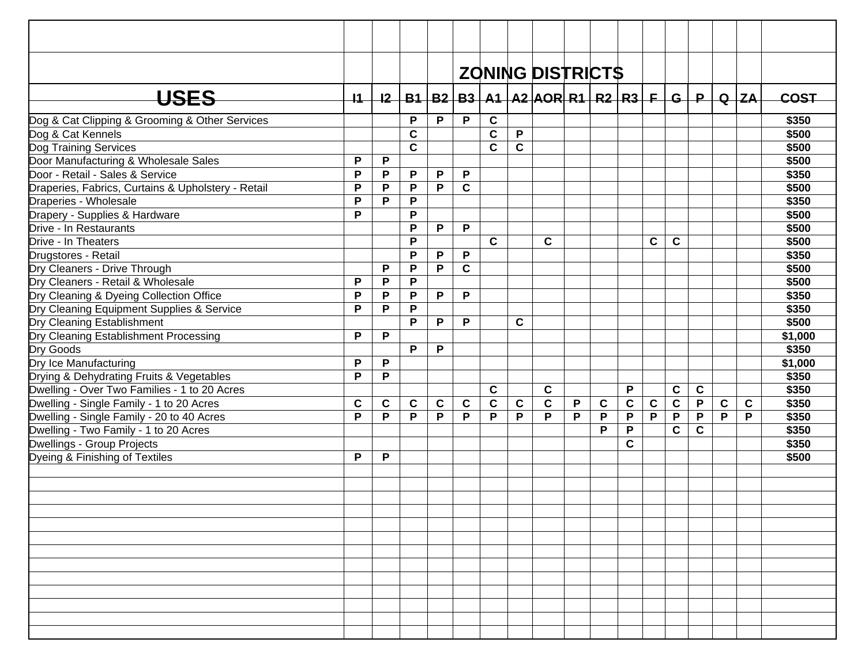|                                                    |             |             |              |             |             |             |             | <b>ZONING DISTRICTS</b>                               |   |             |             |             |                         |              |             |             |             |
|----------------------------------------------------|-------------|-------------|--------------|-------------|-------------|-------------|-------------|-------------------------------------------------------|---|-------------|-------------|-------------|-------------------------|--------------|-------------|-------------|-------------|
|                                                    |             |             |              |             |             |             |             |                                                       |   |             |             |             |                         |              |             |             |             |
| <b>USES</b>                                        | 11          | 12          |              |             |             |             |             | B1   B2   B3   A1   A2  AOR  R1   R2   R3   F   G   P |   |             |             |             |                         |              |             | $Q$ $ZA$    | <b>COST</b> |
| Dog & Cat Clipping & Grooming & Other Services     |             |             | P            | P           | P           | $\mathbf c$ |             |                                                       |   |             |             |             |                         |              |             |             | \$350       |
| Dog & Cat Kennels                                  |             |             | C            |             |             | $\mathbf c$ | P           |                                                       |   |             |             |             |                         |              |             |             | \$500       |
| Dog Training Services                              |             |             | $\mathbf{C}$ |             |             | $\mathbf c$ | $\mathbf c$ |                                                       |   |             |             |             |                         |              |             |             | \$500       |
| Door Manufacturing & Wholesale Sales               | P           | P           |              |             |             |             |             |                                                       |   |             |             |             |                         |              |             |             | \$500       |
| Door - Retail - Sales & Service                    | P           | P           | P            | P           | P           |             |             |                                                       |   |             |             |             |                         |              |             |             | \$350       |
| Draperies, Fabrics, Curtains & Upholstery - Retail | P           | P           | P            | P           | $\mathbf c$ |             |             |                                                       |   |             |             |             |                         |              |             |             | \$500       |
| Draperies - Wholesale                              | P           | P           | P            |             |             |             |             |                                                       |   |             |             |             |                         |              |             |             | \$350       |
| Drapery - Supplies & Hardware                      | P           |             | P            |             |             |             |             |                                                       |   |             |             |             |                         |              |             |             | \$500       |
| Drive - In Restaurants                             |             |             | P            | P           | P           |             |             |                                                       |   |             |             |             |                         |              |             |             | \$500       |
| Drive - In Theaters                                |             |             | P            |             |             | $\mathbf c$ |             | $\mathbf c$                                           |   |             |             | C           | $\mathbf c$             |              |             |             | \$500       |
| Drugstores - Retail                                |             |             | P            | P           | P           |             |             |                                                       |   |             |             |             |                         |              |             |             | \$350       |
| Dry Cleaners - Drive Through                       |             | P           | P            | P           | $\mathbf c$ |             |             |                                                       |   |             |             |             |                         |              |             |             | \$500       |
| Dry Cleaners - Retail & Wholesale                  | P           | P           | P            |             |             |             |             |                                                       |   |             |             |             |                         |              |             |             | \$500       |
| Dry Cleaning & Dyeing Collection Office            | P           | P           | P            | P           | P           |             |             |                                                       |   |             |             |             |                         |              |             |             | \$350       |
| Dry Cleaning Equipment Supplies & Service          | P           | P           | P            |             |             |             |             |                                                       |   |             |             |             |                         |              |             |             | \$350       |
| Dry Cleaning Establishment                         |             |             | P            | P           | P           |             | C           |                                                       |   |             |             |             |                         |              |             |             | \$500       |
| Dry Cleaning Establishment Processing              | P           | P           |              |             |             |             |             |                                                       |   |             |             |             |                         |              |             |             | \$1,000     |
| Dry Goods                                          |             |             | P            | P           |             |             |             |                                                       |   |             |             |             |                         |              |             |             | \$350       |
| Dry Ice Manufacturing                              | P           | $\mathsf P$ |              |             |             |             |             |                                                       |   |             |             |             |                         |              |             |             | \$1,000     |
| Drying & Dehydrating Fruits & Vegetables           | P           | P           |              |             |             |             |             |                                                       |   |             |             |             |                         |              |             |             | \$350       |
| Dwelling - Over Two Families - 1 to 20 Acres       |             |             |              |             |             | $\mathbf c$ |             | $\mathbf c$                                           |   |             | P           |             | C                       | $\mathbf c$  |             |             | \$350       |
| Dwelling - Single Family - 1 to 20 Acres           | $\mathbf c$ | $\mathbf c$ | $\mathbf c$  | $\mathbf c$ | $\mathbf c$ | $\mathbf C$ | $\mathbf c$ | $\mathbf c$                                           | P | $\mathbf c$ | $\mathbf c$ | $\mathbf c$ | $\overline{\mathbf{c}}$ | P            | $\mathbf c$ | $\mathbf c$ | \$350       |
| Dwelling - Single Family - 20 to 40 Acres          | P           | P           | P            | P           | P           | P           | P           | P                                                     | P | P           | P           | P           | P                       | P            | P           | P           | \$350       |
| Dwelling - Two Family - 1 to 20 Acres              |             |             |              |             |             |             |             |                                                       |   | P           | P           |             | $\mathbf c$             | $\mathbf{C}$ |             |             | \$350       |
| Dwellings - Group Projects                         |             |             |              |             |             |             |             |                                                       |   |             | $\mathbf c$ |             |                         |              |             |             | \$350       |
| Dyeing & Finishing of Textiles                     | P           | P           |              |             |             |             |             |                                                       |   |             |             |             |                         |              |             |             | \$500       |
|                                                    |             |             |              |             |             |             |             |                                                       |   |             |             |             |                         |              |             |             |             |
|                                                    |             |             |              |             |             |             |             |                                                       |   |             |             |             |                         |              |             |             |             |
|                                                    |             |             |              |             |             |             |             |                                                       |   |             |             |             |                         |              |             |             |             |
|                                                    |             |             |              |             |             |             |             |                                                       |   |             |             |             |                         |              |             |             |             |
|                                                    |             |             |              |             |             |             |             |                                                       |   |             |             |             |                         |              |             |             |             |
|                                                    |             |             |              |             |             |             |             |                                                       |   |             |             |             |                         |              |             |             |             |
|                                                    |             |             |              |             |             |             |             |                                                       |   |             |             |             |                         |              |             |             |             |
|                                                    |             |             |              |             |             |             |             |                                                       |   |             |             |             |                         |              |             |             |             |
|                                                    |             |             |              |             |             |             |             |                                                       |   |             |             |             |                         |              |             |             |             |
|                                                    |             |             |              |             |             |             |             |                                                       |   |             |             |             |                         |              |             |             |             |
|                                                    |             |             |              |             |             |             |             |                                                       |   |             |             |             |                         |              |             |             |             |
|                                                    |             |             |              |             |             |             |             |                                                       |   |             |             |             |                         |              |             |             |             |
|                                                    |             |             |              |             |             |             |             |                                                       |   |             |             |             |                         |              |             |             |             |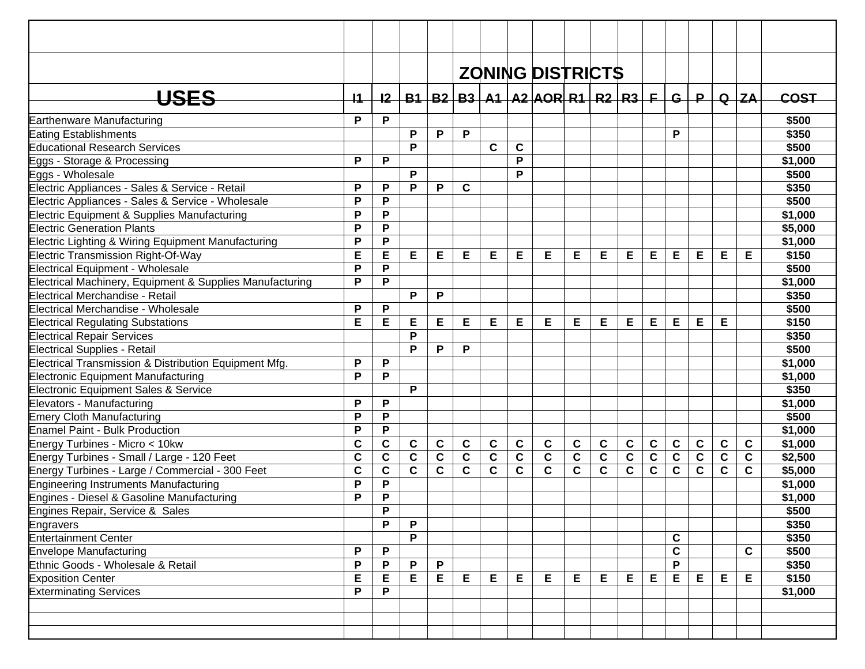| <b>ZONING DISTRICTS</b><br>USES<br>B1   B2   B3   A1   A2   AOR   R1   R2   R3   F  <br>$\mathsf{P}$<br>$Q$ $ZA$<br>11<br>12<br>-G l<br><b>COST</b><br>P<br>P<br>\$500<br>Earthenware Manufacturing<br>P<br>P<br>P<br>P<br>\$350<br><b>Eating Establishments</b><br>$\mathbf c$<br><b>Educational Research Services</b><br>P<br>\$500<br>C<br>P<br>P<br>P<br>\$1,000<br>Eggs - Storage & Processing<br>P<br>P<br>Eggs - Wholesale<br>\$500<br>P<br>P<br>Electric Appliances - Sales & Service - Retail<br>P<br>$\mathbf c$<br>\$350<br>P<br>P<br>P<br>\$500<br>Electric Appliances - Sales & Service - Wholesale |  |
|------------------------------------------------------------------------------------------------------------------------------------------------------------------------------------------------------------------------------------------------------------------------------------------------------------------------------------------------------------------------------------------------------------------------------------------------------------------------------------------------------------------------------------------------------------------------------------------------------------------|--|
|                                                                                                                                                                                                                                                                                                                                                                                                                                                                                                                                                                                                                  |  |
|                                                                                                                                                                                                                                                                                                                                                                                                                                                                                                                                                                                                                  |  |
|                                                                                                                                                                                                                                                                                                                                                                                                                                                                                                                                                                                                                  |  |
|                                                                                                                                                                                                                                                                                                                                                                                                                                                                                                                                                                                                                  |  |
|                                                                                                                                                                                                                                                                                                                                                                                                                                                                                                                                                                                                                  |  |
|                                                                                                                                                                                                                                                                                                                                                                                                                                                                                                                                                                                                                  |  |
|                                                                                                                                                                                                                                                                                                                                                                                                                                                                                                                                                                                                                  |  |
|                                                                                                                                                                                                                                                                                                                                                                                                                                                                                                                                                                                                                  |  |
|                                                                                                                                                                                                                                                                                                                                                                                                                                                                                                                                                                                                                  |  |
|                                                                                                                                                                                                                                                                                                                                                                                                                                                                                                                                                                                                                  |  |
|                                                                                                                                                                                                                                                                                                                                                                                                                                                                                                                                                                                                                  |  |
|                                                                                                                                                                                                                                                                                                                                                                                                                                                                                                                                                                                                                  |  |
| P<br>P<br>Electric Equipment & Supplies Manufacturing<br>\$1,000                                                                                                                                                                                                                                                                                                                                                                                                                                                                                                                                                 |  |
| P<br>P<br>\$5,000<br><b>Electric Generation Plants</b>                                                                                                                                                                                                                                                                                                                                                                                                                                                                                                                                                           |  |
| P<br>P<br>Electric Lighting & Wiring Equipment Manufacturing<br>\$1,000                                                                                                                                                                                                                                                                                                                                                                                                                                                                                                                                          |  |
| E<br>E<br>E<br>E<br>E<br>E<br><b>Electric Transmission Right-Of-Way</b><br>E<br>Е<br>Е<br>Е<br>Е<br>E<br>Е<br>Е<br>Е<br>\$150<br>Е                                                                                                                                                                                                                                                                                                                                                                                                                                                                               |  |
| P<br>P<br>\$500<br><b>Electrical Equipment - Wholesale</b>                                                                                                                                                                                                                                                                                                                                                                                                                                                                                                                                                       |  |
| $\mathsf{P}$<br>P<br>Electrical Machinery, Equipment & Supplies Manufacturing<br>\$1,000                                                                                                                                                                                                                                                                                                                                                                                                                                                                                                                         |  |
| Electrical Merchandise - Retail<br>P<br>P<br>\$350                                                                                                                                                                                                                                                                                                                                                                                                                                                                                                                                                               |  |
| P<br>Electrical Merchandise - Wholesale<br>P<br>\$500                                                                                                                                                                                                                                                                                                                                                                                                                                                                                                                                                            |  |
| E<br>E<br>E<br>Е<br>Е<br>Е<br>Е<br>Е<br>Е<br>Е<br>Е<br>Е<br>Е<br>Е<br>Е<br>\$150<br><b>Electrical Regulating Substations</b>                                                                                                                                                                                                                                                                                                                                                                                                                                                                                     |  |
| P<br><b>Electrical Repair Services</b><br>\$350                                                                                                                                                                                                                                                                                                                                                                                                                                                                                                                                                                  |  |
| P<br>P<br>P<br>\$500<br><b>Electrical Supplies - Retail</b>                                                                                                                                                                                                                                                                                                                                                                                                                                                                                                                                                      |  |
| Electrical Transmission & Distribution Equipment Mfg.<br>P<br>P<br>\$1,000                                                                                                                                                                                                                                                                                                                                                                                                                                                                                                                                       |  |
| P<br><b>Electronic Equipment Manufacturing</b><br>P<br>\$1,000                                                                                                                                                                                                                                                                                                                                                                                                                                                                                                                                                   |  |
| P<br>\$350<br>Electronic Equipment Sales & Service                                                                                                                                                                                                                                                                                                                                                                                                                                                                                                                                                               |  |
| P<br>P<br>\$1,000<br>Elevators - Manufacturing                                                                                                                                                                                                                                                                                                                                                                                                                                                                                                                                                                   |  |
| $\mathsf{P}$<br>P<br><b>Emery Cloth Manufacturing</b><br>\$500                                                                                                                                                                                                                                                                                                                                                                                                                                                                                                                                                   |  |
| P<br>P<br>\$1,000<br><b>Enamel Paint - Bulk Production</b>                                                                                                                                                                                                                                                                                                                                                                                                                                                                                                                                                       |  |
| $\mathbf c$<br>$\mathbf c$<br>$\mathbf c$<br>$\mathbf c$<br>$\mathbf c$<br>$\mathbf c$<br>$\mathbf c$<br>$\mathbf C$<br>$\mathbf c$<br>$\mathbf c$<br>$\mathbf c$<br>$\mathbf c$<br>$\mathbf c$<br>$\mathbf c$<br>$\mathbf c$<br>$\mathbf c$<br>\$1,000<br>Energy Turbines - Micro < 10kw                                                                                                                                                                                                                                                                                                                        |  |
| $\mathbf c$<br>$\mathbf c$<br>$\mathbf c$<br>$\mathbf c$<br>$\mathbf C$<br>$\mathbf c$<br>$\mathbf C$<br>$\mathbf c$<br>$\mathbf c$<br>$\mathbf c$<br>$\mathbf c$<br>$\mathbf C$<br>$\mathbf c$<br>$\mathbf{C}$<br>$\mathbf c$<br>$\mathbf c$<br>\$2,500<br>Energy Turbines - Small / Large - 120 Feet                                                                                                                                                                                                                                                                                                           |  |
| $\mathbf{C}$<br>$\mathbf{C}$<br>$\mathbf{C}$<br>$\mathbf c$<br>$\mathbf c$<br>C<br>$\mathbf c$<br>$\mathbf{C}$<br>C<br>$\mathbf{C}$<br>$\mathbf c$<br>$\mathbf c$<br>$\mathbf c$<br>$\mathbf{C}$<br>$\mathbf c$<br>C<br>\$5,000<br>Energy Turbines - Large / Commercial - 300 Feet                                                                                                                                                                                                                                                                                                                               |  |
| P<br>P<br>Engineering Instruments Manufacturing<br>\$1,000                                                                                                                                                                                                                                                                                                                                                                                                                                                                                                                                                       |  |
| P<br>P<br>Engines - Diesel & Gasoline Manufacturing<br>\$1,000                                                                                                                                                                                                                                                                                                                                                                                                                                                                                                                                                   |  |
| P<br>Engines Repair, Service & Sales<br>\$500                                                                                                                                                                                                                                                                                                                                                                                                                                                                                                                                                                    |  |
| P<br>\$350<br>P<br>Engravers                                                                                                                                                                                                                                                                                                                                                                                                                                                                                                                                                                                     |  |
| <b>Entertainment Center</b><br>P<br>$\mathbf c$<br>\$350                                                                                                                                                                                                                                                                                                                                                                                                                                                                                                                                                         |  |
| $\mathbf C$<br>\$500<br><b>Envelope Manufacturing</b><br>P<br>P<br>C                                                                                                                                                                                                                                                                                                                                                                                                                                                                                                                                             |  |
| P<br>P<br>P<br>\$350<br>Ethnic Goods - Wholesale & Retail<br>P<br>P                                                                                                                                                                                                                                                                                                                                                                                                                                                                                                                                              |  |
| E<br>E<br>Е<br>E<br>E.<br>\$150<br><b>Exposition Center</b><br>E<br>E.<br>Е<br>Е<br>Е<br>Е<br>E<br>E<br>E<br>Е<br>Е                                                                                                                                                                                                                                                                                                                                                                                                                                                                                              |  |
| P<br><b>Exterminating Services</b><br>P<br>\$1,000                                                                                                                                                                                                                                                                                                                                                                                                                                                                                                                                                               |  |
|                                                                                                                                                                                                                                                                                                                                                                                                                                                                                                                                                                                                                  |  |
|                                                                                                                                                                                                                                                                                                                                                                                                                                                                                                                                                                                                                  |  |
|                                                                                                                                                                                                                                                                                                                                                                                                                                                                                                                                                                                                                  |  |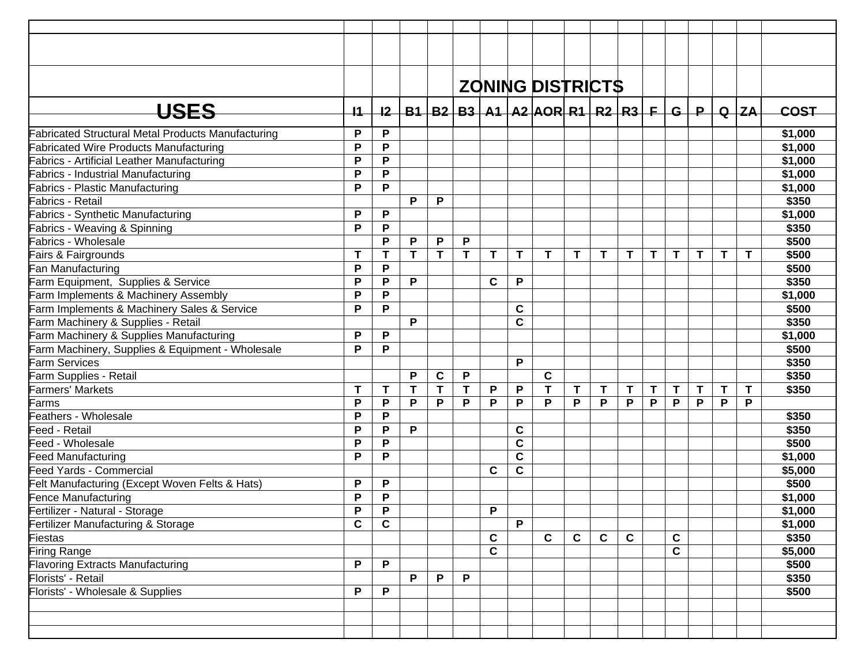|                                                           |             |             |   |              |   |             |             | <b>ZONING DISTRICTS</b>                                       |              |             |              |    |              |              |    |              |             |
|-----------------------------------------------------------|-------------|-------------|---|--------------|---|-------------|-------------|---------------------------------------------------------------|--------------|-------------|--------------|----|--------------|--------------|----|--------------|-------------|
| USES                                                      | $+1$        |             |   |              |   |             |             | <u>I2   B1   B2   B3   A1   A2   AOR   R1   R2   R3   F  </u> |              |             |              |    | $-$ G $+$    | $\mathsf P$  |    | $Q$ $ZA$     | <b>COST</b> |
| <b>Fabricated Structural Metal Products Manufacturing</b> | P           | P           |   |              |   |             |             |                                                               |              |             |              |    |              |              |    |              | \$1,000     |
| <b>Fabricated Wire Products Manufacturing</b>             | P           | P           |   |              |   |             |             |                                                               |              |             |              |    |              |              |    |              | \$1,000     |
| <b>Fabrics - Artificial Leather Manufacturing</b>         | P           | P           |   |              |   |             |             |                                                               |              |             |              |    |              |              |    |              | \$1,000     |
| <b>Fabrics - Industrial Manufacturing</b>                 | P           | P           |   |              |   |             |             |                                                               |              |             |              |    |              |              |    |              | \$1,000     |
| <b>Fabrics - Plastic Manufacturing</b>                    | P           | P           |   |              |   |             |             |                                                               |              |             |              |    |              |              |    |              | \$1,000     |
| <b>Fabrics - Retail</b>                                   |             |             | P | P            |   |             |             |                                                               |              |             |              |    |              |              |    |              | \$350       |
| <b>Fabrics - Synthetic Manufacturing</b>                  | P           | P           |   |              |   |             |             |                                                               |              |             |              |    |              |              |    |              | \$1,000     |
| Fabrics - Weaving & Spinning                              | P           | P           |   |              |   |             |             |                                                               |              |             |              |    |              |              |    |              | \$350       |
| Fabrics - Wholesale                                       |             | P           | P | P            | P |             |             |                                                               |              |             |              |    |              |              |    |              | \$500       |
| Fairs & Fairgrounds                                       | Т           | т           | Т | T            | T | $\mathbf T$ | T           | $\mathbf{T}$                                                  | T.           | T           | T            | T. | $\mathbf{T}$ | $\mathsf{T}$ | T. | Τ            | \$500       |
| Fan Manufacturing                                         | P           | P           |   |              |   |             |             |                                                               |              |             |              |    |              |              |    |              | \$500       |
| Farm Equipment, Supplies & Service                        | P           | P           | P |              |   | C           | P           |                                                               |              |             |              |    |              |              |    |              | \$350       |
| Farm Implements & Machinery Assembly                      | P           | P           |   |              |   |             |             |                                                               |              |             |              |    |              |              |    |              | \$1,000     |
| Farm Implements & Machinery Sales & Service               | P           | P           |   |              |   |             | C           |                                                               |              |             |              |    |              |              |    |              | \$500       |
| Farm Machinery & Supplies - Retail                        |             |             | P |              |   |             | C           |                                                               |              |             |              |    |              |              |    |              | \$350       |
| Farm Machinery & Supplies Manufacturing                   | P           | P           |   |              |   |             |             |                                                               |              |             |              |    |              |              |    |              | \$1,000     |
| Farm Machinery, Supplies & Equipment - Wholesale          | P           | P           |   |              |   |             |             |                                                               |              |             |              |    |              |              |    |              | \$500       |
| Farm Services                                             |             |             |   |              |   |             | P           |                                                               |              |             |              |    |              |              |    |              | \$350       |
| Farm Supplies - Retail                                    |             |             | P | C            | P |             |             | $\mathbf c$                                                   |              |             |              |    |              |              |    |              | \$350       |
| <b>Farmers' Markets</b>                                   | T           | T           | T | $\mathbf{T}$ | T | P           | P           | T                                                             | Τ            | Τ           | T            | T  | Τ            | T            | T  | $\mathsf{T}$ | \$350       |
| Farms                                                     | P           | P           | P | P            | P | P           | P           | P                                                             | P            | P           | P            | P  | P            | P            | P  | P            |             |
| Feathers - Wholesale                                      | P           | P           |   |              |   |             |             |                                                               |              |             |              |    |              |              |    |              | \$350       |
| Feed - Retail                                             | P           | P           | P |              |   |             | C           |                                                               |              |             |              |    |              |              |    |              | \$350       |
| Feed - Wholesale                                          | P           | P           |   |              |   |             | C           |                                                               |              |             |              |    |              |              |    |              | \$500       |
| <b>Feed Manufacturing</b>                                 | P           | P           |   |              |   |             | C           |                                                               |              |             |              |    |              |              |    |              | \$1,000     |
| Feed Yards - Commercial                                   |             |             |   |              |   | $\mathbf c$ | $\mathbf c$ |                                                               |              |             |              |    |              |              |    |              | \$5,000     |
| Felt Manufacturing (Except Woven Felts & Hats)            | P           | P           |   |              |   |             |             |                                                               |              |             |              |    |              |              |    |              | \$500       |
| <b>Fence Manufacturing</b>                                | P           | P           |   |              |   |             |             |                                                               |              |             |              |    |              |              |    |              | \$1,000     |
| Fertilizer - Natural - Storage                            | P           | P           |   |              |   | P           |             |                                                               |              |             |              |    |              |              |    |              | \$1,000     |
| Fertilizer Manufacturing & Storage                        | $\mathbf c$ | $\mathbf c$ |   |              |   |             | P           |                                                               |              |             |              |    |              |              |    |              | \$1,000     |
| Fiestas                                                   |             |             |   |              |   | C           |             | $\overline{c}$                                                | $\mathbf{C}$ | $\mathbf c$ | $\mathbf{C}$ |    | $\mathbf c$  |              |    |              | \$350       |
| Firing Range                                              |             |             |   |              |   | $\mathbf c$ |             |                                                               |              |             |              |    | $\mathbf c$  |              |    |              | \$5,000     |
| <b>Flavoring Extracts Manufacturing</b>                   | P           | P           |   |              |   |             |             |                                                               |              |             |              |    |              |              |    |              | \$500       |
| Florists' - Retail                                        |             |             | P | P            | P |             |             |                                                               |              |             |              |    |              |              |    |              | \$350       |
| Florists' - Wholesale & Supplies                          | P           | $\mathsf P$ |   |              |   |             |             |                                                               |              |             |              |    |              |              |    |              | \$500       |
|                                                           |             |             |   |              |   |             |             |                                                               |              |             |              |    |              |              |    |              |             |
|                                                           |             |             |   |              |   |             |             |                                                               |              |             |              |    |              |              |    |              |             |
|                                                           |             |             |   |              |   |             |             |                                                               |              |             |              |    |              |              |    |              |             |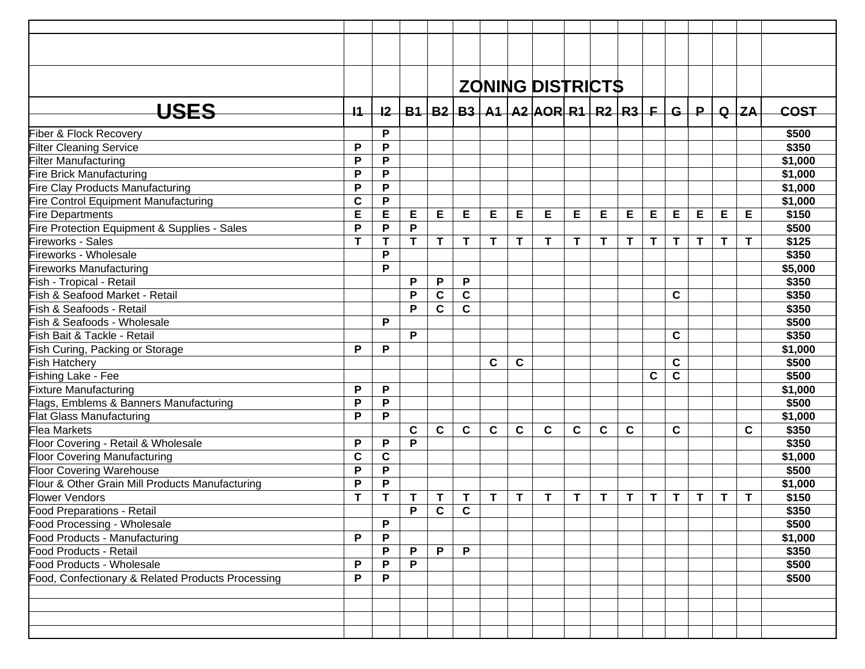|                                                   |             |              |             |              |              |             |             | <b>ZONING DISTRICTS</b>                           |   |   |             |    |             |              |   |             |             |
|---------------------------------------------------|-------------|--------------|-------------|--------------|--------------|-------------|-------------|---------------------------------------------------|---|---|-------------|----|-------------|--------------|---|-------------|-------------|
| <b>USES</b>                                       | $+1$        | $+2-$        |             |              |              |             |             | $B1   B2   B3   A1   A2   AOR   R1   R2   R3   F$ |   |   |             |    |             | $G+P$        |   | $Q$ $ZA$    | <b>COST</b> |
| Fiber & Flock Recovery                            |             | P            |             |              |              |             |             |                                                   |   |   |             |    |             |              |   |             | \$500       |
| <b>Filter Cleaning Service</b>                    | P           | P            |             |              |              |             |             |                                                   |   |   |             |    |             |              |   |             | \$350       |
| Filter Manufacturing                              | P           | P            |             |              |              |             |             |                                                   |   |   |             |    |             |              |   |             | \$1,000     |
| Fire Brick Manufacturing                          | P           | P            |             |              |              |             |             |                                                   |   |   |             |    |             |              |   |             | \$1,000     |
| Fire Clay Products Manufacturing                  | P           | P            |             |              |              |             |             |                                                   |   |   |             |    |             |              |   |             | \$1,000     |
| Fire Control Equipment Manufacturing              | $\mathbf c$ | $\mathsf P$  |             |              |              |             |             |                                                   |   |   |             |    |             |              |   |             | \$1,000     |
| <b>Fire Departments</b>                           | E           | E            | Е           | Е            | Е            | Е           | Е           | Е                                                 | Е | Е | Е           | Е  | E           | E            | Е | E           | \$150       |
| Fire Protection Equipment & Supplies - Sales      | P           | P            | P           |              |              |             |             |                                                   |   |   |             |    |             |              |   |             | \$500       |
| Fireworks - Sales                                 | $\mathbf T$ | $\mathbf{T}$ | T.          | T            | T            | T           | T           | T                                                 | Τ | T | T           | T. | T.          | $\mathbf{T}$ | T | $\mathsf T$ | \$125       |
| Fireworks - Wholesale                             |             | P            |             |              |              |             |             |                                                   |   |   |             |    |             |              |   |             | \$350       |
| <b>Fireworks Manufacturing</b>                    |             | P            |             |              |              |             |             |                                                   |   |   |             |    |             |              |   |             | \$5,000     |
| Fish - Tropical - Retail                          |             |              | P           | P            | P            |             |             |                                                   |   |   |             |    |             |              |   |             | \$350       |
| Fish & Seafood Market - Retail                    |             |              | P           | $\mathbf c$  | $\mathbf c$  |             |             |                                                   |   |   |             |    | C           |              |   |             | \$350       |
| Fish & Seafoods - Retail                          |             |              | P           | $\mathbf{C}$ | $\mathbf c$  |             |             |                                                   |   |   |             |    |             |              |   |             | \$350       |
| Fish & Seafoods - Wholesale                       |             | P            |             |              |              |             |             |                                                   |   |   |             |    |             |              |   |             | \$500       |
| Fish Bait & Tackle - Retail                       |             |              | P           |              |              |             |             |                                                   |   |   |             |    | C           |              |   |             | \$350       |
| Fish Curing, Packing or Storage                   | P           | P            |             |              |              |             |             |                                                   |   |   |             |    |             |              |   |             | \$1,000     |
| <b>Fish Hatchery</b>                              |             |              |             |              |              | $\mathbf c$ | $\mathbf c$ |                                                   |   |   |             |    | $\mathbf c$ |              |   |             | \$500       |
| Fishing Lake - Fee                                |             |              |             |              |              |             |             |                                                   |   |   |             | C  | $\mathbf c$ |              |   |             | \$500       |
| <b>Fixture Manufacturing</b>                      | P           | P            |             |              |              |             |             |                                                   |   |   |             |    |             |              |   |             | \$1,000     |
| Flags, Emblems & Banners Manufacturing            | P           | P            |             |              |              |             |             |                                                   |   |   |             |    |             |              |   |             | \$500       |
| <b>Flat Glass Manufacturing</b>                   | P           | P            |             |              |              |             |             |                                                   |   |   |             |    |             |              |   |             | \$1,000     |
| <b>Flea Markets</b>                               |             |              | $\mathbf c$ | C            | C            | C           | C           | $\mathbf c$                                       | C | C | $\mathbf c$ |    | C           |              |   | C           | \$350       |
| Floor Covering - Retail & Wholesale               | P           | P            | P           |              |              |             |             |                                                   |   |   |             |    |             |              |   |             | \$350       |
| <b>Floor Covering Manufacturing</b>               | C           | $\mathbf c$  |             |              |              |             |             |                                                   |   |   |             |    |             |              |   |             | \$1,000     |
| <b>Floor Covering Warehouse</b>                   | P           | P            |             |              |              |             |             |                                                   |   |   |             |    |             |              |   |             | \$500       |
| Flour & Other Grain Mill Products Manufacturing   | P           | P            |             |              |              |             |             |                                                   |   |   |             |    |             |              |   |             | \$1,000     |
| <b>Flower Vendors</b>                             | T           | Т            | Т           | Τ            | Т            | T           | T           | T                                                 | Τ | T | Τ           | T. | Τ           | T            | T | T           | \$150       |
| Food Preparations - Retail                        |             |              | P           | $\mathbf{C}$ | $\mathbf{C}$ |             |             |                                                   |   |   |             |    |             |              |   |             | \$350       |
| Food Processing - Wholesale                       |             | P            |             |              |              |             |             |                                                   |   |   |             |    |             |              |   |             | \$500       |
| Food Products - Manufacturing                     | P           | P            |             |              |              |             |             |                                                   |   |   |             |    |             |              |   |             | \$1,000     |
| Food Products - Retail                            |             | P            | P           | $\mathsf{P}$ | $\mathsf{P}$ |             |             |                                                   |   |   |             |    |             |              |   |             | \$350       |
| Food Products - Wholesale                         | P           | P            | P           |              |              |             |             |                                                   |   |   |             |    |             |              |   |             | \$500       |
| Food, Confectionary & Related Products Processing | P           | P            |             |              |              |             |             |                                                   |   |   |             |    |             |              |   |             | \$500       |
|                                                   |             |              |             |              |              |             |             |                                                   |   |   |             |    |             |              |   |             |             |
|                                                   |             |              |             |              |              |             |             |                                                   |   |   |             |    |             |              |   |             |             |
|                                                   |             |              |             |              |              |             |             |                                                   |   |   |             |    |             |              |   |             |             |
|                                                   |             |              |             |              |              |             |             |                                                   |   |   |             |    |             |              |   |             |             |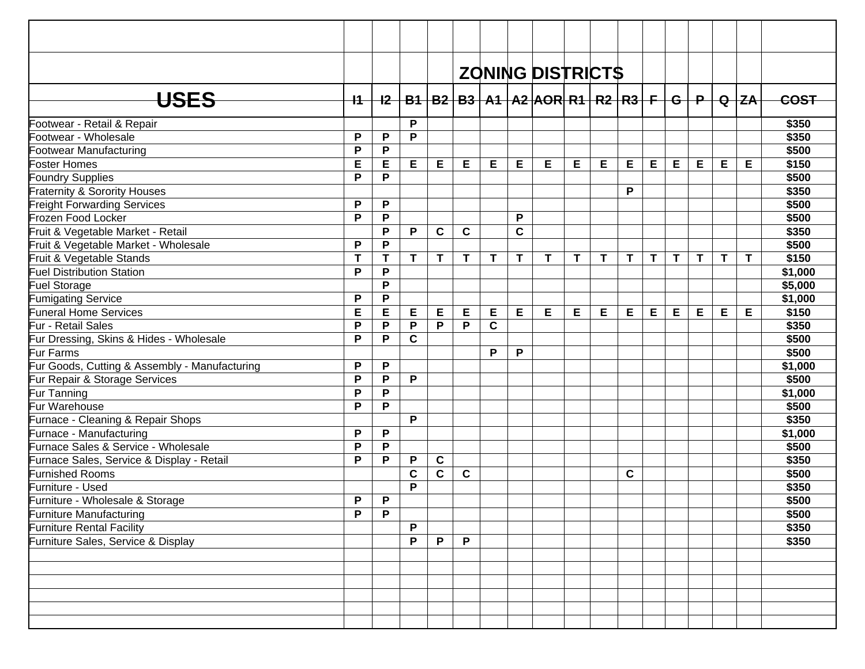|                                               |      |             |   |             |              |             |             | <b>ZONING DISTRICTS</b>                                             |   |   |   |    |              |   |   |             |             |
|-----------------------------------------------|------|-------------|---|-------------|--------------|-------------|-------------|---------------------------------------------------------------------|---|---|---|----|--------------|---|---|-------------|-------------|
| <b>USES</b>                                   | $+4$ |             |   |             |              |             |             | <u>I2   B1   B2   B3   A1   A2  AOR  R1   R2   R3   F   G   P  </u> |   |   |   |    |              |   |   | $Q$ $Z$ A   | <b>COST</b> |
|                                               |      |             |   |             |              |             |             |                                                                     |   |   |   |    |              |   |   |             |             |
| Footwear - Retail & Repair                    |      |             | P |             |              |             |             |                                                                     |   |   |   |    |              |   |   |             | \$350       |
| Footwear - Wholesale                          | P    | P           | P |             |              |             |             |                                                                     |   |   |   |    |              |   |   |             | \$350       |
| Footwear Manufacturing                        | P    | P           |   |             |              |             |             |                                                                     |   |   |   |    |              |   |   |             | \$500       |
| <b>Foster Homes</b>                           | E    | E           | E | Е           | Е            | E           | Е           | E                                                                   | Е | Е | E | E  | E.           | E | E | Е           | \$150       |
| <b>Foundry Supplies</b>                       | P    | P           |   |             |              |             |             |                                                                     |   |   |   |    |              |   |   |             | \$500       |
| <b>Fraternity &amp; Sorority Houses</b>       |      |             |   |             |              |             |             |                                                                     |   |   | P |    |              |   |   |             | \$350       |
| <b>Freight Forwarding Services</b>            | P    | P           |   |             |              |             |             |                                                                     |   |   |   |    |              |   |   |             | \$500       |
| Frozen Food Locker                            | P    | P           |   |             |              |             | P           |                                                                     |   |   |   |    |              |   |   |             | \$500       |
| Fruit & Vegetable Market - Retail             |      | P           | P | $\mathbf c$ | C            |             | $\mathbf c$ |                                                                     |   |   |   |    |              |   |   |             | \$350       |
| Fruit & Vegetable Market - Wholesale          | P    | P           |   |             |              |             |             |                                                                     |   |   |   |    |              |   |   |             | \$500       |
| Fruit & Vegetable Stands                      | T    | T           | T | $\mathbf T$ | $\mathsf{T}$ | $\mathbf T$ | T           | T                                                                   | T | T | T | T. | $\mathsf{T}$ | T | T | $\mathbf T$ | \$150       |
| <b>Fuel Distribution Station</b>              | P    | P           |   |             |              |             |             |                                                                     |   |   |   |    |              |   |   |             | \$1,000     |
| Fuel Storage                                  |      | P           |   |             |              |             |             |                                                                     |   |   |   |    |              |   |   |             | \$5,000     |
| <b>Fumigating Service</b>                     | P    | $\mathsf P$ |   |             |              |             |             |                                                                     |   |   |   |    |              |   |   |             | \$1,000     |
| <b>Funeral Home Services</b>                  | E    | E           | E | Е           | E            | E           | E           | E                                                                   | Е | E | Е | E  | E            | Е | Е | Е           | \$150       |
| Fur - Retail Sales                            | P    | P           | P | P           | P            | $\mathbf C$ |             |                                                                     |   |   |   |    |              |   |   |             | \$350       |
| Fur Dressing, Skins & Hides - Wholesale       | P    | P           | C |             |              |             |             |                                                                     |   |   |   |    |              |   |   |             | \$500       |
| Fur Farms                                     |      |             |   |             |              | P           | P           |                                                                     |   |   |   |    |              |   |   |             | \$500       |
| Fur Goods, Cutting & Assembly - Manufacturing | P    | P           |   |             |              |             |             |                                                                     |   |   |   |    |              |   |   |             | \$1,000     |
| Fur Repair & Storage Services                 | P    | P           | P |             |              |             |             |                                                                     |   |   |   |    |              |   |   |             | \$500       |
| Fur Tanning                                   | P    | P           |   |             |              |             |             |                                                                     |   |   |   |    |              |   |   |             | \$1,000     |
| Fur Warehouse                                 | P    | P           |   |             |              |             |             |                                                                     |   |   |   |    |              |   |   |             | \$500       |
| Furnace - Cleaning & Repair Shops             |      |             | P |             |              |             |             |                                                                     |   |   |   |    |              |   |   |             | \$350       |
| Furnace - Manufacturing                       | P    | $\mathsf P$ |   |             |              |             |             |                                                                     |   |   |   |    |              |   |   |             | \$1,000     |
| Furnace Sales & Service - Wholesale           | P    | P           |   |             |              |             |             |                                                                     |   |   |   |    |              |   |   |             | \$500       |
| Furnace Sales, Service & Display - Retail     | P    | P           | P | $\mathbf c$ |              |             |             |                                                                     |   |   |   |    |              |   |   |             | \$350       |
| <b>Furnished Rooms</b>                        |      |             | C | $\mathbf c$ | C            |             |             |                                                                     |   |   | C |    |              |   |   |             | \$500       |
| Furniture - Used                              |      |             | P |             |              |             |             |                                                                     |   |   |   |    |              |   |   |             | \$350       |
| Furniture - Wholesale & Storage               | P    | P           |   |             |              |             |             |                                                                     |   |   |   |    |              |   |   |             | \$500       |
| Furniture Manufacturing                       | P    | $\mathsf P$ |   |             |              |             |             |                                                                     |   |   |   |    |              |   |   |             | \$500       |
| <b>Furniture Rental Facility</b>              |      |             | P |             |              |             |             |                                                                     |   |   |   |    |              |   |   |             | \$350       |
| Furniture Sales, Service & Display            |      |             | P | P           | P            |             |             |                                                                     |   |   |   |    |              |   |   |             | \$350       |
|                                               |      |             |   |             |              |             |             |                                                                     |   |   |   |    |              |   |   |             |             |
|                                               |      |             |   |             |              |             |             |                                                                     |   |   |   |    |              |   |   |             |             |
|                                               |      |             |   |             |              |             |             |                                                                     |   |   |   |    |              |   |   |             |             |
|                                               |      |             |   |             |              |             |             |                                                                     |   |   |   |    |              |   |   |             |             |
|                                               |      |             |   |             |              |             |             |                                                                     |   |   |   |    |              |   |   |             |             |
|                                               |      |             |   |             |              |             |             |                                                                     |   |   |   |    |              |   |   |             |             |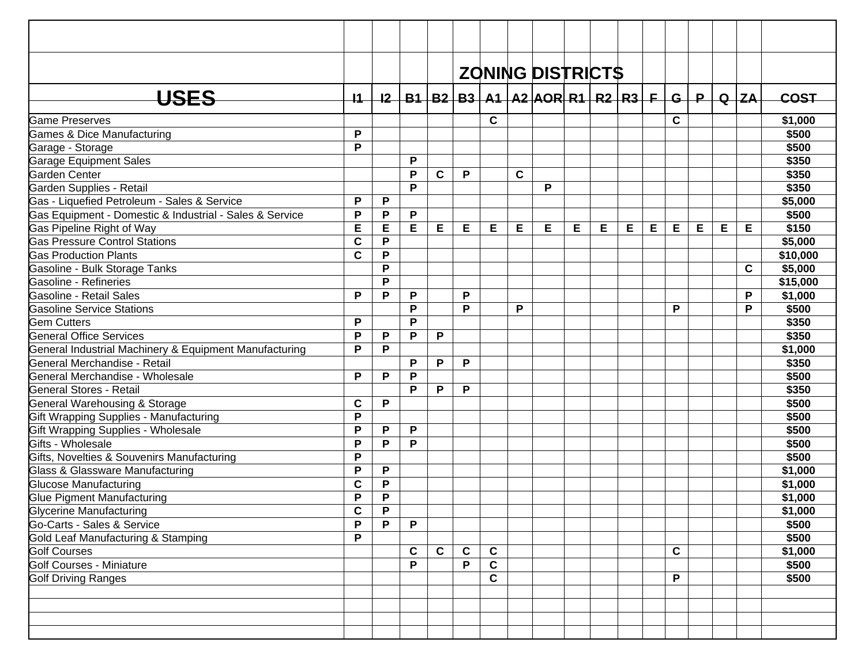|                                                         |             |                           |              |             |             |             |   | <b>ZONING DISTRICTS</b>                                     |   |   |   |   |             |     |   |            |             |
|---------------------------------------------------------|-------------|---------------------------|--------------|-------------|-------------|-------------|---|-------------------------------------------------------------|---|---|---|---|-------------|-----|---|------------|-------------|
| USES                                                    | 11          |                           |              |             |             |             |   | <u>I2   B1   B2   B3   A1   A2  AOR  R1   R2   R3   F  </u> |   |   |   |   |             | G/P |   | $Q$ $ ZA $ | <b>COST</b> |
|                                                         |             |                           |              |             |             |             |   |                                                             |   |   |   |   |             |     |   |            |             |
| <b>Game Preserves</b>                                   |             |                           |              |             |             | C           |   |                                                             |   |   |   |   | C           |     |   |            | \$1,000     |
| Games & Dice Manufacturing                              | P           |                           |              |             |             |             |   |                                                             |   |   |   |   |             |     |   |            | \$500       |
| Garage - Storage                                        | P           |                           |              |             |             |             |   |                                                             |   |   |   |   |             |     |   |            | \$500       |
| <b>Garage Equipment Sales</b>                           |             |                           | P            |             |             |             |   |                                                             |   |   |   |   |             |     |   |            | \$350       |
| Garden Center                                           |             |                           | P            | $\mathbf c$ | P           |             | C |                                                             |   |   |   |   |             |     |   |            | \$350       |
| Garden Supplies - Retail                                |             |                           | P            |             |             |             |   | P                                                           |   |   |   |   |             |     |   |            | \$350       |
| Gas - Liquefied Petroleum - Sales & Service             | P           | P                         |              |             |             |             |   |                                                             |   |   |   |   |             |     |   |            | \$5,000     |
| Gas Equipment - Domestic & Industrial - Sales & Service | P           | P                         | P            |             |             |             |   |                                                             |   |   |   |   |             |     |   |            | \$500       |
| Gas Pipeline Right of Way                               | E           | E                         | E            | Е           | Е           | Е           | E | Е                                                           | Е | Е | Е | E | E           | Е   | Е | Е          | \$150       |
| Gas Pressure Control Stations                           | $\mathbf c$ | P                         |              |             |             |             |   |                                                             |   |   |   |   |             |     |   |            | \$5,000     |
| <b>Gas Production Plants</b>                            | $\mathbf c$ | P                         |              |             |             |             |   |                                                             |   |   |   |   |             |     |   |            | \$10,000    |
| Gasoline - Bulk Storage Tanks                           |             | P                         |              |             |             |             |   |                                                             |   |   |   |   |             |     |   | C          | \$5,000     |
| Gasoline - Refineries                                   |             | P                         |              |             |             |             |   |                                                             |   |   |   |   |             |     |   |            | \$15,000    |
| Gasoline - Retail Sales                                 | P           | P                         | P            |             | P           |             |   |                                                             |   |   |   |   |             |     |   | P          | \$1,000     |
| <b>Gasoline Service Stations</b>                        |             |                           | P            |             | P           |             | P |                                                             |   |   |   |   | P           |     |   | P          | \$500       |
| <b>Gem Cutters</b>                                      | P           |                           | P            |             |             |             |   |                                                             |   |   |   |   |             |     |   |            | \$350       |
| <b>General Office Services</b>                          | P           | P                         | P            | P           |             |             |   |                                                             |   |   |   |   |             |     |   |            | \$350       |
| General Industrial Machinery & Equipment Manufacturing  | P           | P                         |              |             |             |             |   |                                                             |   |   |   |   |             |     |   |            | \$1,000     |
| General Merchandise - Retail                            |             |                           | P            | P           | P           |             |   |                                                             |   |   |   |   |             |     |   |            | \$350       |
| General Merchandise - Wholesale                         | P           | P                         | P            |             |             |             |   |                                                             |   |   |   |   |             |     |   |            | \$500       |
| General Stores - Retail                                 |             |                           | P            | P           | P           |             |   |                                                             |   |   |   |   |             |     |   |            | \$350       |
| General Warehousing & Storage                           | $\mathbf c$ | $\mathsf P$               |              |             |             |             |   |                                                             |   |   |   |   |             |     |   |            | \$500       |
| Gift Wrapping Supplies - Manufacturing                  | P           |                           |              |             |             |             |   |                                                             |   |   |   |   |             |     |   |            | \$500       |
| Gift Wrapping Supplies - Wholesale                      | P           | P                         | $\mathsf{P}$ |             |             |             |   |                                                             |   |   |   |   |             |     |   |            | \$500       |
| Gifts - Wholesale                                       | P           | P                         | P            |             |             |             |   |                                                             |   |   |   |   |             |     |   |            | \$500       |
| Gifts, Novelties & Souvenirs Manufacturing              | P           |                           |              |             |             |             |   |                                                             |   |   |   |   |             |     |   |            | \$500       |
| Glass & Glassware Manufacturing                         | P           | P                         |              |             |             |             |   |                                                             |   |   |   |   |             |     |   |            | \$1,000     |
| <b>Glucose Manufacturing</b>                            | $\mathbf c$ | P                         |              |             |             |             |   |                                                             |   |   |   |   |             |     |   |            | \$1,000     |
| Glue Pigment Manufacturing                              | P           | P                         |              |             |             |             |   |                                                             |   |   |   |   |             |     |   |            | \$1,000     |
| Glycerine Manufacturing                                 | $\mathbf c$ | $\boldsymbol{\mathsf{P}}$ |              |             |             |             |   |                                                             |   |   |   |   |             |     |   |            | \$1,000     |
| Go-Carts - Sales & Service                              | P           | P                         | P            |             |             |             |   |                                                             |   |   |   |   |             |     |   |            | \$500       |
| Gold Leaf Manufacturing & Stamping                      | P           |                           |              |             |             |             |   |                                                             |   |   |   |   |             |     |   |            | \$500       |
| <b>Golf Courses</b>                                     |             |                           | C            | $\mathbf c$ | $\mathbf c$ | C           |   |                                                             |   |   |   |   | $\mathbf c$ |     |   |            | \$1,000     |
| Golf Courses - Miniature                                |             |                           | P            |             | P           | $\mathbf c$ |   |                                                             |   |   |   |   |             |     |   |            | \$500       |
| <b>Golf Driving Ranges</b>                              |             |                           |              |             |             | C           |   |                                                             |   |   |   |   | P           |     |   |            | \$500       |
|                                                         |             |                           |              |             |             |             |   |                                                             |   |   |   |   |             |     |   |            |             |
|                                                         |             |                           |              |             |             |             |   |                                                             |   |   |   |   |             |     |   |            |             |
|                                                         |             |                           |              |             |             |             |   |                                                             |   |   |   |   |             |     |   |            |             |
|                                                         |             |                           |              |             |             |             |   |                                                             |   |   |   |   |             |     |   |            |             |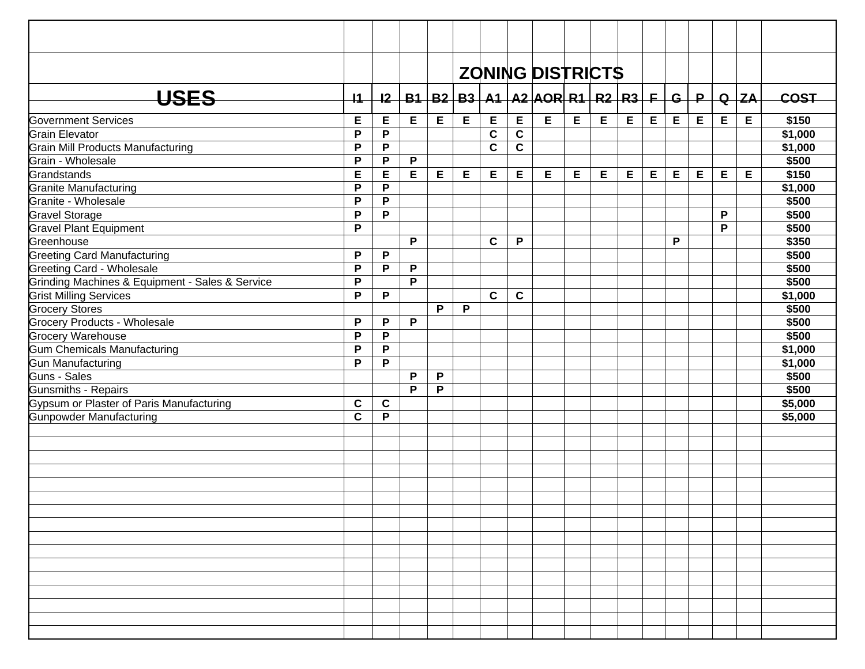|                                                 |                 |             |   |   |             |             |             | <b>ZONING DISTRICTS</b>                                               |   |   |   |   |   |   |              |          |             |
|-------------------------------------------------|-----------------|-------------|---|---|-------------|-------------|-------------|-----------------------------------------------------------------------|---|---|---|---|---|---|--------------|----------|-------------|
| <b>USES</b>                                     | $\overline{11}$ |             |   |   |             |             |             | <u>I2   B1   B2   B3   A1   A2   AOR   R1   R2   R3   F   G   P  </u> |   |   |   |   |   |   |              | $Q$ $ZA$ | <b>COST</b> |
|                                                 |                 |             |   |   |             |             |             |                                                                       |   |   |   |   |   |   |              |          |             |
| <b>Government Services</b>                      | Е               | E           | Е | E | $\mathsf E$ | E           | E           | E                                                                     | E | E | E | E | E | E | E            | E        | \$150       |
| <b>Grain Elevator</b>                           | P               | P           |   |   |             | $\mathbf c$ | $\mathbf c$ |                                                                       |   |   |   |   |   |   |              |          | \$1,000     |
| Grain Mill Products Manufacturing               | P               | P           |   |   |             | $\mathbf c$ | $\mathbf c$ |                                                                       |   |   |   |   |   |   |              |          | \$1,000     |
| Grain - Wholesale                               | P               | P           | P |   |             |             |             |                                                                       |   |   |   |   |   |   |              |          | \$500       |
| Grandstands                                     | Е               | E           | E | E | Е           | Е           | Е           | Е                                                                     | Е | Е | Е | E | E | E | E            | Е        | \$150       |
| <b>Granite Manufacturing</b>                    | P               | P           |   |   |             |             |             |                                                                       |   |   |   |   |   |   |              |          | \$1,000     |
| Granite - Wholesale                             | P               | P           |   |   |             |             |             |                                                                       |   |   |   |   |   |   |              |          | \$500       |
| <b>Gravel Storage</b>                           | P               | P           |   |   |             |             |             |                                                                       |   |   |   |   |   |   | P            |          | \$500       |
| <b>Gravel Plant Equipment</b>                   | $\mathsf{P}$    |             |   |   |             |             |             |                                                                       |   |   |   |   |   |   | $\mathsf{P}$ |          | \$500       |
| Greenhouse                                      |                 |             | P |   |             | $\mathbf c$ | P           |                                                                       |   |   |   |   | P |   |              |          | \$350       |
| <b>Greeting Card Manufacturing</b>              | P               | P           |   |   |             |             |             |                                                                       |   |   |   |   |   |   |              |          | \$500       |
| Greeting Card - Wholesale                       | $\mathsf{P}$    | P           | P |   |             |             |             |                                                                       |   |   |   |   |   |   |              |          | \$500       |
| Grinding Machines & Equipment - Sales & Service | $\mathsf{P}$    |             | P |   |             |             |             |                                                                       |   |   |   |   |   |   |              |          | \$500       |
| <b>Grist Milling Services</b>                   | P               | P           |   |   |             | C           | $\mathbf c$ |                                                                       |   |   |   |   |   |   |              |          | \$1,000     |
| <b>Grocery Stores</b>                           |                 |             |   | P | P           |             |             |                                                                       |   |   |   |   |   |   |              |          | \$500       |
| Grocery Products - Wholesale                    | P               | P           | P |   |             |             |             |                                                                       |   |   |   |   |   |   |              |          | \$500       |
| <b>Grocery Warehouse</b>                        | $\mathsf{P}$    | P           |   |   |             |             |             |                                                                       |   |   |   |   |   |   |              |          | \$500       |
| Gum Chemicals Manufacturing                     | P               | P           |   |   |             |             |             |                                                                       |   |   |   |   |   |   |              |          | \$1,000     |
| <b>Gun Manufacturing</b>                        | P               | P           |   |   |             |             |             |                                                                       |   |   |   |   |   |   |              |          | \$1,000     |
| Guns - Sales                                    |                 |             | P | P |             |             |             |                                                                       |   |   |   |   |   |   |              |          | \$500       |
| Gunsmiths - Repairs                             |                 |             | P | P |             |             |             |                                                                       |   |   |   |   |   |   |              |          | \$500       |
| Gypsum or Plaster of Paris Manufacturing        | $\mathbf c$     | $\mathbf c$ |   |   |             |             |             |                                                                       |   |   |   |   |   |   |              |          | \$5,000     |
| Gunpowder Manufacturing                         | $\mathbf c$     | P           |   |   |             |             |             |                                                                       |   |   |   |   |   |   |              |          | \$5,000     |
|                                                 |                 |             |   |   |             |             |             |                                                                       |   |   |   |   |   |   |              |          |             |
|                                                 |                 |             |   |   |             |             |             |                                                                       |   |   |   |   |   |   |              |          |             |
|                                                 |                 |             |   |   |             |             |             |                                                                       |   |   |   |   |   |   |              |          |             |
|                                                 |                 |             |   |   |             |             |             |                                                                       |   |   |   |   |   |   |              |          |             |
|                                                 |                 |             |   |   |             |             |             |                                                                       |   |   |   |   |   |   |              |          |             |
|                                                 |                 |             |   |   |             |             |             |                                                                       |   |   |   |   |   |   |              |          |             |
|                                                 |                 |             |   |   |             |             |             |                                                                       |   |   |   |   |   |   |              |          |             |
|                                                 |                 |             |   |   |             |             |             |                                                                       |   |   |   |   |   |   |              |          |             |
|                                                 |                 |             |   |   |             |             |             |                                                                       |   |   |   |   |   |   |              |          |             |
|                                                 |                 |             |   |   |             |             |             |                                                                       |   |   |   |   |   |   |              |          |             |
|                                                 |                 |             |   |   |             |             |             |                                                                       |   |   |   |   |   |   |              |          |             |
|                                                 |                 |             |   |   |             |             |             |                                                                       |   |   |   |   |   |   |              |          |             |
|                                                 |                 |             |   |   |             |             |             |                                                                       |   |   |   |   |   |   |              |          |             |
|                                                 |                 |             |   |   |             |             |             |                                                                       |   |   |   |   |   |   |              |          |             |
|                                                 |                 |             |   |   |             |             |             |                                                                       |   |   |   |   |   |   |              |          |             |
|                                                 |                 |             |   |   |             |             |             |                                                                       |   |   |   |   |   |   |              |          |             |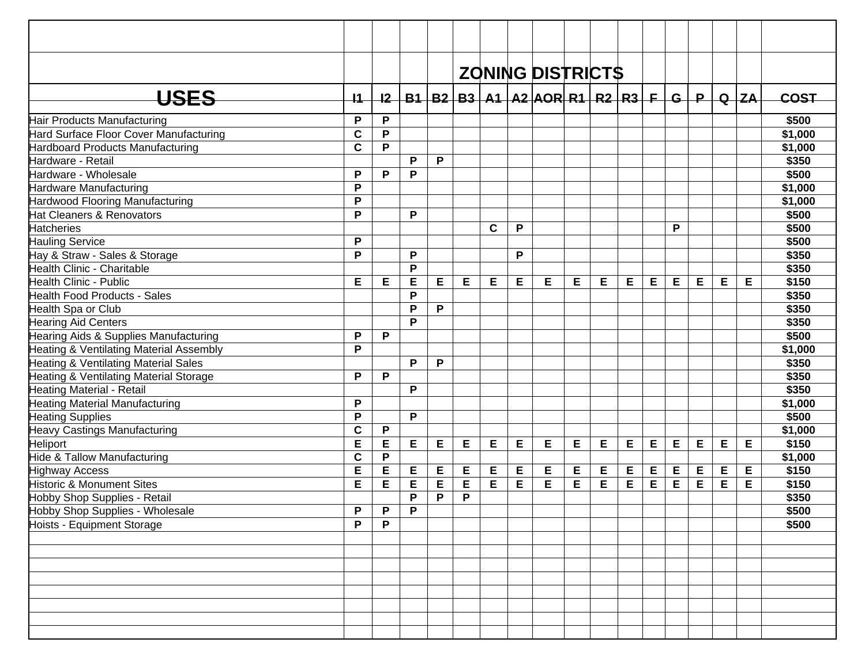|                                                 |              |           |    |   |   |             |   | <b>ZONING DISTRICTS</b>                           |   |   |   |   |   |     |   |          |             |
|-------------------------------------------------|--------------|-----------|----|---|---|-------------|---|---------------------------------------------------|---|---|---|---|---|-----|---|----------|-------------|
| <b>USES</b>                                     | 11           | 12        |    |   |   |             |   | $B1   B2   B3   A1   A2   AOR   R1   R2   R3   F$ |   |   |   |   |   | G/P |   | $Q$ $ZA$ | <b>COST</b> |
| Hair Products Manufacturing                     | P            | P         |    |   |   |             |   |                                                   |   |   |   |   |   |     |   |          | \$500       |
| Hard Surface Floor Cover Manufacturing          | $\mathbf c$  | ${\sf P}$ |    |   |   |             |   |                                                   |   |   |   |   |   |     |   |          | \$1,000     |
| Hardboard Products Manufacturing                | $\mathbf c$  | P         |    |   |   |             |   |                                                   |   |   |   |   |   |     |   |          | \$1,000     |
| Hardware - Retail                               |              |           | P  | P |   |             |   |                                                   |   |   |   |   |   |     |   |          | \$350       |
| Hardware - Wholesale                            | P            | P         | P  |   |   |             |   |                                                   |   |   |   |   |   |     |   |          | \$500       |
| Hardware Manufacturing                          | P            |           |    |   |   |             |   |                                                   |   |   |   |   |   |     |   |          | \$1,000     |
| Hardwood Flooring Manufacturing                 | P            |           |    |   |   |             |   |                                                   |   |   |   |   |   |     |   |          | \$1,000     |
| Hat Cleaners & Renovators                       | $\mathsf{P}$ |           | P  |   |   |             |   |                                                   |   |   |   |   |   |     |   |          | \$500       |
| <b>Hatcheries</b>                               |              |           |    |   |   | $\mathbf c$ | P |                                                   |   |   |   |   | P |     |   |          | \$500       |
| <b>Hauling Service</b>                          | P            |           |    |   |   |             |   |                                                   |   |   |   |   |   |     |   |          | \$500       |
| Hay & Straw - Sales & Storage                   | P            |           | P  |   |   |             | P |                                                   |   |   |   |   |   |     |   |          | \$350       |
| <b>Health Clinic - Charitable</b>               |              |           | P  |   |   |             |   |                                                   |   |   |   |   |   |     |   |          | \$350       |
| Health Clinic - Public                          | Е            | Е         | E  | Е | E | Е           | E | Е                                                 | Е | E | Е | Е | E | Е   | Е | Е        | \$150       |
| <b>Health Food Products - Sales</b>             |              |           | P  |   |   |             |   |                                                   |   |   |   |   |   |     |   |          | \$350       |
| Health Spa or Club                              |              |           | P  | P |   |             |   |                                                   |   |   |   |   |   |     |   |          | \$350       |
| <b>Hearing Aid Centers</b>                      |              |           | P  |   |   |             |   |                                                   |   |   |   |   |   |     |   |          | \$350       |
| Hearing Aids & Supplies Manufacturing           | P            | P         |    |   |   |             |   |                                                   |   |   |   |   |   |     |   |          | \$500       |
| Heating & Ventilating Material Assembly         | P            |           |    |   |   |             |   |                                                   |   |   |   |   |   |     |   |          | \$1,000     |
| <b>Heating &amp; Ventilating Material Sales</b> |              |           | P  | P |   |             |   |                                                   |   |   |   |   |   |     |   |          | \$350       |
| Heating & Ventilating Material Storage          | P            | P         |    |   |   |             |   |                                                   |   |   |   |   |   |     |   |          | \$350       |
| Heating Material - Retail                       |              |           | P  |   |   |             |   |                                                   |   |   |   |   |   |     |   |          | \$350       |
| Heating Material Manufacturing                  | $\mathsf{P}$ |           |    |   |   |             |   |                                                   |   |   |   |   |   |     |   |          | \$1,000     |
| <b>Heating Supplies</b>                         | P            |           | P  |   |   |             |   |                                                   |   |   |   |   |   |     |   |          | \$500       |
| Heavy Castings Manufacturing                    | $\mathbf c$  | P         |    |   |   |             |   |                                                   |   |   |   |   |   |     |   |          | \$1,000     |
| Heliport                                        | E            | E         | E  | Е | E | E           | E | Е                                                 | Е | E | Е | E | Е | Е   | Е | Е        | \$150       |
| Hide & Tallow Manufacturing                     | $\mathbf c$  | ${\sf P}$ |    |   |   |             |   |                                                   |   |   |   |   |   |     |   |          | \$1,000     |
| <b>Highway Access</b>                           | E            | E         | E  | Е | Е | E           | Ε | E                                                 | E | Е | E | E | Е | Е   | E | E        | \$150       |
| Historic & Monument Sites                       | E            | E         | E  | Ε | E | E           | E | E                                                 | E | E | E | E | E | Е   | Е | Е        | \$150       |
| Hobby Shop Supplies - Retail                    |              |           | P  | P | P |             |   |                                                   |   |   |   |   |   |     |   |          | \$350       |
| Hobby Shop Supplies - Wholesale                 | P            | P.        | P. |   |   |             |   |                                                   |   |   |   |   |   |     |   |          | \$500       |
| Hoists - Equipment Storage                      | P            | P         |    |   |   |             |   |                                                   |   |   |   |   |   |     |   |          | \$500       |
|                                                 |              |           |    |   |   |             |   |                                                   |   |   |   |   |   |     |   |          |             |
|                                                 |              |           |    |   |   |             |   |                                                   |   |   |   |   |   |     |   |          |             |
|                                                 |              |           |    |   |   |             |   |                                                   |   |   |   |   |   |     |   |          |             |
|                                                 |              |           |    |   |   |             |   |                                                   |   |   |   |   |   |     |   |          |             |
|                                                 |              |           |    |   |   |             |   |                                                   |   |   |   |   |   |     |   |          |             |
|                                                 |              |           |    |   |   |             |   |                                                   |   |   |   |   |   |     |   |          |             |
|                                                 |              |           |    |   |   |             |   |                                                   |   |   |   |   |   |     |   |          |             |
|                                                 |              |           |    |   |   |             |   |                                                   |   |   |   |   |   |     |   |          |             |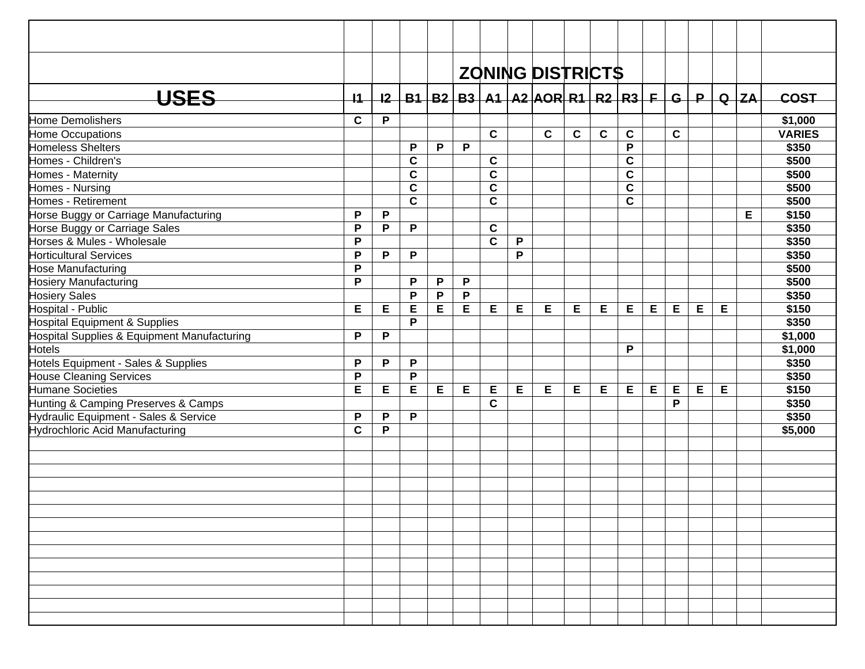|                                             |              |   |             |   |              |              |   | <b>ZONING DISTRICTS</b>                                               |              |             |             |   |             |   |   |        |               |
|---------------------------------------------|--------------|---|-------------|---|--------------|--------------|---|-----------------------------------------------------------------------|--------------|-------------|-------------|---|-------------|---|---|--------|---------------|
|                                             |              |   |             |   |              |              |   |                                                                       |              |             |             |   |             |   |   |        |               |
| <b>USES</b>                                 | $+1$         |   |             |   |              |              |   | <u>I2   B1   B2   B3   A1   A2   AOR   R1   R2   R3   F   G   P  </u> |              |             |             |   |             |   |   | $Q$ ZA | <b>COST</b>   |
| Home Demolishers                            | $\mathbf C$  | P |             |   |              |              |   |                                                                       |              |             |             |   |             |   |   |        | \$1,000       |
| Home Occupations                            |              |   |             |   |              | $\mathbf{C}$ |   | $\mathbf{C}$                                                          | $\mathbf{C}$ | $\mathbf c$ | $\mathbf c$ |   | $\mathbf c$ |   |   |        | <b>VARIES</b> |
| Homeless Shelters                           |              |   | P           | P | P            |              |   |                                                                       |              |             | P           |   |             |   |   |        | \$350         |
| Homes - Children's                          |              |   | $\mathbf c$ |   |              | $\mathbf c$  |   |                                                                       |              |             | $\mathbf c$ |   |             |   |   |        | \$500         |
| Homes - Maternity                           |              |   | $\mathbf C$ |   |              | $\mathbf c$  |   |                                                                       |              |             | $\mathbf c$ |   |             |   |   |        | \$500         |
| Homes - Nursing                             |              |   | $\mathbf c$ |   |              | $\mathbf c$  |   |                                                                       |              |             | $\mathbf c$ |   |             |   |   |        | \$500         |
| Homes - Retirement                          |              |   | $\mathbf C$ |   |              | $\mathbf c$  |   |                                                                       |              |             | $\mathbf c$ |   |             |   |   |        | \$500         |
| Horse Buggy or Carriage Manufacturing       | P            | P |             |   |              |              |   |                                                                       |              |             |             |   |             |   |   | Е      | \$150         |
| Horse Buggy or Carriage Sales               | $\mathsf{P}$ | P | P           |   |              | $\mathbf c$  |   |                                                                       |              |             |             |   |             |   |   |        | \$350         |
| Horses & Mules - Wholesale                  | P            |   |             |   |              | $\mathbf{C}$ | P |                                                                       |              |             |             |   |             |   |   |        | \$350         |
| <b>Horticultural Services</b>               | P            | P | P           |   |              |              | P |                                                                       |              |             |             |   |             |   |   |        | \$350         |
| Hose Manufacturing                          | P            |   |             |   |              |              |   |                                                                       |              |             |             |   |             |   |   |        | \$500         |
| <b>Hosiery Manufacturing</b>                | P            |   | P           | P | P            |              |   |                                                                       |              |             |             |   |             |   |   |        | \$500         |
| <b>Hosiery Sales</b>                        |              |   | P           | P | $\mathsf{P}$ |              |   |                                                                       |              |             |             |   |             |   |   |        | \$350         |
| Hospital - Public                           | Е            | E | E           | E | E            | E            | E | Е                                                                     | E            | E           | Е           | E | E           | E | Е |        | \$150         |
| Hospital Equipment & Supplies               |              |   | P           |   |              |              |   |                                                                       |              |             |             |   |             |   |   |        | \$350         |
| Hospital Supplies & Equipment Manufacturing | P            | P |             |   |              |              |   |                                                                       |              |             |             |   |             |   |   |        | \$1,000       |
| <b>Hotels</b>                               |              |   |             |   |              |              |   |                                                                       |              |             | P           |   |             |   |   |        | \$1,000       |
| Hotels Equipment - Sales & Supplies         | P            | P | P           |   |              |              |   |                                                                       |              |             |             |   |             |   |   |        | \$350         |
| <b>House Cleaning Services</b>              | $\mathsf{P}$ |   | P           |   |              |              |   |                                                                       |              |             |             |   |             |   |   |        | \$350         |
| <b>Humane Societies</b>                     | E            | E | E           | E | E            | E            | E | E                                                                     | Е            | Е           | E           | E | E           | E | E |        | \$150         |
| Hunting & Camping Preserves & Camps         |              |   |             |   |              | $\mathbf C$  |   |                                                                       |              |             |             |   | P           |   |   |        | \$350         |
| Hydraulic Equipment - Sales & Service       | $\mathsf{P}$ | P | P           |   |              |              |   |                                                                       |              |             |             |   |             |   |   |        | \$350         |
| Hydrochloric Acid Manufacturing             | $\mathbf C$  | P |             |   |              |              |   |                                                                       |              |             |             |   |             |   |   |        | \$5,000       |
|                                             |              |   |             |   |              |              |   |                                                                       |              |             |             |   |             |   |   |        |               |
|                                             |              |   |             |   |              |              |   |                                                                       |              |             |             |   |             |   |   |        |               |
|                                             |              |   |             |   |              |              |   |                                                                       |              |             |             |   |             |   |   |        |               |
|                                             |              |   |             |   |              |              |   |                                                                       |              |             |             |   |             |   |   |        |               |
|                                             |              |   |             |   |              |              |   |                                                                       |              |             |             |   |             |   |   |        |               |
|                                             |              |   |             |   |              |              |   |                                                                       |              |             |             |   |             |   |   |        |               |
|                                             |              |   |             |   |              |              |   |                                                                       |              |             |             |   |             |   |   |        |               |
|                                             |              |   |             |   |              |              |   |                                                                       |              |             |             |   |             |   |   |        |               |
|                                             |              |   |             |   |              |              |   |                                                                       |              |             |             |   |             |   |   |        |               |
|                                             |              |   |             |   |              |              |   |                                                                       |              |             |             |   |             |   |   |        |               |
|                                             |              |   |             |   |              |              |   |                                                                       |              |             |             |   |             |   |   |        |               |
|                                             |              |   |             |   |              |              |   |                                                                       |              |             |             |   |             |   |   |        |               |
|                                             |              |   |             |   |              |              |   |                                                                       |              |             |             |   |             |   |   |        |               |
|                                             |              |   |             |   |              |              |   |                                                                       |              |             |             |   |             |   |   |        |               |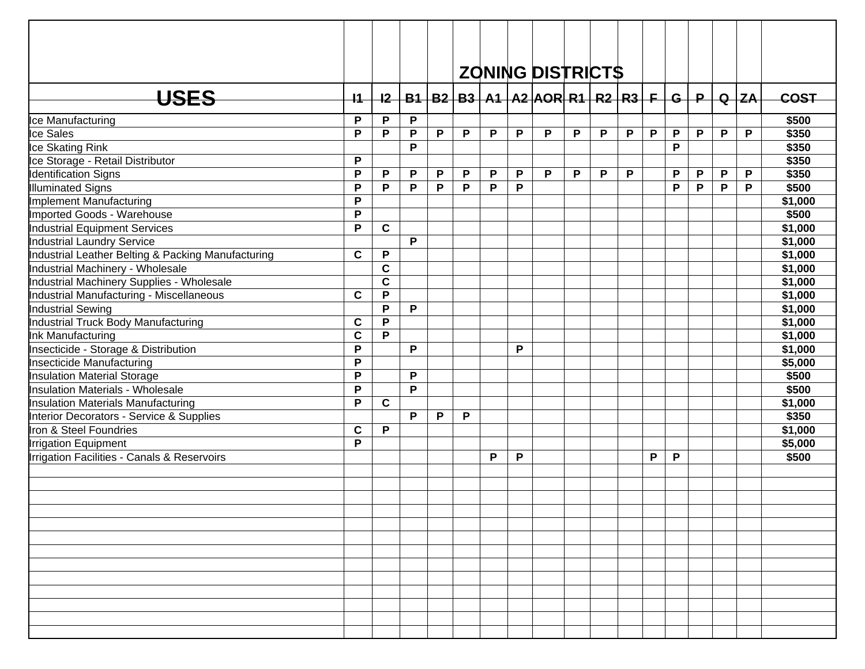|                                                    |              |              |   |   |   |   |   | <b>ZONING DISTRICTS</b>                                 |   |   |   |   |   |             |              |          |         |
|----------------------------------------------------|--------------|--------------|---|---|---|---|---|---------------------------------------------------------|---|---|---|---|---|-------------|--------------|----------|---------|
|                                                    |              |              |   |   |   |   |   |                                                         |   |   |   |   |   |             |              |          |         |
| <b>USES</b>                                        | $+1$         | 12           |   |   |   |   |   | B1   B2   B3   A1   A2   AOR   R1   R2   R3   F   G   P |   |   |   |   |   |             |              | $Q$ $ZA$ | COST    |
| Ice Manufacturing                                  | P            | P            | P |   |   |   |   |                                                         |   |   |   |   |   |             |              |          | \$500   |
| Ice Sales                                          | P            | P            | P | P | P | P | P | P                                                       | P | P | P | P | P | $\mathsf P$ | $\mathsf{P}$ | P        | \$350   |
| Ice Skating Rink                                   |              |              | P |   |   |   |   |                                                         |   |   |   |   | P |             |              |          | \$350   |
| Ice Storage - Retail Distributor                   | P            |              |   |   |   |   |   |                                                         |   |   |   |   |   |             |              |          | \$350   |
| <b>Identification Signs</b>                        | P            | P            | P | P | P | P | P | P                                                       | P | P | P |   | P | P           | P            | P        | \$350   |
| Illuminated Signs                                  | P            | P            | P | P | P | P | P |                                                         |   |   |   |   | P | P           | P            | P        | \$500   |
| Implement Manufacturing                            | P            |              |   |   |   |   |   |                                                         |   |   |   |   |   |             |              |          | \$1,000 |
| Imported Goods - Warehouse                         | P            |              |   |   |   |   |   |                                                         |   |   |   |   |   |             |              |          | \$500   |
| Industrial Equipment Services                      | P            | $\mathbf c$  |   |   |   |   |   |                                                         |   |   |   |   |   |             |              |          | \$1,000 |
| Industrial Laundry Service                         |              |              | P |   |   |   |   |                                                         |   |   |   |   |   |             |              |          | \$1,000 |
| Industrial Leather Belting & Packing Manufacturing | $\mathbf c$  | $\mathsf P$  |   |   |   |   |   |                                                         |   |   |   |   |   |             |              |          | \$1,000 |
| Industrial Machinery - Wholesale                   |              | $\mathbf C$  |   |   |   |   |   |                                                         |   |   |   |   |   |             |              |          | \$1,000 |
| Industrial Machinery Supplies - Wholesale          |              | $\mathbf c$  |   |   |   |   |   |                                                         |   |   |   |   |   |             |              |          | \$1,000 |
| Industrial Manufacturing - Miscellaneous           | $\mathbf c$  | P            |   |   |   |   |   |                                                         |   |   |   |   |   |             |              |          | \$1,000 |
| Industrial Sewing                                  |              | P            | P |   |   |   |   |                                                         |   |   |   |   |   |             |              |          | \$1,000 |
| Industrial Truck Body Manufacturing                | $\mathbf c$  | P            |   |   |   |   |   |                                                         |   |   |   |   |   |             |              |          | \$1,000 |
| Ink Manufacturing                                  | $\mathbf c$  | P            |   |   |   |   |   |                                                         |   |   |   |   |   |             |              |          | \$1,000 |
| Insecticide - Storage & Distribution               | $\mathsf{P}$ |              | P |   |   |   | P |                                                         |   |   |   |   |   |             |              |          | \$1,000 |
| Insecticide Manufacturing                          | P            |              |   |   |   |   |   |                                                         |   |   |   |   |   |             |              |          | \$5,000 |
| Insulation Material Storage                        | $\mathsf{P}$ |              | P |   |   |   |   |                                                         |   |   |   |   |   |             |              |          | \$500   |
| Insulation Materials - Wholesale                   | $\mathsf{P}$ |              | P |   |   |   |   |                                                         |   |   |   |   |   |             |              |          | \$500   |
| Insulation Materials Manufacturing                 | P            | $\mathbf{C}$ |   |   |   |   |   |                                                         |   |   |   |   |   |             |              |          | \$1,000 |
| Interior Decorators - Service & Supplies           |              |              | P | P | P |   |   |                                                         |   |   |   |   |   |             |              |          | \$350   |
| Iron & Steel Foundries                             | $\mathbf c$  | P            |   |   |   |   |   |                                                         |   |   |   |   |   |             |              |          | \$1,000 |
| <b>Irrigation Equipment</b>                        | P            |              |   |   |   |   |   |                                                         |   |   |   |   |   |             |              |          | \$5,000 |
| Irrigation Facilities - Canals & Reservoirs        |              |              |   |   |   | P | P |                                                         |   |   |   | P | P |             |              |          | \$500   |
|                                                    |              |              |   |   |   |   |   |                                                         |   |   |   |   |   |             |              |          |         |
|                                                    |              |              |   |   |   |   |   |                                                         |   |   |   |   |   |             |              |          |         |
|                                                    |              |              |   |   |   |   |   |                                                         |   |   |   |   |   |             |              |          |         |
|                                                    |              |              |   |   |   |   |   |                                                         |   |   |   |   |   |             |              |          |         |
|                                                    |              |              |   |   |   |   |   |                                                         |   |   |   |   |   |             |              |          |         |
|                                                    |              |              |   |   |   |   |   |                                                         |   |   |   |   |   |             |              |          |         |
|                                                    |              |              |   |   |   |   |   |                                                         |   |   |   |   |   |             |              |          |         |
|                                                    |              |              |   |   |   |   |   |                                                         |   |   |   |   |   |             |              |          |         |
|                                                    |              |              |   |   |   |   |   |                                                         |   |   |   |   |   |             |              |          |         |
|                                                    |              |              |   |   |   |   |   |                                                         |   |   |   |   |   |             |              |          |         |
|                                                    |              |              |   |   |   |   |   |                                                         |   |   |   |   |   |             |              |          |         |
|                                                    |              |              |   |   |   |   |   |                                                         |   |   |   |   |   |             |              |          |         |
|                                                    |              |              |   |   |   |   |   |                                                         |   |   |   |   |   |             |              |          |         |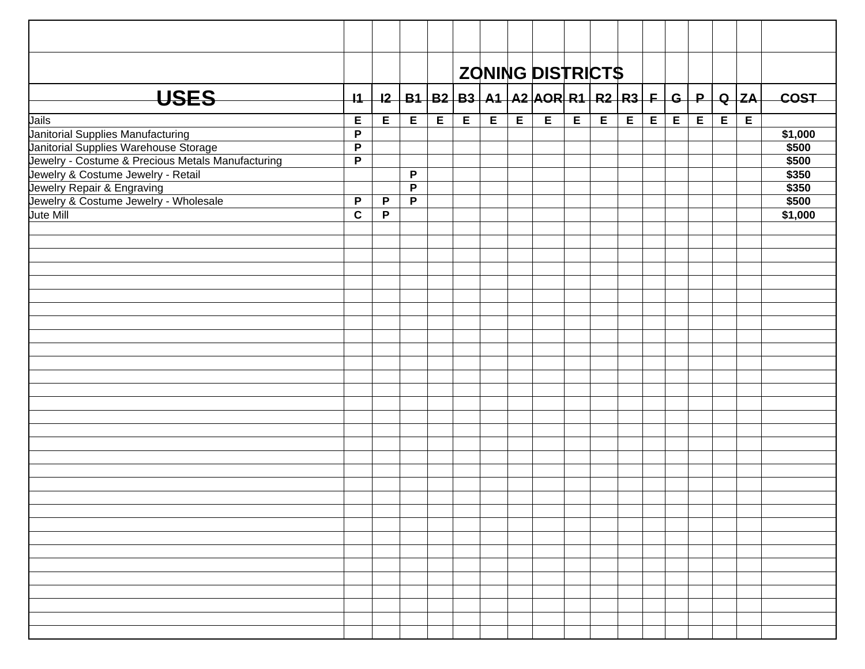|                                                                            |                   |              |                |   |   |                |   | <b>ZONING DISTRICTS</b>                |   |   |   |   |   |   |             |             |                  |
|----------------------------------------------------------------------------|-------------------|--------------|----------------|---|---|----------------|---|----------------------------------------|---|---|---|---|---|---|-------------|-------------|------------------|
| <b>USES</b>                                                                | $+1$              |              |                |   |   |                |   | $12$ B1 B2 B3 A1 A2 AOR R1 R2 R3 F G P |   |   |   |   |   |   |             | Q   ZA      |                  |
|                                                                            |                   |              |                |   |   |                |   |                                        |   |   |   |   |   |   |             |             | <b>COST</b>      |
| Jails                                                                      | E                 | E            | E              | E | E | $\overline{E}$ | E | E                                      | E | E | E | E | E | E | $\mathsf E$ | $\mathsf E$ |                  |
| Janitorial Supplies Manufacturing<br>Janitorial Supplies Warehouse Storage | P<br>$\mathsf{P}$ |              |                |   |   |                |   |                                        |   |   |   |   |   |   |             |             | \$1,000<br>\$500 |
| Jewelry - Costume & Precious Metals Manufacturing                          | $\overline{P}$    |              |                |   |   |                |   |                                        |   |   |   |   |   |   |             |             | \$500            |
| Jewelry & Costume Jewelry - Retail                                         |                   |              | P              |   |   |                |   |                                        |   |   |   |   |   |   |             |             | \$350            |
| Jewelry Repair & Engraving                                                 |                   |              | P              |   |   |                |   |                                        |   |   |   |   |   |   |             |             | \$350            |
| Jewelry & Costume Jewelry - Wholesale                                      | P                 | $\mathsf P$  | $\overline{P}$ |   |   |                |   |                                        |   |   |   |   |   |   |             |             | \$500            |
| <b>Jute Mill</b>                                                           | $\overline{c}$    | $\mathsf{P}$ |                |   |   |                |   |                                        |   |   |   |   |   |   |             |             | \$1,000          |
|                                                                            |                   |              |                |   |   |                |   |                                        |   |   |   |   |   |   |             |             |                  |
|                                                                            |                   |              |                |   |   |                |   |                                        |   |   |   |   |   |   |             |             |                  |
|                                                                            |                   |              |                |   |   |                |   |                                        |   |   |   |   |   |   |             |             |                  |
|                                                                            |                   |              |                |   |   |                |   |                                        |   |   |   |   |   |   |             |             |                  |
|                                                                            |                   |              |                |   |   |                |   |                                        |   |   |   |   |   |   |             |             |                  |
|                                                                            |                   |              |                |   |   |                |   |                                        |   |   |   |   |   |   |             |             |                  |
|                                                                            |                   |              |                |   |   |                |   |                                        |   |   |   |   |   |   |             |             |                  |
|                                                                            |                   |              |                |   |   |                |   |                                        |   |   |   |   |   |   |             |             |                  |
|                                                                            |                   |              |                |   |   |                |   |                                        |   |   |   |   |   |   |             |             |                  |
|                                                                            |                   |              |                |   |   |                |   |                                        |   |   |   |   |   |   |             |             |                  |
|                                                                            |                   |              |                |   |   |                |   |                                        |   |   |   |   |   |   |             |             |                  |
|                                                                            |                   |              |                |   |   |                |   |                                        |   |   |   |   |   |   |             |             |                  |
|                                                                            |                   |              |                |   |   |                |   |                                        |   |   |   |   |   |   |             |             |                  |
|                                                                            |                   |              |                |   |   |                |   |                                        |   |   |   |   |   |   |             |             |                  |
|                                                                            |                   |              |                |   |   |                |   |                                        |   |   |   |   |   |   |             |             |                  |
|                                                                            |                   |              |                |   |   |                |   |                                        |   |   |   |   |   |   |             |             |                  |
|                                                                            |                   |              |                |   |   |                |   |                                        |   |   |   |   |   |   |             |             |                  |
|                                                                            |                   |              |                |   |   |                |   |                                        |   |   |   |   |   |   |             |             |                  |
|                                                                            |                   |              |                |   |   |                |   |                                        |   |   |   |   |   |   |             |             |                  |
|                                                                            |                   |              |                |   |   |                |   |                                        |   |   |   |   |   |   |             |             |                  |
|                                                                            |                   |              |                |   |   |                |   |                                        |   |   |   |   |   |   |             |             |                  |
|                                                                            |                   |              |                |   |   |                |   |                                        |   |   |   |   |   |   |             |             |                  |
|                                                                            |                   |              |                |   |   |                |   |                                        |   |   |   |   |   |   |             |             |                  |
|                                                                            |                   |              |                |   |   |                |   |                                        |   |   |   |   |   |   |             |             |                  |
|                                                                            |                   |              |                |   |   |                |   |                                        |   |   |   |   |   |   |             |             |                  |
|                                                                            |                   |              |                |   |   |                |   |                                        |   |   |   |   |   |   |             |             |                  |
|                                                                            |                   |              |                |   |   |                |   |                                        |   |   |   |   |   |   |             |             |                  |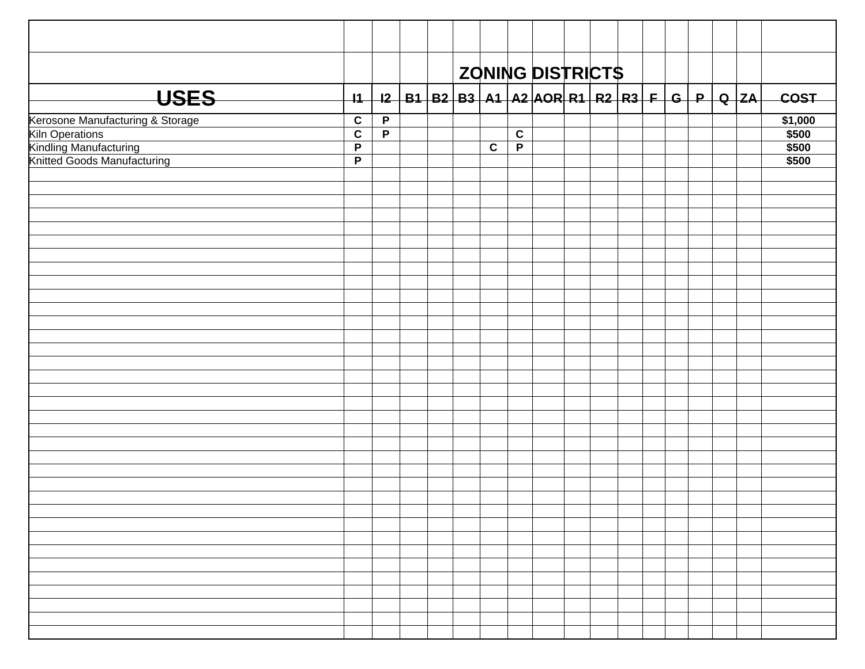|                                                               |                               |                |  |             |                | ZONING DISTRICTS                                                               |  |  |  |  |                |
|---------------------------------------------------------------|-------------------------------|----------------|--|-------------|----------------|--------------------------------------------------------------------------------|--|--|--|--|----------------|
|                                                               |                               |                |  |             |                |                                                                                |  |  |  |  |                |
| <b>USES</b>                                                   | $\overline{11}$               |                |  |             |                | <u>I2   B1   B2   B3   A1   A2   AOR   R1   R2   R3   F   G   P   Q   ZA  </u> |  |  |  |  | <b>COST</b>    |
| Kerosone Manufacturing & Storage                              | $\overline{c}$                | $\overline{P}$ |  |             |                |                                                                                |  |  |  |  | \$1,000        |
| <b>Kiln Operations</b>                                        | $\overline{c}$                | $\overline{P}$ |  |             | $\overline{c}$ |                                                                                |  |  |  |  | \$500          |
| <b>Kindling Manufacturing<br/>Knitted Goods Manufacturing</b> | $\mathsf P$<br>$\overline{P}$ |                |  | $\mathbf c$ | $\overline{P}$ |                                                                                |  |  |  |  | \$500<br>\$500 |
|                                                               |                               |                |  |             |                |                                                                                |  |  |  |  |                |
|                                                               |                               |                |  |             |                |                                                                                |  |  |  |  |                |
|                                                               |                               |                |  |             |                |                                                                                |  |  |  |  |                |
|                                                               |                               |                |  |             |                |                                                                                |  |  |  |  |                |
|                                                               |                               |                |  |             |                |                                                                                |  |  |  |  |                |
|                                                               |                               |                |  |             |                |                                                                                |  |  |  |  |                |
|                                                               |                               |                |  |             |                |                                                                                |  |  |  |  |                |
|                                                               |                               |                |  |             |                |                                                                                |  |  |  |  |                |
|                                                               |                               |                |  |             |                |                                                                                |  |  |  |  |                |
|                                                               |                               |                |  |             |                |                                                                                |  |  |  |  |                |
|                                                               |                               |                |  |             |                |                                                                                |  |  |  |  |                |
|                                                               |                               |                |  |             |                |                                                                                |  |  |  |  |                |
|                                                               |                               |                |  |             |                |                                                                                |  |  |  |  |                |
|                                                               |                               |                |  |             |                |                                                                                |  |  |  |  |                |
|                                                               |                               |                |  |             |                |                                                                                |  |  |  |  |                |
|                                                               |                               |                |  |             |                |                                                                                |  |  |  |  |                |
|                                                               |                               |                |  |             |                |                                                                                |  |  |  |  |                |
|                                                               |                               |                |  |             |                |                                                                                |  |  |  |  |                |
|                                                               |                               |                |  |             |                |                                                                                |  |  |  |  |                |
|                                                               |                               |                |  |             |                |                                                                                |  |  |  |  |                |
|                                                               |                               |                |  |             |                |                                                                                |  |  |  |  |                |
|                                                               |                               |                |  |             |                |                                                                                |  |  |  |  |                |
|                                                               |                               |                |  |             |                |                                                                                |  |  |  |  |                |
|                                                               |                               |                |  |             |                |                                                                                |  |  |  |  |                |
|                                                               |                               |                |  |             |                |                                                                                |  |  |  |  |                |
|                                                               |                               |                |  |             |                |                                                                                |  |  |  |  |                |
|                                                               |                               |                |  |             |                |                                                                                |  |  |  |  |                |
|                                                               |                               |                |  |             |                |                                                                                |  |  |  |  |                |
|                                                               |                               |                |  |             |                |                                                                                |  |  |  |  |                |
|                                                               |                               |                |  |             |                |                                                                                |  |  |  |  |                |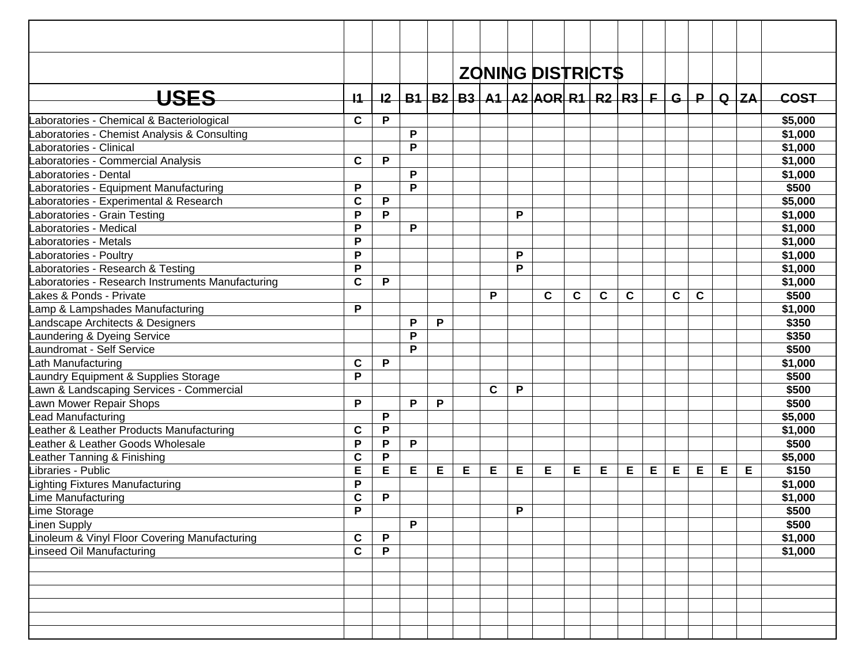|                                                  |                 |             |   |   |   |             |   | <b>ZONING DISTRICTS</b>         |   |   |   |   |   |       |   |          |             |
|--------------------------------------------------|-----------------|-------------|---|---|---|-------------|---|---------------------------------|---|---|---|---|---|-------|---|----------|-------------|
| <b>USES</b>                                      | $\overline{11}$ | 12          |   |   |   |             |   | $B1$ B2 B3 A1 A2 AOR R1 R2 R3 F |   |   |   |   |   | $G+P$ |   | $Q$ $ZA$ | <b>COST</b> |
| aboratories - Chemical & Bacteriological         | $\mathbf c$     | P           |   |   |   |             |   |                                 |   |   |   |   |   |       |   |          | \$5,000     |
| aboratories - Chemist Analysis & Consulting      |                 |             | P |   |   |             |   |                                 |   |   |   |   |   |       |   |          | \$1,000     |
| <b>Laboratories - Clinical</b>                   |                 |             | P |   |   |             |   |                                 |   |   |   |   |   |       |   |          | \$1,000     |
| aboratories - Commercial Analysis                | $\mathbf c$     | P           |   |   |   |             |   |                                 |   |   |   |   |   |       |   |          | \$1,000     |
| <b>Laboratories - Dental</b>                     |                 |             | P |   |   |             |   |                                 |   |   |   |   |   |       |   |          | \$1,000     |
| aboratories - Equipment Manufacturing            | P               |             | P |   |   |             |   |                                 |   |   |   |   |   |       |   |          | \$500       |
| aboratories - Experimental & Research            | $\mathbf c$     | P           |   |   |   |             |   |                                 |   |   |   |   |   |       |   |          | \$5,000     |
| aboratories - Grain Testing                      | $\mathsf{P}$    | P           |   |   |   |             | P |                                 |   |   |   |   |   |       |   |          | \$1,000     |
| aboratories - Medical                            | P               |             | P |   |   |             |   |                                 |   |   |   |   |   |       |   |          | \$1,000     |
| <b>Laboratories - Metals</b>                     | $\mathsf{P}$    |             |   |   |   |             |   |                                 |   |   |   |   |   |       |   |          | \$1,000     |
| Laboratories - Poultry                           | P               |             |   |   |   |             | P |                                 |   |   |   |   |   |       |   |          | \$1,000     |
| Laboratories - Research & Testing                | P               |             |   |   |   |             | P |                                 |   |   |   |   |   |       |   |          | \$1,000     |
| aboratories - Research Instruments Manufacturing | $\mathbf c$     | P           |   |   |   |             |   |                                 |   |   |   |   |   |       |   |          | \$1,000     |
| Lakes & Ponds - Private                          |                 |             |   |   |   | P           |   | C                               | C | C | C |   | C | C     |   |          | \$500       |
| Lamp & Lampshades Manufacturing                  | P               |             |   |   |   |             |   |                                 |   |   |   |   |   |       |   |          | \$1,000     |
| Landscape Architects & Designers                 |                 |             | P | P |   |             |   |                                 |   |   |   |   |   |       |   |          | \$350       |
| Laundering & Dyeing Service                      |                 |             | P |   |   |             |   |                                 |   |   |   |   |   |       |   |          | \$350       |
| aundromat - Self Service                         |                 |             | P |   |   |             |   |                                 |   |   |   |   |   |       |   |          | \$500       |
| ath Manufacturing                                | $\mathbf c$     | P           |   |   |   |             |   |                                 |   |   |   |   |   |       |   |          | \$1,000     |
| aundry Equipment & Supplies Storage              | P               |             |   |   |   |             |   |                                 |   |   |   |   |   |       |   |          | \$500       |
| awn & Landscaping Services - Commercial          |                 |             |   |   |   | $\mathbf c$ | P |                                 |   |   |   |   |   |       |   |          | \$500       |
| awn Mower Repair Shops                           | P               |             | P | P |   |             |   |                                 |   |   |   |   |   |       |   |          | \$500       |
| ead Manufacturing                                |                 | P           |   |   |   |             |   |                                 |   |   |   |   |   |       |   |          | \$5,000     |
| eather & Leather Products Manufacturing          | C               | P           |   |   |   |             |   |                                 |   |   |   |   |   |       |   |          | \$1,000     |
| eather & Leather Goods Wholesale                 | $\mathsf{P}$    | P           | P |   |   |             |   |                                 |   |   |   |   |   |       |   |          | \$500       |
| eather Tanning & Finishing                       | $\mathbf c$     | ${\sf P}$   |   |   |   |             |   |                                 |   |   |   |   |   |       |   |          | \$5,000     |
| ibraries - Public                                | E               | E           | Е | Е | E | Е           | Е | Е                               | Е | E | E | Е | E | Е     | Е | Е        | \$150       |
| ighting Fixtures Manufacturing                   | P               |             |   |   |   |             |   |                                 |   |   |   |   |   |       |   |          | \$1,000     |
| ime Manufacturing                                | $\mathbf c$     | Ρ           |   |   |   |             |   |                                 |   |   |   |   |   |       |   |          | \$1,000     |
| Lime Storage                                     | P               |             |   |   |   |             | P |                                 |   |   |   |   |   |       |   |          | \$500       |
| inen Supply                                      |                 |             | P |   |   |             |   |                                 |   |   |   |   |   |       |   |          | \$500       |
| inoleum & Vinyl Floor Covering Manufacturing     | $\mathbf c$     | P           |   |   |   |             |   |                                 |   |   |   |   |   |       |   |          | \$1,000     |
| inseed Oil Manufacturing                         | $\mathbf c$     | $\mathsf P$ |   |   |   |             |   |                                 |   |   |   |   |   |       |   |          | \$1,000     |
|                                                  |                 |             |   |   |   |             |   |                                 |   |   |   |   |   |       |   |          |             |
|                                                  |                 |             |   |   |   |             |   |                                 |   |   |   |   |   |       |   |          |             |
|                                                  |                 |             |   |   |   |             |   |                                 |   |   |   |   |   |       |   |          |             |
|                                                  |                 |             |   |   |   |             |   |                                 |   |   |   |   |   |       |   |          |             |
|                                                  |                 |             |   |   |   |             |   |                                 |   |   |   |   |   |       |   |          |             |
|                                                  |                 |             |   |   |   |             |   |                                 |   |   |   |   |   |       |   |          |             |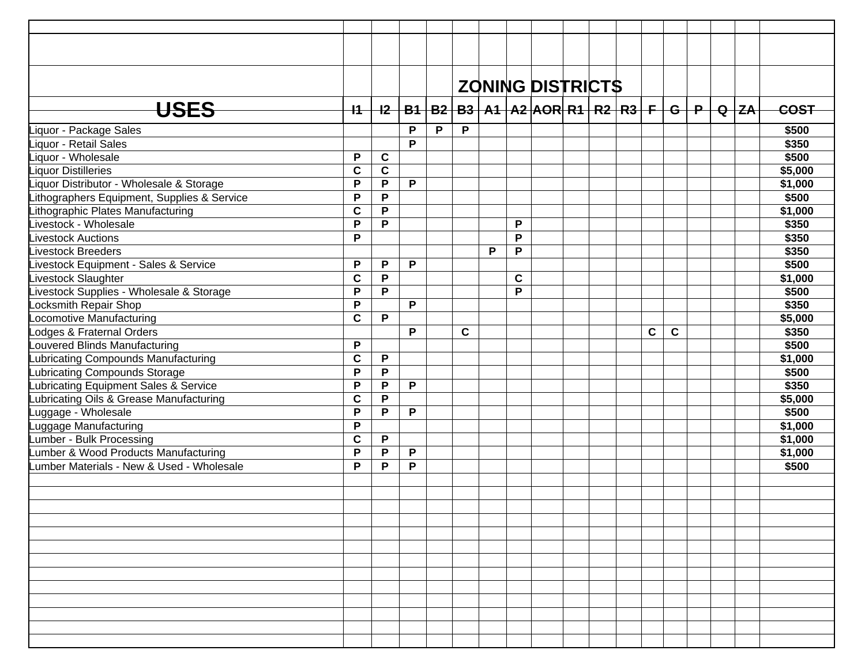|                                             |             |              |   |   |             |   |   | <b>ZONING DISTRICTS</b>                                                      |  |              |             |  |             |
|---------------------------------------------|-------------|--------------|---|---|-------------|---|---|------------------------------------------------------------------------------|--|--------------|-------------|--|-------------|
| <b>USES</b>                                 | $+$ 1 $-$   |              |   |   |             |   |   | <u>I2   B1   B2   B3   A1   A2  AOR  R1   R2   R3   F   G   P   Q   ZA  </u> |  |              |             |  | <b>COST</b> |
| Liquor - Package Sales                      |             |              | P | P | P           |   |   |                                                                              |  |              |             |  | \$500       |
| Liquor - Retail Sales                       |             |              | P |   |             |   |   |                                                                              |  |              |             |  | \$350       |
| Liguor - Wholesale                          | P           | $\mathbf c$  |   |   |             |   |   |                                                                              |  |              |             |  | \$500       |
| <b>Liquor Distilleries</b>                  | $\mathbf c$ | $\mathbf c$  |   |   |             |   |   |                                                                              |  |              |             |  | \$5,000     |
|                                             | P           | P            | P |   |             |   |   |                                                                              |  |              |             |  |             |
| Liquor Distributor - Wholesale & Storage    |             | P            |   |   |             |   |   |                                                                              |  |              |             |  | \$1,000     |
| Lithographers Equipment, Supplies & Service | P           |              |   |   |             |   |   |                                                                              |  |              |             |  | \$500       |
| Lithographic Plates Manufacturing           | $\mathbf c$ | P            |   |   |             |   |   |                                                                              |  |              |             |  | \$1,000     |
| Livestock - Wholesale                       | P           | P            |   |   |             |   | P |                                                                              |  |              |             |  | \$350       |
| <b>Livestock Auctions</b>                   | P           |              |   |   |             |   | P |                                                                              |  |              |             |  | \$350       |
| <b>Livestock Breeders</b>                   |             |              |   |   |             | P | P |                                                                              |  |              |             |  | \$350       |
| Livestock Equipment - Sales & Service       | P           | P            | P |   |             |   |   |                                                                              |  |              |             |  | \$500       |
| Livestock Slaughter                         | $\mathbf c$ | $\mathsf{P}$ |   |   |             |   | C |                                                                              |  |              |             |  | \$1,000     |
| Livestock Supplies - Wholesale & Storage    | P           | P            |   |   |             |   | P |                                                                              |  |              |             |  | \$500       |
| Locksmith Repair Shop                       | P           |              | P |   |             |   |   |                                                                              |  |              |             |  | \$350       |
| Locomotive Manufacturing                    | $\mathbf c$ | P            |   |   |             |   |   |                                                                              |  |              |             |  | \$5,000     |
| Lodges & Fraternal Orders                   |             |              | P |   | $\mathbf C$ |   |   |                                                                              |  | $\mathbf{C}$ | $\mathbf c$ |  | \$350       |
| Louvered Blinds Manufacturing               | P           |              |   |   |             |   |   |                                                                              |  |              |             |  | \$500       |
| Lubricating Compounds Manufacturing         | C           | P            |   |   |             |   |   |                                                                              |  |              |             |  | \$1,000     |
| Lubricating Compounds Storage               | P           | P            |   |   |             |   |   |                                                                              |  |              |             |  | \$500       |
| Lubricating Equipment Sales & Service       | P           | P            | P |   |             |   |   |                                                                              |  |              |             |  | \$350       |
| Lubricating Oils & Grease Manufacturing     | $\mathbf c$ | P            |   |   |             |   |   |                                                                              |  |              |             |  | \$5,000     |
| Luggage - Wholesale                         | P           | P            | P |   |             |   |   |                                                                              |  |              |             |  | \$500       |
| Luggage Manufacturing                       | P           |              |   |   |             |   |   |                                                                              |  |              |             |  | \$1,000     |
| Lumber - Bulk Processing                    | $\mathbf c$ | P            |   |   |             |   |   |                                                                              |  |              |             |  | \$1,000     |
| Lumber & Wood Products Manufacturing        | P           | P            | P |   |             |   |   |                                                                              |  |              |             |  | \$1,000     |
| Lumber Materials - New & Used - Wholesale   | P           | P            | P |   |             |   |   |                                                                              |  |              |             |  | \$500       |
|                                             |             |              |   |   |             |   |   |                                                                              |  |              |             |  |             |
|                                             |             |              |   |   |             |   |   |                                                                              |  |              |             |  |             |
|                                             |             |              |   |   |             |   |   |                                                                              |  |              |             |  |             |
|                                             |             |              |   |   |             |   |   |                                                                              |  |              |             |  |             |
|                                             |             |              |   |   |             |   |   |                                                                              |  |              |             |  |             |
|                                             |             |              |   |   |             |   |   |                                                                              |  |              |             |  |             |
|                                             |             |              |   |   |             |   |   |                                                                              |  |              |             |  |             |
|                                             |             |              |   |   |             |   |   |                                                                              |  |              |             |  |             |
|                                             |             |              |   |   |             |   |   |                                                                              |  |              |             |  |             |
|                                             |             |              |   |   |             |   |   |                                                                              |  |              |             |  |             |
|                                             |             |              |   |   |             |   |   |                                                                              |  |              |             |  |             |
|                                             |             |              |   |   |             |   |   |                                                                              |  |              |             |  |             |
|                                             |             |              |   |   |             |   |   |                                                                              |  |              |             |  |             |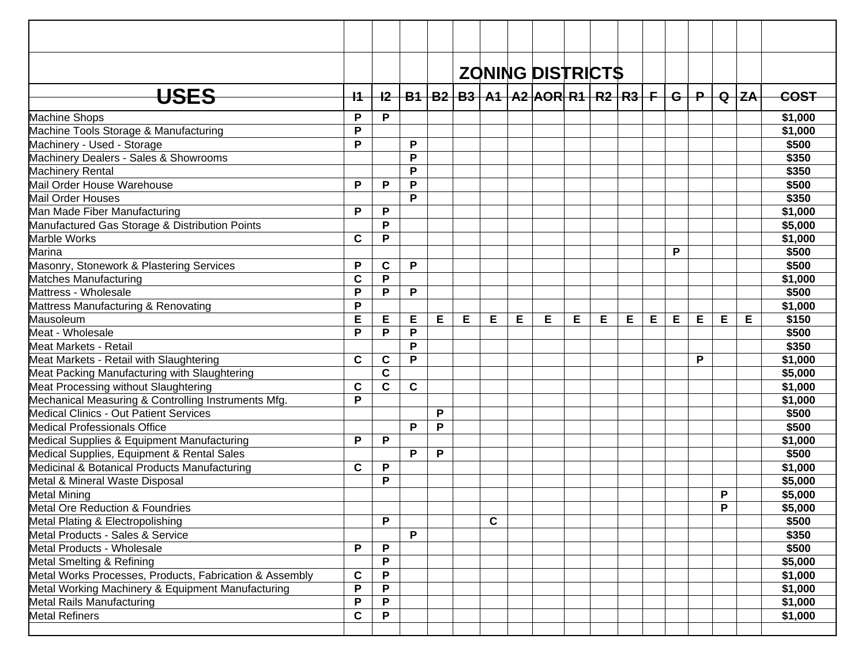|                                                         |      |             |   |   |   | <b>ZONING DISTRICTS</b>                                                  |   |   |   |   |   |   |   |   |   |   |             |
|---------------------------------------------------------|------|-------------|---|---|---|--------------------------------------------------------------------------|---|---|---|---|---|---|---|---|---|---|-------------|
| <del>USES</del>                                         | $+1$ | $+2-$       |   |   |   | <u>B1   B2   B3   A1   A2  AOR  R1   R2   R3   F   G   P   Q   ZA   </u> |   |   |   |   |   |   |   |   |   |   | <b>COST</b> |
| <b>Machine Shops</b>                                    | P    | P           |   |   |   |                                                                          |   |   |   |   |   |   |   |   |   |   | \$1,000     |
| Machine Tools Storage & Manufacturing                   | P    |             |   |   |   |                                                                          |   |   |   |   |   |   |   |   |   |   | \$1,000     |
| Machinery - Used - Storage                              | P    |             | P |   |   |                                                                          |   |   |   |   |   |   |   |   |   |   | \$500       |
| Machinery Dealers - Sales & Showrooms                   |      |             | P |   |   |                                                                          |   |   |   |   |   |   |   |   |   |   | \$350       |
| Machinery Rental                                        |      |             | P |   |   |                                                                          |   |   |   |   |   |   |   |   |   |   | \$350       |
| Mail Order House Warehouse                              | P    | P           | P |   |   |                                                                          |   |   |   |   |   |   |   |   |   |   | \$500       |
| Mail Order Houses                                       |      |             | P |   |   |                                                                          |   |   |   |   |   |   |   |   |   |   | \$350       |
| Man Made Fiber Manufacturing                            | P    | P           |   |   |   |                                                                          |   |   |   |   |   |   |   |   |   |   | \$1,000     |
| Manufactured Gas Storage & Distribution Points          |      | P           |   |   |   |                                                                          |   |   |   |   |   |   |   |   |   |   | \$5,000     |
| Marble Works                                            | C    | P           |   |   |   |                                                                          |   |   |   |   |   |   |   |   |   |   | \$1,000     |
| Marina                                                  |      |             |   |   |   |                                                                          |   |   |   |   |   |   | P |   |   |   | \$500       |
| Masonry, Stonework & Plastering Services                | P    | C           | P |   |   |                                                                          |   |   |   |   |   |   |   |   |   |   | \$500       |
| <b>Matches Manufacturing</b>                            | C    | P           |   |   |   |                                                                          |   |   |   |   |   |   |   |   |   |   | \$1,000     |
| Mattress - Wholesale                                    | P    | P           | P |   |   |                                                                          |   |   |   |   |   |   |   |   |   |   | \$500       |
| Mattress Manufacturing & Renovating                     | P    |             |   |   |   |                                                                          |   |   |   |   |   |   |   |   |   |   | \$1,000     |
| Mausoleum                                               | E    | Е           | E | Е | Е | Е                                                                        | Е | E | Е | Е | Е | Е | E | E | Е | Е | \$150       |
| Meat - Wholesale                                        | P    | P           | P |   |   |                                                                          |   |   |   |   |   |   |   |   |   |   | \$500       |
| Meat Markets - Retail                                   |      |             | P |   |   |                                                                          |   |   |   |   |   |   |   |   |   |   | \$350       |
| Meat Markets - Retail with Slaughtering                 | C    | $\mathbf c$ | P |   |   |                                                                          |   |   |   |   |   |   |   | P |   |   | \$1,000     |
| Meat Packing Manufacturing with Slaughtering            |      | $\mathbf c$ |   |   |   |                                                                          |   |   |   |   |   |   |   |   |   |   | \$5,000     |
| Meat Processing without Slaughtering                    | C    | C           | C |   |   |                                                                          |   |   |   |   |   |   |   |   |   |   | \$1,000     |
| Mechanical Measuring & Controlling Instruments Mfg.     | P    |             |   |   |   |                                                                          |   |   |   |   |   |   |   |   |   |   | \$1,000     |
| <b>Medical Clinics - Out Patient Services</b>           |      |             |   | P |   |                                                                          |   |   |   |   |   |   |   |   |   |   | \$500       |
| <b>Medical Professionals Office</b>                     |      |             | P | P |   |                                                                          |   |   |   |   |   |   |   |   |   |   | \$500       |
| Medical Supplies & Equipment Manufacturing              | P    | P           |   |   |   |                                                                          |   |   |   |   |   |   |   |   |   |   | \$1,000     |
| Medical Supplies, Equipment & Rental Sales              |      |             | P | P |   |                                                                          |   |   |   |   |   |   |   |   |   |   | \$500       |
| Medicinal & Botanical Products Manufacturing            | C    | P           |   |   |   |                                                                          |   |   |   |   |   |   |   |   |   |   | \$1,000     |
| Metal & Mineral Waste Disposal                          |      | P           |   |   |   |                                                                          |   |   |   |   |   |   |   |   |   |   | \$5,000     |
| <b>Metal Mining</b>                                     |      |             |   |   |   |                                                                          |   |   |   |   |   |   |   |   | P |   | \$5,000     |
| Metal Ore Reduction & Foundries                         |      |             |   |   |   |                                                                          |   |   |   |   |   |   |   |   | D |   | \$5,000     |
| Metal Plating & Electropolishing                        |      | P           |   |   |   | $\mathbf c$                                                              |   |   |   |   |   |   |   |   |   |   | \$500       |
| Metal Products - Sales & Service                        |      |             | P |   |   |                                                                          |   |   |   |   |   |   |   |   |   |   | \$350       |
| Metal Products - Wholesale                              | P    | ${\sf P}$   |   |   |   |                                                                          |   |   |   |   |   |   |   |   |   |   | \$500       |
| Metal Smelting & Refining                               |      | P           |   |   |   |                                                                          |   |   |   |   |   |   |   |   |   |   | \$5,000     |
| Metal Works Processes, Products, Fabrication & Assembly | C    | P           |   |   |   |                                                                          |   |   |   |   |   |   |   |   |   |   | \$1,000     |
| Metal Working Machinery & Equipment Manufacturing       | P    | P           |   |   |   |                                                                          |   |   |   |   |   |   |   |   |   |   | \$1,000     |
| Metal Rails Manufacturing                               | P    | P           |   |   |   |                                                                          |   |   |   |   |   |   |   |   |   |   | \$1,000     |
| <b>Metal Refiners</b>                                   | C    | P           |   |   |   |                                                                          |   |   |   |   |   |   |   |   |   |   | \$1,000     |
|                                                         |      |             |   |   |   |                                                                          |   |   |   |   |   |   |   |   |   |   |             |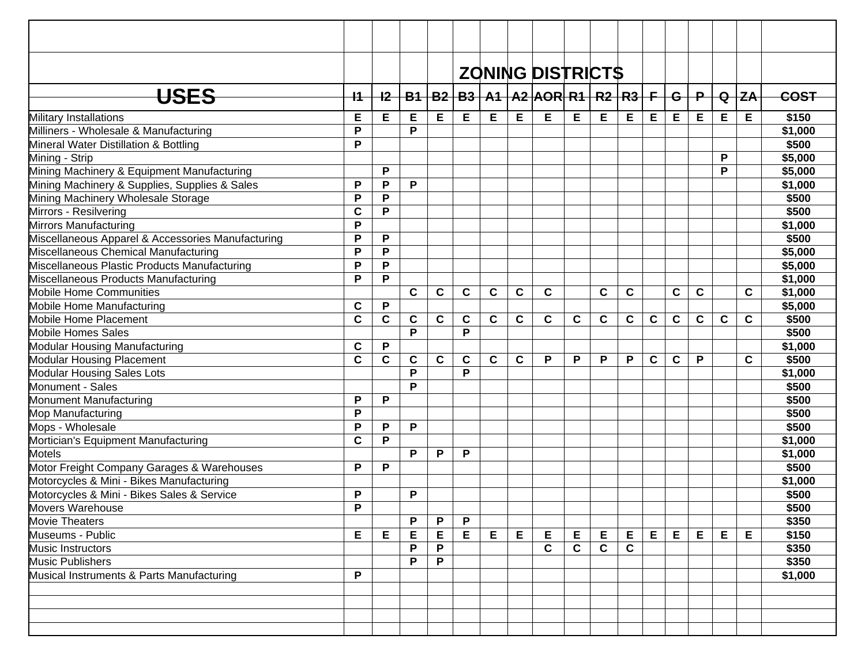| <b>ZONING DISTRICTS</b>                                                                                                                                                                                         |         |
|-----------------------------------------------------------------------------------------------------------------------------------------------------------------------------------------------------------------|---------|
|                                                                                                                                                                                                                 |         |
| <b>USES</b><br>$B1   B2   B3   A1   A2   AOR   R1   R2   R3   F$<br>$\mathsf P$<br>$+2$<br>$Q$ $ZA$<br>$+1$<br>$-$ G $-$ l                                                                                      | COST    |
| Е<br>Е<br>Е<br>Е<br>Е<br>Е<br>E<br>Е<br>Military Installations<br>Е<br>Е<br>Е<br>Е<br>Е<br>Е<br>Е<br>Е                                                                                                          | \$150   |
| P<br>P<br>Milliners - Wholesale & Manufacturing                                                                                                                                                                 | \$1,000 |
| $\mathsf{P}$<br>Mineral Water Distillation & Bottling                                                                                                                                                           | \$500   |
| P<br>Mining - Strip                                                                                                                                                                                             | \$5,000 |
| Mining Machinery & Equipment Manufacturing<br>P<br>P                                                                                                                                                            | \$5,000 |
| P<br>P<br>Mining Machinery & Supplies, Supplies & Sales<br>P                                                                                                                                                    | \$1,000 |
| Mining Machinery Wholesale Storage<br>P<br>P                                                                                                                                                                    | \$500   |
| Mirrors - Resilvering<br>$\mathbf c$<br>P                                                                                                                                                                       | \$500   |
| <b>Mirrors Manufacturing</b><br>P                                                                                                                                                                               | \$1,000 |
| Miscellaneous Apparel & Accessories Manufacturing<br>P<br>P                                                                                                                                                     | \$500   |
| $\mathsf{P}$<br>P<br>Miscellaneous Chemical Manufacturing                                                                                                                                                       | \$5,000 |
| Miscellaneous Plastic Products Manufacturing<br>P<br>P                                                                                                                                                          | \$5,000 |
| P<br>P<br>Miscellaneous Products Manufacturing                                                                                                                                                                  | \$1,000 |
| $\mathbf c$<br>Mobile Home Communities<br>C<br>$\mathbf c$<br>$\mathbf c$<br>$\mathbf c$<br>$\mathbf c$<br>$\mathbf c$<br>$\mathbf c$<br>$\mathbf c$<br>$\mathbf c$<br>C                                        | \$1,000 |
| $\mathbf c$<br>P<br>Mobile Home Manufacturing                                                                                                                                                                   | \$5,000 |
| $\mathbf{C}$<br>$\mathbf C$<br>$\mathbf{C}$<br>$\mathbf C$<br>Mobile Home Placement<br>$\mathbf c$<br>$\mathbf c$<br>C<br>C<br>C<br>C<br>$\mathbf c$<br>$\mathbf c$<br>$\mathbf{C}$<br>$\mathbf c$<br>C<br>C    | \$500   |
| P<br>P<br><b>Mobile Homes Sales</b>                                                                                                                                                                             | \$500   |
| P<br><b>Modular Housing Manufacturing</b><br>$\mathbf c$                                                                                                                                                        | \$1,000 |
| $\mathbf c$<br>$\mathbf c$<br><b>Modular Housing Placement</b><br>$\mathbf c$<br>$\mathbf c$<br>$\mathbf c$<br>$\mathbf c$<br>$\mathbf c$<br>P<br>P<br>P<br>$\mathbf c$<br>$\mathbf c$<br>$\mathbf c$<br>P<br>P | \$500   |
| P<br>P<br><b>Modular Housing Sales Lots</b>                                                                                                                                                                     | \$1,000 |
| P<br>Monument - Sales                                                                                                                                                                                           | \$500   |
| $\mathsf P$<br>P<br>Monument Manufacturing                                                                                                                                                                      | \$500   |
| P<br>Mop Manufacturing                                                                                                                                                                                          | \$500   |
| Mops - Wholesale<br>P<br>P<br>P                                                                                                                                                                                 | \$500   |
| $\mathbf c$<br>P<br>Mortician's Equipment Manufacturing                                                                                                                                                         | \$1,000 |
| <b>Motels</b><br>P<br>P<br>P                                                                                                                                                                                    | \$1,000 |
| Motor Freight Company Garages & Warehouses<br>P<br>P                                                                                                                                                            | \$500   |
| Motorcycles & Mini - Bikes Manufacturing                                                                                                                                                                        | \$1,000 |
| P<br>Motorcycles & Mini - Bikes Sales & Service<br>P                                                                                                                                                            | \$500   |
| $\overline{P}$<br>Movers Warehouse                                                                                                                                                                              | \$500   |
| P<br>P<br>P<br><b>Movie Theaters</b>                                                                                                                                                                            | \$350   |
| E<br>Е<br>Е<br>Е<br>Е<br>Е<br>Е<br>Е<br>Е<br>$E_{\perp}$<br>Е<br>E<br>Е<br>Е<br>E<br>Е<br>Museums - Public                                                                                                      | \$150   |
| $\mathbf C$<br>$\mathbf c$<br>P<br>$\mathbf{C}$<br>$\mathbf c$<br>P<br>Music Instructors                                                                                                                        | \$350   |
| P<br>P<br>Music Publishers                                                                                                                                                                                      | \$350   |
| P<br>Musical Instruments & Parts Manufacturing                                                                                                                                                                  | \$1,000 |
|                                                                                                                                                                                                                 |         |
|                                                                                                                                                                                                                 |         |
|                                                                                                                                                                                                                 |         |
|                                                                                                                                                                                                                 |         |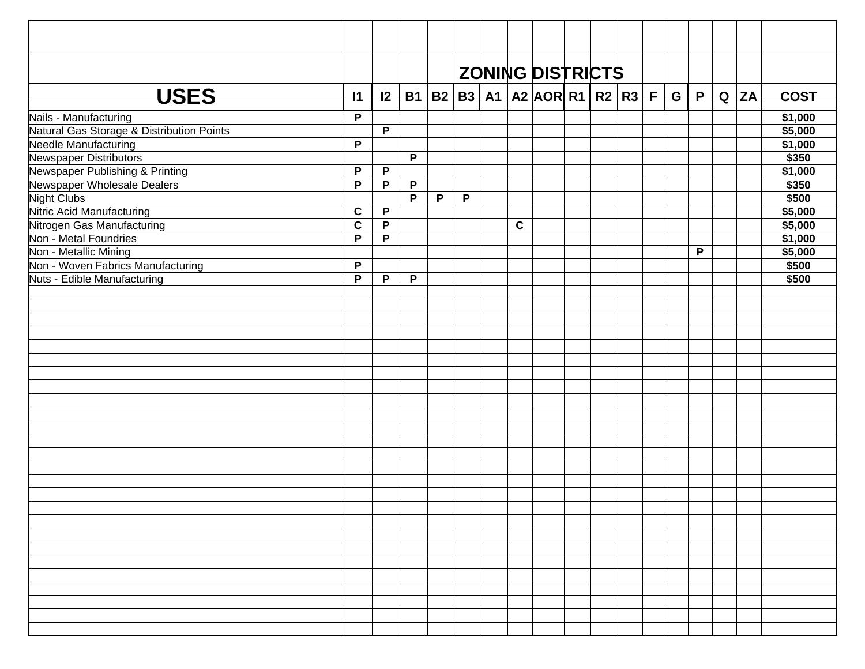|                                                                    |                |             |   |              |              |             | <b>ZONING DISTRICTS</b> |  |  |   |                                                                               |         |
|--------------------------------------------------------------------|----------------|-------------|---|--------------|--------------|-------------|-------------------------|--|--|---|-------------------------------------------------------------------------------|---------|
| <b>USES</b>                                                        | $+1$           |             |   |              |              |             |                         |  |  |   | <u>I2   B1   B2   B3   A1   A2  AOR  R1   R2   R3   F   G   P   Q   ZA   </u> | COST    |
|                                                                    | $\overline{P}$ |             |   |              |              |             |                         |  |  |   |                                                                               | \$1,000 |
| Nails - Manufacturing<br>Natural Gas Storage & Distribution Points |                | P           |   |              |              |             |                         |  |  |   |                                                                               | \$5,000 |
| Needle Manufacturing                                               | $\mathsf{P}$   |             |   |              |              |             |                         |  |  |   |                                                                               | \$1,000 |
| Newspaper Distributors                                             |                |             | P |              |              |             |                         |  |  |   |                                                                               | \$350   |
| Newspaper Publishing & Printing                                    | P              | P           |   |              |              |             |                         |  |  |   |                                                                               | \$1,000 |
| Newspaper Wholesale Dealers                                        | $\mathsf{P}$   | P           | P |              |              |             |                         |  |  |   |                                                                               | \$350   |
| <b>Night Clubs</b>                                                 |                |             | P | $\mathsf{P}$ | $\mathsf{P}$ |             |                         |  |  |   |                                                                               | \$500   |
| Nitric Acid Manufacturing                                          | $\mathbf c$    | $\mathsf P$ |   |              |              |             |                         |  |  |   |                                                                               | \$5,000 |
| Nitrogen Gas Manufacturing                                         | $\mathbf c$    | $\mathsf P$ |   |              |              | $\mathbf c$ |                         |  |  |   |                                                                               | \$5,000 |
| Non - Metal Foundries                                              | P              | $\mathsf P$ |   |              |              |             |                         |  |  |   |                                                                               | \$1,000 |
| Non - Metallic Mining                                              |                |             |   |              |              |             |                         |  |  | P |                                                                               | \$5,000 |
| Non - Woven Fabrics Manufacturing                                  | $\mathsf{P}$   |             |   |              |              |             |                         |  |  |   |                                                                               | \$500   |
| Nuts - Edible Manufacturing                                        | P              | P           | P |              |              |             |                         |  |  |   |                                                                               | \$500   |
|                                                                    |                |             |   |              |              |             |                         |  |  |   |                                                                               |         |
|                                                                    |                |             |   |              |              |             |                         |  |  |   |                                                                               |         |
|                                                                    |                |             |   |              |              |             |                         |  |  |   |                                                                               |         |
|                                                                    |                |             |   |              |              |             |                         |  |  |   |                                                                               |         |
|                                                                    |                |             |   |              |              |             |                         |  |  |   |                                                                               |         |
|                                                                    |                |             |   |              |              |             |                         |  |  |   |                                                                               |         |
|                                                                    |                |             |   |              |              |             |                         |  |  |   |                                                                               |         |
|                                                                    |                |             |   |              |              |             |                         |  |  |   |                                                                               |         |
|                                                                    |                |             |   |              |              |             |                         |  |  |   |                                                                               |         |
|                                                                    |                |             |   |              |              |             |                         |  |  |   |                                                                               |         |
|                                                                    |                |             |   |              |              |             |                         |  |  |   |                                                                               |         |
|                                                                    |                |             |   |              |              |             |                         |  |  |   |                                                                               |         |
|                                                                    |                |             |   |              |              |             |                         |  |  |   |                                                                               |         |
|                                                                    |                |             |   |              |              |             |                         |  |  |   |                                                                               |         |
|                                                                    |                |             |   |              |              |             |                         |  |  |   |                                                                               |         |
|                                                                    |                |             |   |              |              |             |                         |  |  |   |                                                                               |         |
|                                                                    |                |             |   |              |              |             |                         |  |  |   |                                                                               |         |
|                                                                    |                |             |   |              |              |             |                         |  |  |   |                                                                               |         |
|                                                                    |                |             |   |              |              |             |                         |  |  |   |                                                                               |         |
|                                                                    |                |             |   |              |              |             |                         |  |  |   |                                                                               |         |
|                                                                    |                |             |   |              |              |             |                         |  |  |   |                                                                               |         |
|                                                                    |                |             |   |              |              |             |                         |  |  |   |                                                                               |         |
|                                                                    |                |             |   |              |              |             |                         |  |  |   |                                                                               |         |
|                                                                    |                |             |   |              |              |             |                         |  |  |   |                                                                               |         |
|                                                                    |                |             |   |              |              |             |                         |  |  |   |                                                                               |         |
|                                                                    |                |             |   |              |              |             |                         |  |  |   |                                                                               |         |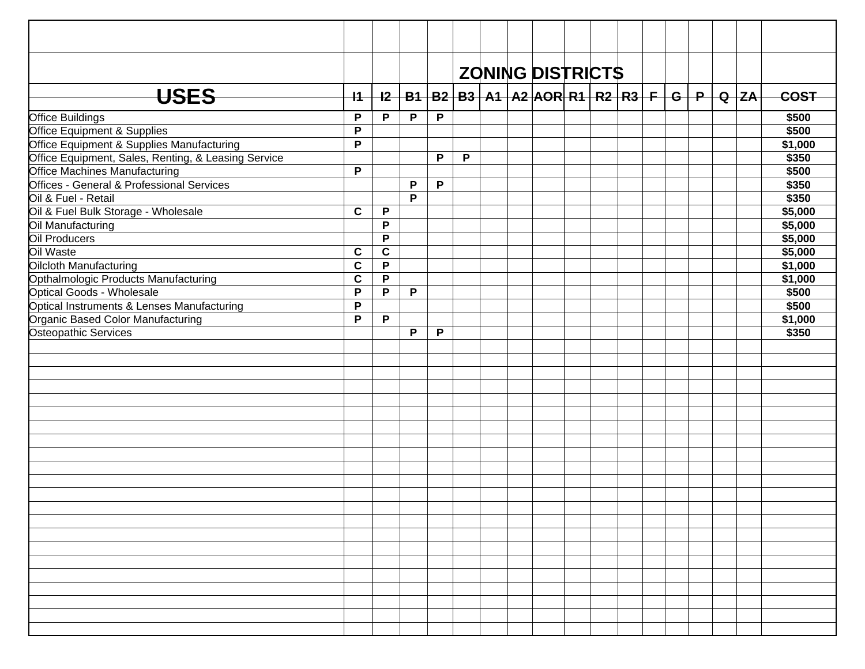|                                                     |              |             |   |   |   |  | <b>ZONING DISTRICTS</b>                                       |  |  |  |  |         |
|-----------------------------------------------------|--------------|-------------|---|---|---|--|---------------------------------------------------------------|--|--|--|--|---------|
| <b>USES</b>                                         | $+4$         | $+2-$       |   |   |   |  | B1   B2   B3   A1   A2  AOR  R1   R2   R3   F   G   P   Q  ZA |  |  |  |  | COST    |
| <b>Office Buildings</b>                             | P            | P           | P | P |   |  |                                                               |  |  |  |  | \$500   |
| Office Equipment & Supplies                         | P            |             |   |   |   |  |                                                               |  |  |  |  | \$500   |
| Office Equipment & Supplies Manufacturing           | P            |             |   |   |   |  |                                                               |  |  |  |  | \$1,000 |
| Office Equipment, Sales, Renting, & Leasing Service |              |             |   | P | P |  |                                                               |  |  |  |  | \$350   |
| Office Machines Manufacturing                       | $\mathsf{P}$ |             |   |   |   |  |                                                               |  |  |  |  | \$500   |
| Offices - General & Professional Services           |              |             | P | P |   |  |                                                               |  |  |  |  | \$350   |
| Oil & Fuel - Retail                                 |              |             | P |   |   |  |                                                               |  |  |  |  | \$350   |
| Oil & Fuel Bulk Storage - Wholesale                 | $\mathbf c$  | P           |   |   |   |  |                                                               |  |  |  |  | \$5,000 |
| Oil Manufacturing                                   |              | P           |   |   |   |  |                                                               |  |  |  |  | \$5,000 |
| Oil Producers                                       |              | P           |   |   |   |  |                                                               |  |  |  |  | \$5,000 |
| Oil Waste                                           | $\mathbf c$  | $\mathbf c$ |   |   |   |  |                                                               |  |  |  |  | \$5,000 |
| Oilcloth Manufacturing                              | $\mathbf c$  | $\mathsf P$ |   |   |   |  |                                                               |  |  |  |  | \$1,000 |
| Opthalmologic Products Manufacturing                | $\mathbf c$  | $\mathsf P$ |   |   |   |  |                                                               |  |  |  |  | \$1,000 |
| Optical Goods - Wholesale                           | P            | P           | P |   |   |  |                                                               |  |  |  |  | \$500   |
| Optical Instruments & Lenses Manufacturing          | $\mathsf{P}$ |             |   |   |   |  |                                                               |  |  |  |  | \$500   |
| Organic Based Color Manufacturing                   | P            | P           |   |   |   |  |                                                               |  |  |  |  | \$1,000 |
| <b>Osteopathic Services</b>                         |              |             | P | P |   |  |                                                               |  |  |  |  | \$350   |
|                                                     |              |             |   |   |   |  |                                                               |  |  |  |  |         |
|                                                     |              |             |   |   |   |  |                                                               |  |  |  |  |         |
|                                                     |              |             |   |   |   |  |                                                               |  |  |  |  |         |
|                                                     |              |             |   |   |   |  |                                                               |  |  |  |  |         |
|                                                     |              |             |   |   |   |  |                                                               |  |  |  |  |         |
|                                                     |              |             |   |   |   |  |                                                               |  |  |  |  |         |
|                                                     |              |             |   |   |   |  |                                                               |  |  |  |  |         |
|                                                     |              |             |   |   |   |  |                                                               |  |  |  |  |         |
|                                                     |              |             |   |   |   |  |                                                               |  |  |  |  |         |
|                                                     |              |             |   |   |   |  |                                                               |  |  |  |  |         |
|                                                     |              |             |   |   |   |  |                                                               |  |  |  |  |         |
|                                                     |              |             |   |   |   |  |                                                               |  |  |  |  |         |
|                                                     |              |             |   |   |   |  |                                                               |  |  |  |  |         |
|                                                     |              |             |   |   |   |  |                                                               |  |  |  |  |         |
|                                                     |              |             |   |   |   |  |                                                               |  |  |  |  |         |
|                                                     |              |             |   |   |   |  |                                                               |  |  |  |  |         |
|                                                     |              |             |   |   |   |  |                                                               |  |  |  |  |         |
|                                                     |              |             |   |   |   |  |                                                               |  |  |  |  |         |
|                                                     |              |             |   |   |   |  |                                                               |  |  |  |  |         |
|                                                     |              |             |   |   |   |  |                                                               |  |  |  |  |         |
|                                                     |              |             |   |   |   |  |                                                               |  |  |  |  |         |
|                                                     |              |             |   |   |   |  |                                                               |  |  |  |  |         |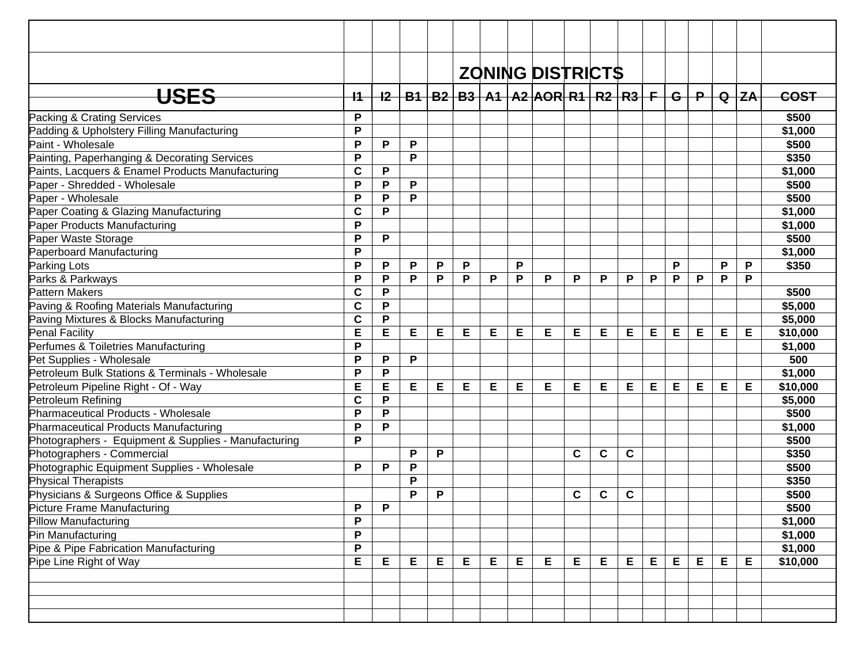|                                                      |             |   |   |   |   |   |   | <b>ZONING DISTRICTS</b>                                      |   |             |             |   |   |                 |   |          |             |
|------------------------------------------------------|-------------|---|---|---|---|---|---|--------------------------------------------------------------|---|-------------|-------------|---|---|-----------------|---|----------|-------------|
|                                                      |             |   |   |   |   |   |   |                                                              |   |             |             |   |   |                 |   |          |             |
| <b>USES</b>                                          | $+1$        |   |   |   |   |   |   | <u>I2   B1   B2   B3   A1   A2  AOR  R1   R2   R3   F   </u> |   |             |             |   |   | $-$ G $+$ P $-$ |   | $Q$ $ZA$ | <b>COST</b> |
| Packing & Crating Services                           | P           |   |   |   |   |   |   |                                                              |   |             |             |   |   |                 |   |          | \$500       |
| Padding & Upholstery Filling Manufacturing           | P           |   |   |   |   |   |   |                                                              |   |             |             |   |   |                 |   |          | \$1,000     |
| Paint - Wholesale                                    | P           | P | P |   |   |   |   |                                                              |   |             |             |   |   |                 |   |          | \$500       |
| Painting, Paperhanging & Decorating Services         | P           |   | P |   |   |   |   |                                                              |   |             |             |   |   |                 |   |          | \$350       |
| Paints, Lacquers & Enamel Products Manufacturing     | $\mathbf c$ | P |   |   |   |   |   |                                                              |   |             |             |   |   |                 |   |          | \$1,000     |
| Paper - Shredded - Wholesale                         | P           | P | P |   |   |   |   |                                                              |   |             |             |   |   |                 |   |          | \$500       |
| Paper - Wholesale                                    | P           | P | P |   |   |   |   |                                                              |   |             |             |   |   |                 |   |          | \$500       |
| Paper Coating & Glazing Manufacturing                | $\mathbf c$ | P |   |   |   |   |   |                                                              |   |             |             |   |   |                 |   |          | \$1,000     |
| Paper Products Manufacturing                         | P           |   |   |   |   |   |   |                                                              |   |             |             |   |   |                 |   |          | \$1,000     |
| Paper Waste Storage                                  | P           | P |   |   |   |   |   |                                                              |   |             |             |   |   |                 |   |          | \$500       |
| Paperboard Manufacturing                             | P           |   |   |   |   |   |   |                                                              |   |             |             |   |   |                 |   |          | \$1,000     |
| Parking Lots                                         | P           | P | P | P | P |   | P |                                                              |   |             |             |   | P |                 | P | P        | \$350       |
| Parks & Parkways                                     | P           | P | P | P | P | P | P | P                                                            | P | P           | P           | P | P | P               | P | P        |             |
| <b>Pattern Makers</b>                                | $\mathbf c$ | P |   |   |   |   |   |                                                              |   |             |             |   |   |                 |   |          | \$500       |
| Paving & Roofing Materials Manufacturing             | $\mathbf c$ | P |   |   |   |   |   |                                                              |   |             |             |   |   |                 |   |          | \$5,000     |
| Paving Mixtures & Blocks Manufacturing               | $\mathbf c$ | P |   |   |   |   |   |                                                              |   |             |             |   |   |                 |   |          | \$5,000     |
| Penal Facility                                       | E           | E | E | E | Е | E | E | E                                                            | Е | E           | E           | E | E | Е               | Е | Е        | \$10,000    |
| Perfumes & Toiletries Manufacturing                  | P           |   |   |   |   |   |   |                                                              |   |             |             |   |   |                 |   |          | \$1,000     |
| Pet Supplies - Wholesale                             | P           | P | P |   |   |   |   |                                                              |   |             |             |   |   |                 |   |          | 500         |
| Petroleum Bulk Stations & Terminals - Wholesale      | P           | P |   |   |   |   |   |                                                              |   |             |             |   |   |                 |   |          | \$1,000     |
| Petroleum Pipeline Right - Of - Way                  | E           | E | E | Е | E | E | E | E                                                            | Е | Е           | E           | E | E | Е               | Е | Е        | \$10,000    |
| Petroleum Refining                                   | $\mathbf c$ | P |   |   |   |   |   |                                                              |   |             |             |   |   |                 |   |          | \$5,000     |
| Pharmaceutical Products - Wholesale                  | P           | P |   |   |   |   |   |                                                              |   |             |             |   |   |                 |   |          | \$500       |
| Pharmaceutical Products Manufacturing                | P           | P |   |   |   |   |   |                                                              |   |             |             |   |   |                 |   |          | \$1,000     |
| Photographers - Equipment & Supplies - Manufacturing | P           |   |   |   |   |   |   |                                                              |   |             |             |   |   |                 |   |          | \$500       |
| Photographers - Commercial                           |             |   | P | P |   |   |   |                                                              | C | $\mathbf c$ | $\mathbf c$ |   |   |                 |   |          | \$350       |
| Photographic Equipment Supplies - Wholesale          | P           | P | P |   |   |   |   |                                                              |   |             |             |   |   |                 |   |          | \$500       |
| Physical Therapists                                  |             |   | P |   |   |   |   |                                                              |   |             |             |   |   |                 |   |          | \$350       |
| Physicians & Surgeons Office & Supplies              |             |   | P | Ρ |   |   |   |                                                              | C | $\mathbf c$ | C           |   |   |                 |   |          | \$500       |
| Picture Frame Manufacturing                          | P           | P |   |   |   |   |   |                                                              |   |             |             |   |   |                 |   |          | \$500       |
| Pillow Manufacturing                                 | P           |   |   |   |   |   |   |                                                              |   |             |             |   |   |                 |   |          | \$1,000     |
| Pin Manufacturing                                    | P           |   |   |   |   |   |   |                                                              |   |             |             |   |   |                 |   |          | \$1,000     |
| Pipe & Pipe Fabrication Manufacturing                | P           |   |   |   |   |   |   |                                                              |   |             |             |   |   |                 |   |          | \$1,000     |
| Pipe Line Right of Way                               | E           | Е | Е | E | Е | Е | Е | E                                                            | Е | E           | E           | E | E | E               | E | E        | \$10,000    |
|                                                      |             |   |   |   |   |   |   |                                                              |   |             |             |   |   |                 |   |          |             |
|                                                      |             |   |   |   |   |   |   |                                                              |   |             |             |   |   |                 |   |          |             |
|                                                      |             |   |   |   |   |   |   |                                                              |   |             |             |   |   |                 |   |          |             |
|                                                      |             |   |   |   |   |   |   |                                                              |   |             |             |   |   |                 |   |          |             |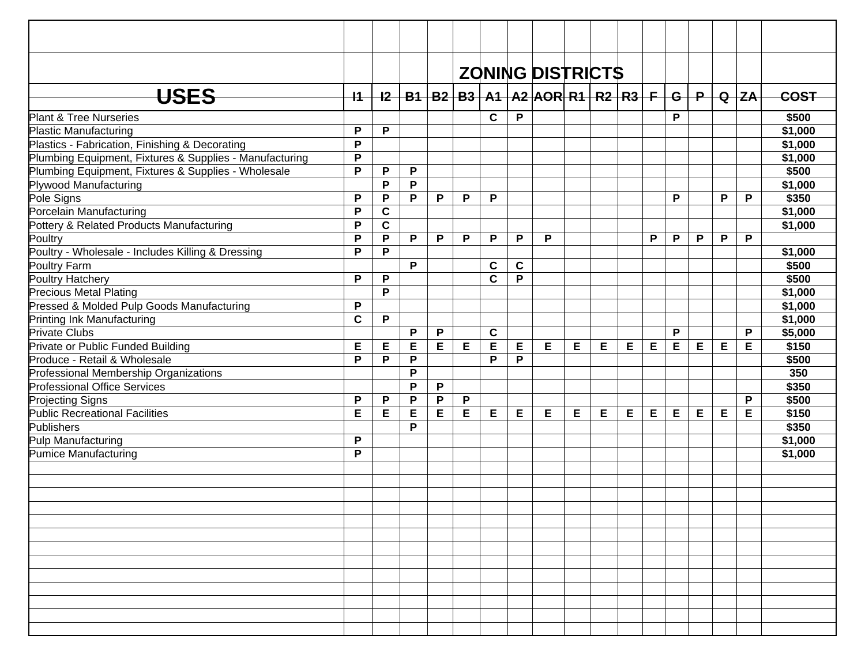|                                                         |             |             |   |   |   |             |   | <b>ZONING DISTRICTS</b>                                     |   |   |   |   |              |       |   |          |             |
|---------------------------------------------------------|-------------|-------------|---|---|---|-------------|---|-------------------------------------------------------------|---|---|---|---|--------------|-------|---|----------|-------------|
|                                                         |             |             |   |   |   |             |   |                                                             |   |   |   |   |              |       |   |          |             |
| <b>USES</b>                                             | $+$         |             |   |   |   |             |   | <u>I2   B1   B2   B3   A1   A2  AOR  R1   R2   R3   F  </u> |   |   |   |   |              | $G+P$ |   | $Q$ $ZA$ | <b>COST</b> |
| <b>Plant &amp; Tree Nurseries</b>                       |             |             |   |   |   | C           | P |                                                             |   |   |   |   | P            |       |   |          | \$500       |
| <b>Plastic Manufacturing</b>                            | P           | $\mathsf P$ |   |   |   |             |   |                                                             |   |   |   |   |              |       |   |          | \$1,000     |
| Plastics - Fabrication, Finishing & Decorating          | P           |             |   |   |   |             |   |                                                             |   |   |   |   |              |       |   |          | \$1,000     |
| Plumbing Equipment, Fixtures & Supplies - Manufacturing | P           |             |   |   |   |             |   |                                                             |   |   |   |   |              |       |   |          | \$1,000     |
| Plumbing Equipment, Fixtures & Supplies - Wholesale     | P           | P           | P |   |   |             |   |                                                             |   |   |   |   |              |       |   |          | \$500       |
| Plywood Manufacturing                                   |             | P           | P |   |   |             |   |                                                             |   |   |   |   |              |       |   |          | \$1,000     |
| Pole Signs                                              | P           | P           | P | P | P | P           |   |                                                             |   |   |   |   | P            |       | P | P        | \$350       |
| Porcelain Manufacturing                                 | P           | $\mathbf C$ |   |   |   |             |   |                                                             |   |   |   |   |              |       |   |          | \$1,000     |
| Pottery & Related Products Manufacturing                | P           | $\mathbf c$ |   |   |   |             |   |                                                             |   |   |   |   |              |       |   |          | \$1,000     |
| Poultry                                                 | P           | P           | P | P | P | P           | P | P                                                           |   |   |   | P | $\mathsf{P}$ | P     | P | P        |             |
| Poultry - Wholesale - Includes Killing & Dressing       | P           | P           |   |   |   |             |   |                                                             |   |   |   |   |              |       |   |          | \$1,000     |
| Poultry Farm                                            |             |             | P |   |   | C           | C |                                                             |   |   |   |   |              |       |   |          | \$500       |
| Poultry Hatchery                                        | P           | P           |   |   |   | $\mathbf c$ | P |                                                             |   |   |   |   |              |       |   |          | \$500       |
| Precious Metal Plating                                  |             | P           |   |   |   |             |   |                                                             |   |   |   |   |              |       |   |          | \$1,000     |
| Pressed & Molded Pulp Goods Manufacturing               | P           |             |   |   |   |             |   |                                                             |   |   |   |   |              |       |   |          | \$1,000     |
| Printing Ink Manufacturing                              | $\mathbf c$ | $\mathsf P$ |   |   |   |             |   |                                                             |   |   |   |   |              |       |   |          | \$1,000     |
| <b>Private Clubs</b>                                    |             |             | P | P |   | $\mathbf c$ |   |                                                             |   |   |   |   | P            |       |   | P        | \$5,000     |
| Private or Public Funded Building                       | Е           | Е           | E | Е | E | E           | Е | E                                                           | Е | Е | Е | Е | E            | Е     | Е | Е        | \$150       |
| Produce - Retail & Wholesale                            | P           | P           | P |   |   | P           | P |                                                             |   |   |   |   |              |       |   |          | \$500       |
| Professional Membership Organizations                   |             |             | P |   |   |             |   |                                                             |   |   |   |   |              |       |   |          | 350         |
| <b>Professional Office Services</b>                     |             |             | P | P |   |             |   |                                                             |   |   |   |   |              |       |   |          | \$350       |
| <b>Projecting Signs</b>                                 | P           | P           | P | P | P |             |   |                                                             |   |   |   |   |              |       |   | P        | \$500       |
| Public Recreational Facilities                          | E           | E           | E | E | E | Е           | Е | E                                                           | Е | Е | E | Е | E            | E     | E | Е        | \$150       |
| Publishers                                              |             |             | P |   |   |             |   |                                                             |   |   |   |   |              |       |   |          | \$350       |
| Pulp Manufacturing                                      | P           |             |   |   |   |             |   |                                                             |   |   |   |   |              |       |   |          | \$1,000     |
| Pumice Manufacturing                                    | P           |             |   |   |   |             |   |                                                             |   |   |   |   |              |       |   |          | \$1,000     |
|                                                         |             |             |   |   |   |             |   |                                                             |   |   |   |   |              |       |   |          |             |
|                                                         |             |             |   |   |   |             |   |                                                             |   |   |   |   |              |       |   |          |             |
|                                                         |             |             |   |   |   |             |   |                                                             |   |   |   |   |              |       |   |          |             |
|                                                         |             |             |   |   |   |             |   |                                                             |   |   |   |   |              |       |   |          |             |
|                                                         |             |             |   |   |   |             |   |                                                             |   |   |   |   |              |       |   |          |             |
|                                                         |             |             |   |   |   |             |   |                                                             |   |   |   |   |              |       |   |          |             |
|                                                         |             |             |   |   |   |             |   |                                                             |   |   |   |   |              |       |   |          |             |
|                                                         |             |             |   |   |   |             |   |                                                             |   |   |   |   |              |       |   |          |             |
|                                                         |             |             |   |   |   |             |   |                                                             |   |   |   |   |              |       |   |          |             |
|                                                         |             |             |   |   |   |             |   |                                                             |   |   |   |   |              |       |   |          |             |
|                                                         |             |             |   |   |   |             |   |                                                             |   |   |   |   |              |       |   |          |             |
|                                                         |             |             |   |   |   |             |   |                                                             |   |   |   |   |              |       |   |          |             |
|                                                         |             |             |   |   |   |             |   |                                                             |   |   |   |   |              |       |   |          |             |
|                                                         |             |             |   |   |   |             |   |                                                             |   |   |   |   |              |       |   |          |             |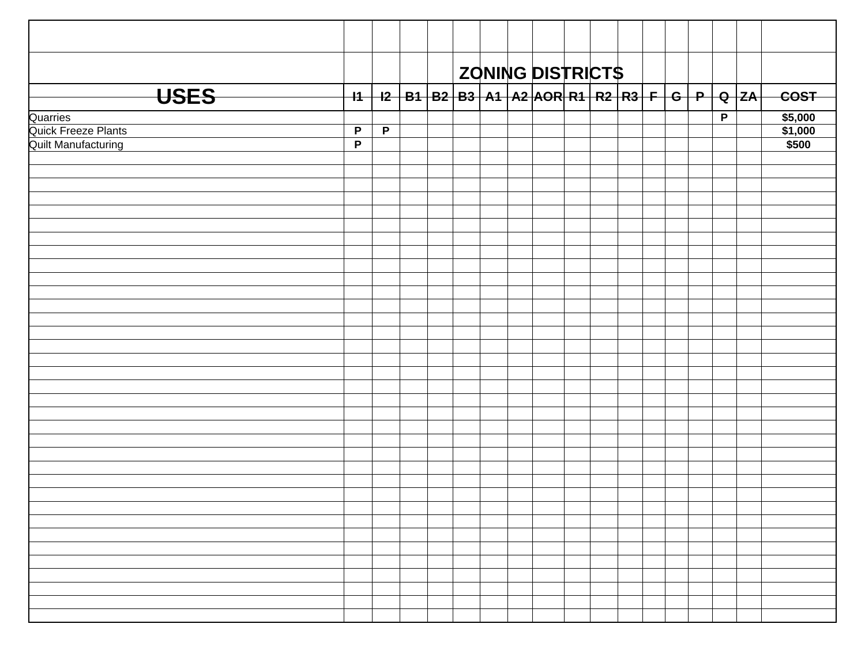|                            |              |              |  |  | ZONING DISTRICTS                                                          |  |  |  |                |             |
|----------------------------|--------------|--------------|--|--|---------------------------------------------------------------------------|--|--|--|----------------|-------------|
| <b>USES</b>                |              |              |  |  | _I1   I2   B1   B2   B3   A1   A2  AOR  R1   R2   R3   F   G   P   Q   ZA |  |  |  |                | <b>COST</b> |
| Quarries                   |              |              |  |  |                                                                           |  |  |  | $\overline{P}$ | \$5,000     |
| Quick Freeze Plants        | $\mathsf{P}$ | $\mathsf{P}$ |  |  |                                                                           |  |  |  |                | \$1,000     |
| <b>Quilt Manufacturing</b> | P            |              |  |  |                                                                           |  |  |  |                | \$500       |
|                            |              |              |  |  |                                                                           |  |  |  |                |             |
|                            |              |              |  |  |                                                                           |  |  |  |                |             |
|                            |              |              |  |  |                                                                           |  |  |  |                |             |
|                            |              |              |  |  |                                                                           |  |  |  |                |             |
|                            |              |              |  |  |                                                                           |  |  |  |                |             |
|                            |              |              |  |  |                                                                           |  |  |  |                |             |
|                            |              |              |  |  |                                                                           |  |  |  |                |             |
|                            |              |              |  |  |                                                                           |  |  |  |                |             |
|                            |              |              |  |  |                                                                           |  |  |  |                |             |
|                            |              |              |  |  |                                                                           |  |  |  |                |             |
|                            |              |              |  |  |                                                                           |  |  |  |                |             |
|                            |              |              |  |  |                                                                           |  |  |  |                |             |
|                            |              |              |  |  |                                                                           |  |  |  |                |             |
|                            |              |              |  |  |                                                                           |  |  |  |                |             |
|                            |              |              |  |  |                                                                           |  |  |  |                |             |
|                            |              |              |  |  |                                                                           |  |  |  |                |             |
|                            |              |              |  |  |                                                                           |  |  |  |                |             |
|                            |              |              |  |  |                                                                           |  |  |  |                |             |
|                            |              |              |  |  |                                                                           |  |  |  |                |             |
|                            |              |              |  |  |                                                                           |  |  |  |                |             |
|                            |              |              |  |  |                                                                           |  |  |  |                |             |
|                            |              |              |  |  |                                                                           |  |  |  |                |             |
|                            |              |              |  |  |                                                                           |  |  |  |                |             |
|                            |              |              |  |  |                                                                           |  |  |  |                |             |
|                            |              |              |  |  |                                                                           |  |  |  |                |             |
|                            |              |              |  |  |                                                                           |  |  |  |                |             |
|                            |              |              |  |  |                                                                           |  |  |  |                |             |
|                            |              |              |  |  |                                                                           |  |  |  |                |             |
|                            |              |              |  |  |                                                                           |  |  |  |                |             |
|                            |              |              |  |  |                                                                           |  |  |  |                |             |
|                            |              |              |  |  |                                                                           |  |  |  |                |             |
|                            |              |              |  |  |                                                                           |  |  |  |                |             |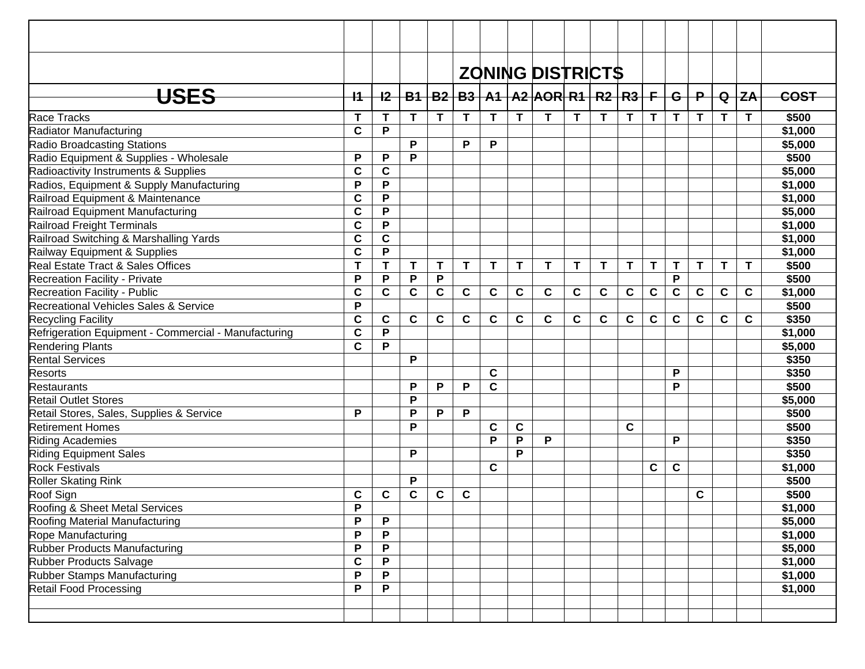|                                                      |             |              |             |             |             |             |             | <b>ZONING DISTRICTS</b>                           |             |             |             |             |              |              |             |              |             |
|------------------------------------------------------|-------------|--------------|-------------|-------------|-------------|-------------|-------------|---------------------------------------------------|-------------|-------------|-------------|-------------|--------------|--------------|-------------|--------------|-------------|
| <b>USES</b>                                          | $+1$        | $+2$         |             |             |             |             |             | $B1   B2   B3   A1   A2   AOR   R1   R2   R3   F$ |             |             |             |             | $-$ G $+$    | $\mathsf{P}$ |             | $Q$ $ZA$     | <b>COST</b> |
| Race Tracks                                          | T           | T            | T           | T           | T           | T           | T           | T                                                 | Τ           | T           | T           | T           | $\mathsf{T}$ | T            | T.          | $\mathsf{T}$ | \$500       |
| Radiator Manufacturing                               | C           | P            |             |             |             |             |             |                                                   |             |             |             |             |              |              |             |              | \$1,000     |
| <b>Radio Broadcasting Stations</b>                   |             |              | P           |             | P           | P           |             |                                                   |             |             |             |             |              |              |             |              | \$5,000     |
| Radio Equipment & Supplies - Wholesale               | P           | P            | P           |             |             |             |             |                                                   |             |             |             |             |              |              |             |              | \$500       |
| Radioactivity Instruments & Supplies                 | C           | $\mathbf c$  |             |             |             |             |             |                                                   |             |             |             |             |              |              |             |              | \$5,000     |
| Radios, Equipment & Supply Manufacturing             | P           | P            |             |             |             |             |             |                                                   |             |             |             |             |              |              |             |              | \$1,000     |
| Railroad Equipment & Maintenance                     | C           | P            |             |             |             |             |             |                                                   |             |             |             |             |              |              |             |              | \$1,000     |
| Railroad Equipment Manufacturing                     | C           | P            |             |             |             |             |             |                                                   |             |             |             |             |              |              |             |              | \$5,000     |
| Railroad Freight Terminals                           | C           | P            |             |             |             |             |             |                                                   |             |             |             |             |              |              |             |              | \$1,000     |
| Railroad Switching & Marshalling Yards               | C           | $\mathbf c$  |             |             |             |             |             |                                                   |             |             |             |             |              |              |             |              | \$1,000     |
| Railway Equipment & Supplies                         | C           | P            |             |             |             |             |             |                                                   |             |             |             |             |              |              |             |              | \$1,000     |
| Real Estate Tract & Sales Offices                    | T           | T.           | $\mathbf T$ | T           | T           | T           | T           | T                                                 | T           | T           | T           | T           | T            | T            | T           | $\mathbf T$  | \$500       |
| Recreation Facility - Private                        | P           | P            | $\mathsf P$ | P           |             |             |             |                                                   |             |             |             |             | P            |              |             |              | \$500       |
| Recreation Facility - Public                         | C           | $\mathbf{C}$ | $\mathbf c$ | $\mathbf c$ | C           | C           | C           | $\mathbf c$                                       | $\mathbf c$ | $\mathbf c$ | $\mathbf c$ | $\mathbf c$ | $\mathbf{C}$ | $\mathbf c$  | $\mathbf c$ | C            | \$1,000     |
| Recreational Vehicles Sales & Service                | P           |              |             |             |             |             |             |                                                   |             |             |             |             |              |              |             |              | \$500       |
| <b>Recycling Facility</b>                            | C           | $\mathbf c$  | $\mathbf c$ | C           | $\mathbf c$ | $\mathbf c$ | $\mathbf c$ | $\mathbf c$                                       | $\mathbf c$ | C           | $\mathbf c$ | $\mathbf c$ | $\mathbf c$  | $\mathbf c$  | $\mathbf c$ | $\mathbf c$  | \$350       |
| Refrigeration Equipment - Commercial - Manufacturing | C           | P            |             |             |             |             |             |                                                   |             |             |             |             |              |              |             |              | \$1,000     |
| <b>Rendering Plants</b>                              | $\mathbf c$ | P            |             |             |             |             |             |                                                   |             |             |             |             |              |              |             |              | \$5,000     |
| <b>Rental Services</b>                               |             |              | P           |             |             |             |             |                                                   |             |             |             |             |              |              |             |              | \$350       |
| <b>Resorts</b>                                       |             |              |             |             |             | $\mathbf c$ |             |                                                   |             |             |             |             | P            |              |             |              | \$350       |
| <b>Restaurants</b>                                   |             |              | P           | P           | P           | $\mathbf c$ |             |                                                   |             |             |             |             | P            |              |             |              | \$500       |
| <b>Retail Outlet Stores</b>                          |             |              | P           |             |             |             |             |                                                   |             |             |             |             |              |              |             |              | \$5,000     |
| Retail Stores, Sales, Supplies & Service             | P           |              | P           | P           | P           |             |             |                                                   |             |             |             |             |              |              |             |              | \$500       |
| <b>Retirement Homes</b>                              |             |              | P           |             |             | $\mathbf c$ | C           |                                                   |             |             | $\mathbf c$ |             |              |              |             |              | \$500       |
| Riding Academies                                     |             |              |             |             |             | P           | P           | P                                                 |             |             |             |             | P            |              |             |              | \$350       |
| <b>Riding Equipment Sales</b>                        |             |              | P           |             |             |             | P           |                                                   |             |             |             |             |              |              |             |              | \$350       |
| <b>Rock Festivals</b>                                |             |              |             |             |             | $\mathbf c$ |             |                                                   |             |             |             | C           | $\mathbf c$  |              |             |              | \$1,000     |
| Roller Skating Rink                                  |             |              | P           |             |             |             |             |                                                   |             |             |             |             |              |              |             |              | \$500       |
| Roof Sign                                            | C           | $\mathbf c$  | $\mathbf c$ | C           | C           |             |             |                                                   |             |             |             |             |              | C            |             |              | \$500       |
| Roofing & Sheet Metal Services                       | P           |              |             |             |             |             |             |                                                   |             |             |             |             |              |              |             |              | \$1,000     |
| Roofing Material Manufacturing                       | P           | $\mathsf{P}$ |             |             |             |             |             |                                                   |             |             |             |             |              |              |             |              | \$5,000     |
| Rope Manufacturing                                   | P           | P            |             |             |             |             |             |                                                   |             |             |             |             |              |              |             |              | \$1,000     |
| Rubber Products Manufacturing                        | P           | $\mathsf P$  |             |             |             |             |             |                                                   |             |             |             |             |              |              |             |              | \$5,000     |
| Rubber Products Salvage                              | C           | P            |             |             |             |             |             |                                                   |             |             |             |             |              |              |             |              | \$1,000     |
| Rubber Stamps Manufacturing                          | P           | P            |             |             |             |             |             |                                                   |             |             |             |             |              |              |             |              | \$1,000     |
| Retail Food Processing                               | P           | P            |             |             |             |             |             |                                                   |             |             |             |             |              |              |             |              | \$1,000     |
|                                                      |             |              |             |             |             |             |             |                                                   |             |             |             |             |              |              |             |              |             |
|                                                      |             |              |             |             |             |             |             |                                                   |             |             |             |             |              |              |             |              |             |
|                                                      |             |              |             |             |             |             |             |                                                   |             |             |             |             |              |              |             |              |             |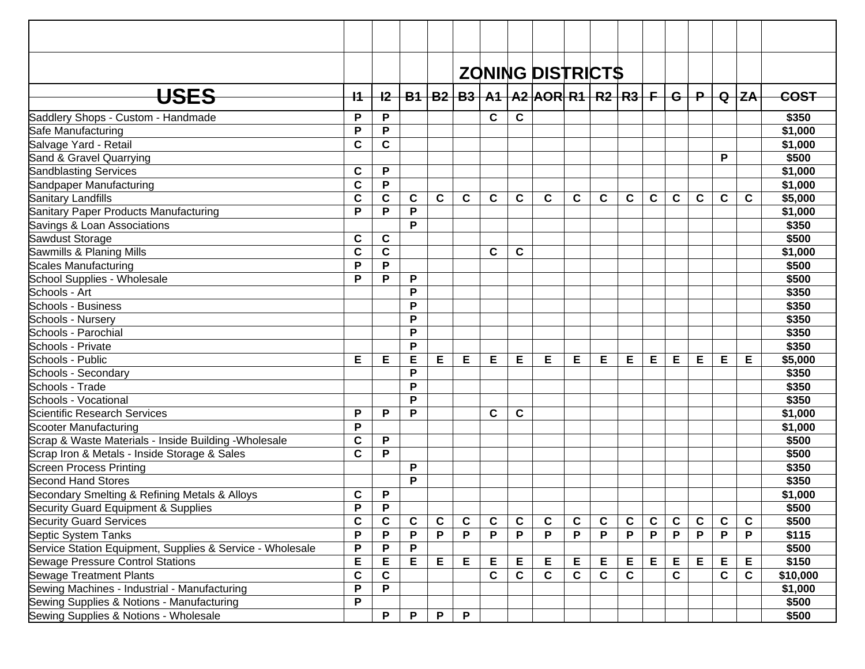|                                                           |             |             |             |   |              |             |             | <b>ZONING DISTRICTS</b>                       |             |             |             |             |             |                 |             |         |             |
|-----------------------------------------------------------|-------------|-------------|-------------|---|--------------|-------------|-------------|-----------------------------------------------|-------------|-------------|-------------|-------------|-------------|-----------------|-------------|---------|-------------|
| <del>USES</del>                                           | $+1$        | $+2-$       |             |   |              |             |             | B1   B2   B3   A1   A2  AOR  R1   R2   R3   F |             |             |             |             |             | $-$ G $+$ P $-$ |             | $Q$ $Z$ | <b>COST</b> |
|                                                           |             |             |             |   |              |             |             |                                               |             |             |             |             |             |                 |             |         |             |
| Saddlery Shops - Custom - Handmade                        | P           | P           |             |   |              | C           | $\mathbf c$ |                                               |             |             |             |             |             |                 |             |         | \$350       |
| Safe Manufacturing                                        | P           | P           |             |   |              |             |             |                                               |             |             |             |             |             |                 |             |         | \$1,000     |
| Salvage Yard - Retail                                     | $\mathbf c$ | $\mathbf C$ |             |   |              |             |             |                                               |             |             |             |             |             |                 |             |         | \$1,000     |
| Sand & Gravel Quarrying                                   |             |             |             |   |              |             |             |                                               |             |             |             |             |             |                 | P           |         | \$500       |
| <b>Sandblasting Services</b>                              | $\mathbf c$ | P           |             |   |              |             |             |                                               |             |             |             |             |             |                 |             |         | \$1,000     |
| Sandpaper Manufacturing                                   | $\mathbf c$ | P           |             |   |              |             |             |                                               |             |             |             |             |             |                 |             |         | \$1,000     |
| Sanitary Landfills                                        | $\mathbf c$ | $\mathbf c$ | С           | C | $\mathbf c$  | C           | C           | $\mathbf c$                                   | C           | C           | C           | C           | $\mathbf c$ | $\mathbf c$     | C           | C       | \$5,000     |
| Sanitary Paper Products Manufacturing                     | P           | P           | P           |   |              |             |             |                                               |             |             |             |             |             |                 |             |         | \$1,000     |
| Savings & Loan Associations                               |             |             | P           |   |              |             |             |                                               |             |             |             |             |             |                 |             |         | \$350       |
| Sawdust Storage                                           | C           | C           |             |   |              |             |             |                                               |             |             |             |             |             |                 |             |         | \$500       |
| Sawmills & Planing Mills                                  | $\mathbf c$ | $\mathbf c$ |             |   |              | C           | C           |                                               |             |             |             |             |             |                 |             |         | \$1,000     |
| <b>Scales Manufacturing</b>                               | P           | P           |             |   |              |             |             |                                               |             |             |             |             |             |                 |             |         | \$500       |
| School Supplies - Wholesale                               | P           | P           | P           |   |              |             |             |                                               |             |             |             |             |             |                 |             |         | \$500       |
| Schools - Art                                             |             |             | P           |   |              |             |             |                                               |             |             |             |             |             |                 |             |         | \$350       |
| Schools - Business                                        |             |             | P           |   |              |             |             |                                               |             |             |             |             |             |                 |             |         | \$350       |
| Schools - Nursery                                         |             |             | P           |   |              |             |             |                                               |             |             |             |             |             |                 |             |         | \$350       |
| Schools - Parochial                                       |             |             | P           |   |              |             |             |                                               |             |             |             |             |             |                 |             |         | \$350       |
| Schools - Private                                         |             |             | P           |   |              |             |             |                                               |             |             |             |             |             |                 |             |         | \$350       |
| Schools - Public                                          | Е           | Е           | Е           | Е | Е            | Е           | Е           | Е                                             | Е           | Е           | Е           | Е           | E           | Е               | Е           | Е       | \$5,000     |
| Schools - Secondary                                       |             |             | P           |   |              |             |             |                                               |             |             |             |             |             |                 |             |         | \$350       |
| Schools - Trade                                           |             |             | P           |   |              |             |             |                                               |             |             |             |             |             |                 |             |         | \$350       |
| Schools - Vocational                                      |             |             | P           |   |              |             |             |                                               |             |             |             |             |             |                 |             |         | \$350       |
| Scientific Research Services                              | P           | P           | P           |   |              | C           | C           |                                               |             |             |             |             |             |                 |             |         | \$1,000     |
| Scooter Manufacturing                                     | P           |             |             |   |              |             |             |                                               |             |             |             |             |             |                 |             |         | \$1,000     |
| Scrap & Waste Materials - Inside Building - Wholesale     | $\mathbf c$ | P           |             |   |              |             |             |                                               |             |             |             |             |             |                 |             |         | \$500       |
| Scrap Iron & Metals - Inside Storage & Sales              | $\mathbf c$ | P           |             |   |              |             |             |                                               |             |             |             |             |             |                 |             |         | \$500       |
| <b>Screen Process Printing</b>                            |             |             | P           |   |              |             |             |                                               |             |             |             |             |             |                 |             |         | \$350       |
| Second Hand Stores                                        |             |             | P           |   |              |             |             |                                               |             |             |             |             |             |                 |             |         | \$350       |
| Secondary Smelting & Refining Metals & Alloys             | C           | P           |             |   |              |             |             |                                               |             |             |             |             |             |                 |             |         | \$1,000     |
| Security Guard Equipment & Supplies                       | P           | P           |             |   |              |             |             |                                               |             |             |             |             |             |                 |             |         | \$500       |
| <b>Security Guard Services</b>                            | $\mathbf c$ | $\mathbf c$ | $\mathbf c$ | C | $\mathbf{C}$ | $\mathbf c$ | $\mathbf c$ | $\mathbf{C}$                                  | $\mathbf c$ | $\mathbf c$ | $\mathbf c$ | $\mathbf c$ | $\mathbf c$ | $\mathbf c$     | C           | C       | \$500       |
| Septic System Tanks                                       | P           | P           | P           | P | P            | P           | P           | P                                             | P           | P           | P           | P           | P           | P               | P           | P       | \$115       |
| Service Station Equipment, Supplies & Service - Wholesale | P           | P           | P           |   |              |             |             |                                               |             |             |             |             |             |                 |             |         | \$500       |
| Sewage Pressure Control Stations                          | E           | E           | Е           | Е | Е            | Е           | Е           | Е                                             | Е           | Е           | E           | E           | E           | Е               | E           | Е       | \$150       |
| <b>Sewage Treatment Plants</b>                            | $\mathbf c$ | $\mathbf c$ |             |   |              | $\mathbf c$ | $\mathbf c$ | $\mathbf c$                                   | $\mathbf c$ | $\mathbf c$ | $\mathbf c$ |             | $\mathbf C$ |                 | $\mathbf c$ | C       | \$10,000    |
| Sewing Machines - Industrial - Manufacturing              | P           | P           |             |   |              |             |             |                                               |             |             |             |             |             |                 |             |         | \$1,000     |
| Sewing Supplies & Notions - Manufacturing                 | P           |             |             |   |              |             |             |                                               |             |             |             |             |             |                 |             |         | \$500       |
| Sewing Supplies & Notions - Wholesale                     |             | P           | P           | P | P            |             |             |                                               |             |             |             |             |             |                 |             |         | \$500       |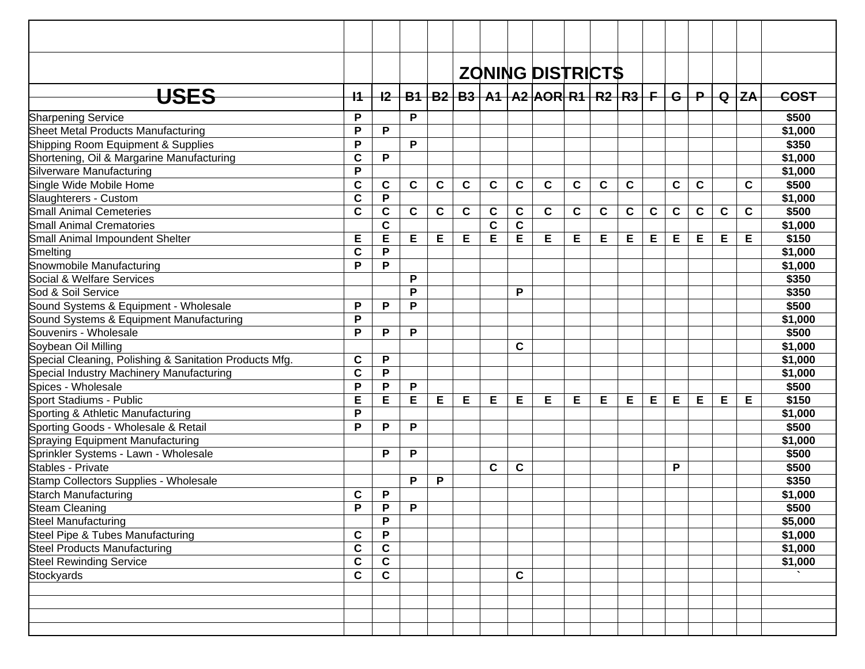|                                                        |             |              |             |             |             |             |             | <b>ZONING DISTRICTS</b>                           |             |             |             |             |             |             |             |           |             |
|--------------------------------------------------------|-------------|--------------|-------------|-------------|-------------|-------------|-------------|---------------------------------------------------|-------------|-------------|-------------|-------------|-------------|-------------|-------------|-----------|-------------|
| <b>USES</b>                                            | $+1$        | $+2$         |             |             |             |             |             | $B1   B2   B3   A1   A2   AOR   R1   R2   R3   F$ |             |             |             |             |             | $G+P$       |             | $Q$ $Z$ A | <b>COST</b> |
| <b>Sharpening Service</b>                              | P           |              | P           |             |             |             |             |                                                   |             |             |             |             |             |             |             |           | \$500       |
| Sheet Metal Products Manufacturing                     | P           | P            |             |             |             |             |             |                                                   |             |             |             |             |             |             |             |           | \$1,000     |
| Shipping Room Equipment & Supplies                     | P           |              | P           |             |             |             |             |                                                   |             |             |             |             |             |             |             |           | \$350       |
| Shortening, Oil & Margarine Manufacturing              | C           | P            |             |             |             |             |             |                                                   |             |             |             |             |             |             |             |           | \$1,000     |
| Silverware Manufacturing                               | P           |              |             |             |             |             |             |                                                   |             |             |             |             |             |             |             |           | \$1,000     |
| Single Wide Mobile Home                                | C           | C            | $\mathbf c$ | C           | $\mathbf c$ | $\mathbf c$ | $\mathbf c$ | $\mathbf c$                                       | $\mathbf c$ | $\mathbf c$ | $\mathbf c$ |             | $\mathbf c$ | $\mathbf c$ |             | C         | \$500       |
| Slaughterers - Custom                                  | C           | P            |             |             |             |             |             |                                                   |             |             |             |             |             |             |             |           | \$1,000     |
| <b>Small Animal Cemeteries</b>                         | C           | C            | C           | $\mathbf c$ | C           | C           | C           | $\mathbf c$                                       | C           | $\mathbf c$ | $\mathbf c$ | $\mathbf c$ | $\mathbf c$ | $\mathbf c$ | $\mathbf c$ | C         | \$500       |
| <b>Small Animal Crematories</b>                        |             | $\mathbf c$  |             |             |             | $\mathbf c$ | C           |                                                   |             |             |             |             |             |             |             |           | \$1,000     |
| Small Animal Impoundent Shelter                        | Е           | Е            | E           | Е           | Е           | Е           | E           | Е                                                 | Е           | Е           | Е           | Е           | E           | E           | Е           | Е         | \$150       |
| Smelting                                               | C           | P            |             |             |             |             |             |                                                   |             |             |             |             |             |             |             |           | \$1,000     |
| Snowmobile Manufacturing                               | P           | P            |             |             |             |             |             |                                                   |             |             |             |             |             |             |             |           | \$1,000     |
| Social & Welfare Services                              |             |              | P           |             |             |             |             |                                                   |             |             |             |             |             |             |             |           | \$350       |
| Sod & Soil Service                                     |             |              | P           |             |             |             | P           |                                                   |             |             |             |             |             |             |             |           | \$350       |
| Sound Systems & Equipment - Wholesale                  | P           | P            | P           |             |             |             |             |                                                   |             |             |             |             |             |             |             |           | \$500       |
| Sound Systems & Equipment Manufacturing                | P           |              |             |             |             |             |             |                                                   |             |             |             |             |             |             |             |           | \$1,000     |
| Souvenirs - Wholesale                                  | P           | P            | P           |             |             |             |             |                                                   |             |             |             |             |             |             |             |           | \$500       |
| Soybean Oil Milling                                    |             |              |             |             |             |             | C           |                                                   |             |             |             |             |             |             |             |           | \$1,000     |
| Special Cleaning, Polishing & Sanitation Products Mfg. | C           | P            |             |             |             |             |             |                                                   |             |             |             |             |             |             |             |           | \$1,000     |
| Special Industry Machinery Manufacturing               | C           | P            |             |             |             |             |             |                                                   |             |             |             |             |             |             |             |           | \$1,000     |
| Spices - Wholesale                                     | P           | P            | P           |             |             |             |             |                                                   |             |             |             |             |             |             |             |           | \$500       |
| Sport Stadiums - Public                                | E           | E            | E           | E           | Е           | Е           | E           | Е                                                 | Е           | Е           | E           | Е           | E           | Е           | Е           | Е         | \$150       |
| Sporting & Athletic Manufacturing                      | P           |              |             |             |             |             |             |                                                   |             |             |             |             |             |             |             |           | \$1,000     |
| Sporting Goods - Wholesale & Retail                    | P           | P            | P           |             |             |             |             |                                                   |             |             |             |             |             |             |             |           | \$500       |
| Spraying Equipment Manufacturing                       |             |              |             |             |             |             |             |                                                   |             |             |             |             |             |             |             |           | \$1,000     |
| Sprinkler Systems - Lawn - Wholesale                   |             | P            | P           |             |             |             |             |                                                   |             |             |             |             |             |             |             |           | \$500       |
| Stables - Private                                      |             |              |             |             |             | $\mathbf c$ | C           |                                                   |             |             |             |             | P           |             |             |           | \$500       |
| Stamp Collectors Supplies - Wholesale                  |             |              | P           | P           |             |             |             |                                                   |             |             |             |             |             |             |             |           | \$350       |
| Starch Manufacturing                                   | C           | P            |             |             |             |             |             |                                                   |             |             |             |             |             |             |             |           | \$1,000     |
| Steam Cleaning                                         | P           | P            | P           |             |             |             |             |                                                   |             |             |             |             |             |             |             |           | \$500       |
| <b>Steel Manufacturing</b>                             |             | P            |             |             |             |             |             |                                                   |             |             |             |             |             |             |             |           | \$5,000     |
| Steel Pipe & Tubes Manufacturing                       | $\mathbf c$ | P            |             |             |             |             |             |                                                   |             |             |             |             |             |             |             |           | \$1,000     |
| <b>Steel Products Manufacturing</b>                    | C           | $\mathbf c$  |             |             |             |             |             |                                                   |             |             |             |             |             |             |             |           | \$1,000     |
| <b>Steel Rewinding Service</b>                         | $\mathbf c$ | $\mathbf c$  |             |             |             |             |             |                                                   |             |             |             |             |             |             |             |           | \$1,000     |
| Stockyards                                             | $\mathbf c$ | $\mathbf{C}$ |             |             |             |             | C           |                                                   |             |             |             |             |             |             |             |           |             |
|                                                        |             |              |             |             |             |             |             |                                                   |             |             |             |             |             |             |             |           |             |
|                                                        |             |              |             |             |             |             |             |                                                   |             |             |             |             |             |             |             |           |             |
|                                                        |             |              |             |             |             |             |             |                                                   |             |             |             |             |             |             |             |           |             |
|                                                        |             |              |             |             |             |             |             |                                                   |             |             |             |             |             |             |             |           |             |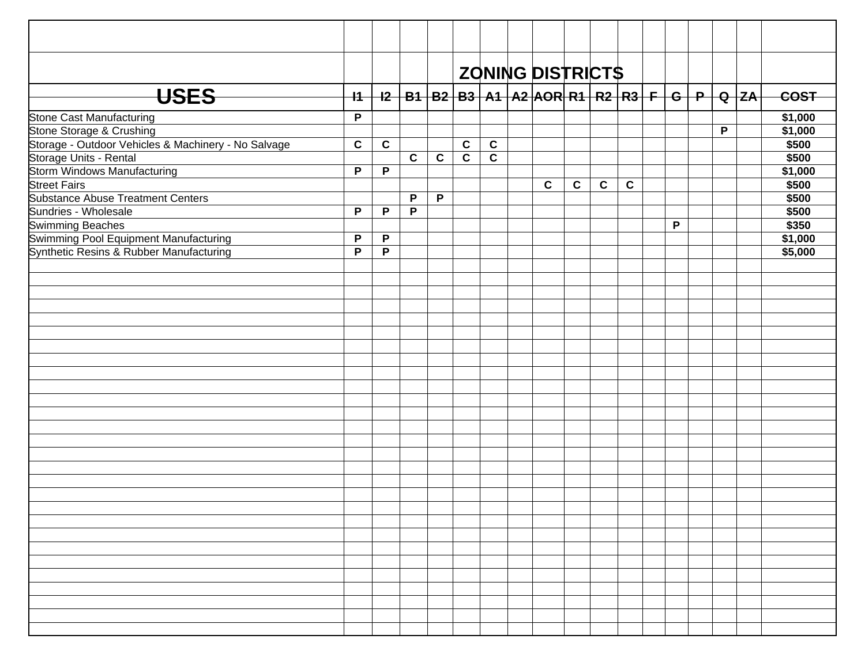|                                                     |              |             |             |              |                         | <b>ZONING DISTRICTS</b>                                             |             |              |             |             |   |   |             |
|-----------------------------------------------------|--------------|-------------|-------------|--------------|-------------------------|---------------------------------------------------------------------|-------------|--------------|-------------|-------------|---|---|-------------|
| <b>USES</b>                                         | $+1$         |             |             |              |                         | _I2   B1   B2   B3   A1   A2  AOR  R1   R2   R3   F   G   P   Q  ZA |             |              |             |             |   |   | <b>COST</b> |
| Stone Cast Manufacturing                            | $\mathsf{P}$ |             |             |              |                         |                                                                     |             |              |             |             |   |   | \$1,000     |
| Stone Storage & Crushing                            |              |             |             |              |                         |                                                                     |             |              |             |             |   | P | \$1,000     |
| Storage - Outdoor Vehicles & Machinery - No Salvage | $\mathbf c$  | $\mathbf c$ |             |              | $\mathbf c$             | $\mathbf c$                                                         |             |              |             |             |   |   | \$500       |
| Storage Units - Rental                              |              |             | $\mathbf c$ | $\mathbf c$  | $\overline{\mathbf{c}}$ | $\overline{\mathbf{c}}$                                             |             |              |             |             |   |   | \$500       |
| <b>Storm Windows Manufacturing</b>                  | $\mathsf{P}$ | P           |             |              |                         |                                                                     |             |              |             |             |   |   | \$1,000     |
| <b>Street Fairs</b>                                 |              |             |             |              |                         |                                                                     | $\mathbf c$ | $\mathbf{C}$ | $\mathbf c$ | $\mathbf c$ |   |   | \$500       |
| <b>Substance Abuse Treatment Centers</b>            |              |             | P           | $\mathsf{P}$ |                         |                                                                     |             |              |             |             |   |   | \$500       |
| Sundries - Wholesale                                | $\mathsf{P}$ | P           | P           |              |                         |                                                                     |             |              |             |             |   |   | \$500       |
| <b>Swimming Beaches</b>                             |              |             |             |              |                         |                                                                     |             |              |             |             | P |   | \$350       |
| Swimming Pool Equipment Manufacturing               | P            | P           |             |              |                         |                                                                     |             |              |             |             |   |   | \$1,000     |
| Synthetic Resins & Rubber Manufacturing             | $\mathsf{P}$ | P           |             |              |                         |                                                                     |             |              |             |             |   |   | \$5,000     |
|                                                     |              |             |             |              |                         |                                                                     |             |              |             |             |   |   |             |
|                                                     |              |             |             |              |                         |                                                                     |             |              |             |             |   |   |             |
|                                                     |              |             |             |              |                         |                                                                     |             |              |             |             |   |   |             |
|                                                     |              |             |             |              |                         |                                                                     |             |              |             |             |   |   |             |
|                                                     |              |             |             |              |                         |                                                                     |             |              |             |             |   |   |             |
|                                                     |              |             |             |              |                         |                                                                     |             |              |             |             |   |   |             |
|                                                     |              |             |             |              |                         |                                                                     |             |              |             |             |   |   |             |
|                                                     |              |             |             |              |                         |                                                                     |             |              |             |             |   |   |             |
|                                                     |              |             |             |              |                         |                                                                     |             |              |             |             |   |   |             |
|                                                     |              |             |             |              |                         |                                                                     |             |              |             |             |   |   |             |
|                                                     |              |             |             |              |                         |                                                                     |             |              |             |             |   |   |             |
|                                                     |              |             |             |              |                         |                                                                     |             |              |             |             |   |   |             |
|                                                     |              |             |             |              |                         |                                                                     |             |              |             |             |   |   |             |
|                                                     |              |             |             |              |                         |                                                                     |             |              |             |             |   |   |             |
|                                                     |              |             |             |              |                         |                                                                     |             |              |             |             |   |   |             |
|                                                     |              |             |             |              |                         |                                                                     |             |              |             |             |   |   |             |
|                                                     |              |             |             |              |                         |                                                                     |             |              |             |             |   |   |             |
|                                                     |              |             |             |              |                         |                                                                     |             |              |             |             |   |   |             |
|                                                     |              |             |             |              |                         |                                                                     |             |              |             |             |   |   |             |
|                                                     |              |             |             |              |                         |                                                                     |             |              |             |             |   |   |             |
|                                                     |              |             |             |              |                         |                                                                     |             |              |             |             |   |   |             |
|                                                     |              |             |             |              |                         |                                                                     |             |              |             |             |   |   |             |
|                                                     |              |             |             |              |                         |                                                                     |             |              |             |             |   |   |             |
|                                                     |              |             |             |              |                         |                                                                     |             |              |             |             |   |   |             |
|                                                     |              |             |             |              |                         |                                                                     |             |              |             |             |   |   |             |
|                                                     |              |             |             |              |                         |                                                                     |             |              |             |             |   |   |             |
|                                                     |              |             |             |              |                         |                                                                     |             |              |             |             |   |   |             |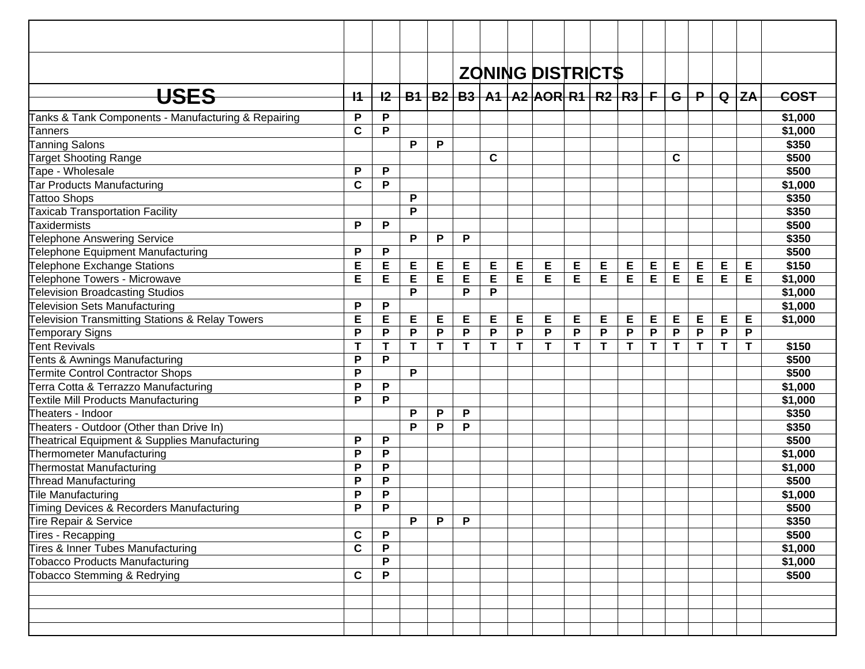|                                                            |                           |              |   |   |   |             |   | <b>ZONING DISTRICTS</b>                       |   |   |   |   |             |                         |             |           |         |
|------------------------------------------------------------|---------------------------|--------------|---|---|---|-------------|---|-----------------------------------------------|---|---|---|---|-------------|-------------------------|-------------|-----------|---------|
| <b>USES</b>                                                | $+1$                      | $+2-$        |   |   |   |             |   | B1   B2   B3   A1   A2  AOR  R1   R2   R3   F |   |   |   |   | -G-l        | $\overline{\mathbf{P}}$ |             | $Q$ $Z$ A | COST    |
| Tanks & Tank Components - Manufacturing & Repairing        | P                         | P            |   |   |   |             |   |                                               |   |   |   |   |             |                         |             |           | \$1,000 |
| Tanners                                                    | $\mathbf c$               | P            |   |   |   |             |   |                                               |   |   |   |   |             |                         |             |           | \$1,000 |
| <b>Tanning Salons</b>                                      |                           |              | P | P |   |             |   |                                               |   |   |   |   |             |                         |             |           | \$350   |
| <b>Target Shooting Range</b>                               |                           |              |   |   |   | $\mathbf c$ |   |                                               |   |   |   |   | $\mathbf c$ |                         |             |           | \$500   |
| Tape - Wholesale                                           | P                         | P            |   |   |   |             |   |                                               |   |   |   |   |             |                         |             |           | \$500   |
| Tar Products Manufacturing                                 | $\mathbf c$               | P            |   |   |   |             |   |                                               |   |   |   |   |             |                         |             |           | \$1,000 |
| <b>Tattoo Shops</b>                                        |                           |              | P |   |   |             |   |                                               |   |   |   |   |             |                         |             |           | \$350   |
| Taxicab Transportation Facility                            |                           |              | P |   |   |             |   |                                               |   |   |   |   |             |                         |             |           | \$350   |
| Taxidermists                                               | P                         | P            |   |   |   |             |   |                                               |   |   |   |   |             |                         |             |           | \$500   |
| Telephone Answering Service                                |                           |              | P | P | P |             |   |                                               |   |   |   |   |             |                         |             |           | \$350   |
| Telephone Equipment Manufacturing                          | P                         | P            |   |   |   |             |   |                                               |   |   |   |   |             |                         |             |           | \$500   |
| Telephone Exchange Stations                                | E                         | E            | E | Е | E | E           | E | E                                             | E | Е | Е | Е | E           | Е                       | E           | Е         | \$150   |
| Telephone Towers - Microwave                               | Е                         | E            | E | Е | E | Е           | Е | E                                             | Е | Е | E | E | E           | E                       | E           | Е         | \$1,000 |
| <b>Television Broadcasting Studios</b>                     |                           |              | P |   | P | P           |   |                                               |   |   |   |   |             |                         |             |           | \$1,000 |
| Television Sets Manufacturing                              | P                         | P            |   |   |   |             |   |                                               |   |   |   |   |             |                         |             |           | \$1,000 |
| <b>Television Transmitting Stations &amp; Relay Towers</b> | E                         | E            | E | Е | Е | Е           | Е | E                                             | Е | Е | Е | E | Е           | Е                       | E           | E         | \$1,000 |
| Temporary Signs                                            | P                         | P            | P | P | P | P           | P | P                                             | P | P | P | P | P           | $\mathsf P$             | P           | P         |         |
| Tent Revivals                                              | T                         | T            | T | T | T | T           | T | T                                             | T | T | T | T | T           | T                       | $\mathbf T$ | T         | \$150   |
| Tents & Awnings Manufacturing                              | P                         | P            |   |   |   |             |   |                                               |   |   |   |   |             |                         |             |           | \$500   |
| <b>Termite Control Contractor Shops</b>                    | P                         |              | P |   |   |             |   |                                               |   |   |   |   |             |                         |             |           | \$500   |
| Terra Cotta & Terrazzo Manufacturing                       | P                         | P            |   |   |   |             |   |                                               |   |   |   |   |             |                         |             |           | \$1,000 |
| <b>Textile Mill Products Manufacturing</b>                 | P                         | P            |   |   |   |             |   |                                               |   |   |   |   |             |                         |             |           | \$1,000 |
| Theaters - Indoor                                          |                           |              | P | P | P |             |   |                                               |   |   |   |   |             |                         |             |           | \$350   |
| Theaters - Outdoor (Other than Drive In)                   |                           |              | P | Ρ | P |             |   |                                               |   |   |   |   |             |                         |             |           | \$350   |
| Theatrical Equipment & Supplies Manufacturing              | P                         | P            |   |   |   |             |   |                                               |   |   |   |   |             |                         |             |           | \$500   |
| Thermometer Manufacturing                                  | P                         | P            |   |   |   |             |   |                                               |   |   |   |   |             |                         |             |           | \$1,000 |
| Thermostat Manufacturing                                   | P                         | P            |   |   |   |             |   |                                               |   |   |   |   |             |                         |             |           | \$1,000 |
| Thread Manufacturing                                       | P                         | P            |   |   |   |             |   |                                               |   |   |   |   |             |                         |             |           | \$500   |
| Tile Manufacturing                                         | P                         | P            |   |   |   |             |   |                                               |   |   |   |   |             |                         |             |           | \$1,000 |
| Timing Devices & Recorders Manufacturing                   | $\boldsymbol{\mathsf{P}}$ | D            |   |   |   |             |   |                                               |   |   |   |   |             |                         |             |           | \$500   |
| Tire Repair & Service                                      |                           |              | P | P | P |             |   |                                               |   |   |   |   |             |                         |             |           | \$350   |
| Tires - Recapping                                          | C                         | $\mathsf P$  |   |   |   |             |   |                                               |   |   |   |   |             |                         |             |           | \$500   |
| Tires & Inner Tubes Manufacturing                          | $\mathbf c$               | P            |   |   |   |             |   |                                               |   |   |   |   |             |                         |             |           | \$1,000 |
| Tobacco Products Manufacturing                             |                           | P            |   |   |   |             |   |                                               |   |   |   |   |             |                         |             |           | \$1,000 |
| Tobacco Stemming & Redrying                                | $\mathbf c$               | $\mathsf{P}$ |   |   |   |             |   |                                               |   |   |   |   |             |                         |             |           | \$500   |
|                                                            |                           |              |   |   |   |             |   |                                               |   |   |   |   |             |                         |             |           |         |
|                                                            |                           |              |   |   |   |             |   |                                               |   |   |   |   |             |                         |             |           |         |
|                                                            |                           |              |   |   |   |             |   |                                               |   |   |   |   |             |                         |             |           |         |
|                                                            |                           |              |   |   |   |             |   |                                               |   |   |   |   |             |                         |             |           |         |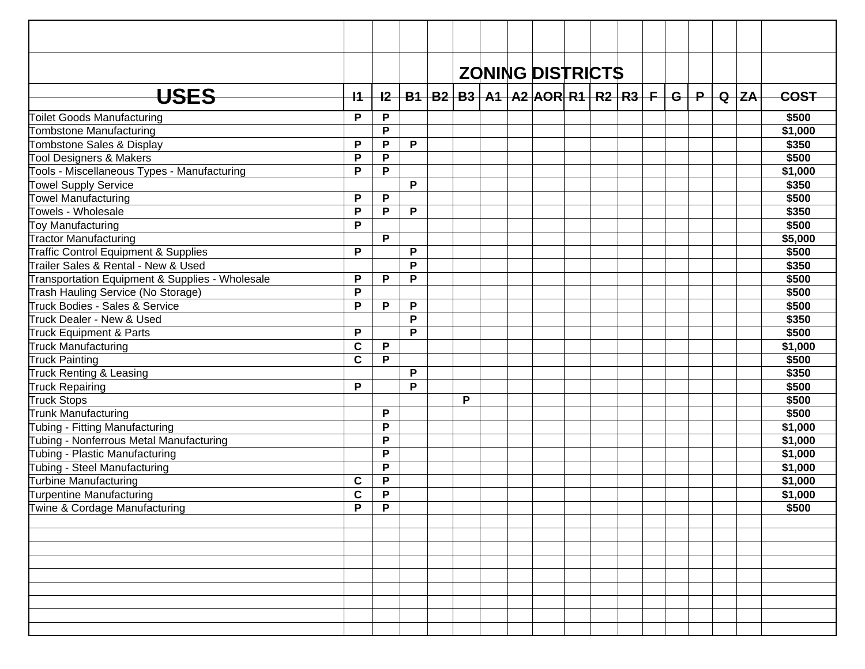|                                                 |             |             |   |   |  | <b>ZONING DISTRICTS</b>                                             |  |  |  |          |             |
|-------------------------------------------------|-------------|-------------|---|---|--|---------------------------------------------------------------------|--|--|--|----------|-------------|
| USES                                            | $+$         |             |   |   |  | <u>I2   B1   B2   B3   A1   A2  AOR  R1   R2   R3   F   G   P  </u> |  |  |  | $Q$ $ZA$ | <b>COST</b> |
| <b>Toilet Goods Manufacturing</b>               | P           | P           |   |   |  |                                                                     |  |  |  |          | \$500       |
| Tombstone Manufacturing                         |             | P           |   |   |  |                                                                     |  |  |  |          | \$1,000     |
| Tombstone Sales & Display                       | P           | P           | P |   |  |                                                                     |  |  |  |          | \$350       |
| Tool Designers & Makers                         | P           | P           |   |   |  |                                                                     |  |  |  |          | \$500       |
| Tools - Miscellaneous Types - Manufacturing     | P           | P           |   |   |  |                                                                     |  |  |  |          | \$1,000     |
| <b>Towel Supply Service</b>                     |             |             | P |   |  |                                                                     |  |  |  |          | \$350       |
| <b>Towel Manufacturing</b>                      | P           | P           |   |   |  |                                                                     |  |  |  |          | \$500       |
| Towels - Wholesale                              | P           | P           | P |   |  |                                                                     |  |  |  |          | \$350       |
| Toy Manufacturing                               | P           |             |   |   |  |                                                                     |  |  |  |          | \$500       |
| <b>Tractor Manufacturing</b>                    |             | P           |   |   |  |                                                                     |  |  |  |          | \$5,000     |
| Traffic Control Equipment & Supplies            | P           |             | P |   |  |                                                                     |  |  |  |          | \$500       |
| Trailer Sales & Rental - New & Used             |             |             | P |   |  |                                                                     |  |  |  |          | \$350       |
| Transportation Equipment & Supplies - Wholesale | P           | P           | P |   |  |                                                                     |  |  |  |          | \$500       |
| Trash Hauling Service (No Storage)              | P           |             |   |   |  |                                                                     |  |  |  |          | \$500       |
| Truck Bodies - Sales & Service                  | P           | P           | P |   |  |                                                                     |  |  |  |          | \$500       |
| Truck Dealer - New & Used                       |             |             | P |   |  |                                                                     |  |  |  |          | \$350       |
| Truck Equipment & Parts                         | P           |             | P |   |  |                                                                     |  |  |  |          | \$500       |
| <b>Truck Manufacturing</b>                      | $\mathbf c$ | P           |   |   |  |                                                                     |  |  |  |          | \$1,000     |
| <b>Truck Painting</b>                           | $\mathbf c$ | P           |   |   |  |                                                                     |  |  |  |          | \$500       |
| Truck Renting & Leasing                         |             |             | P |   |  |                                                                     |  |  |  |          | \$350       |
| <b>Truck Repairing</b>                          | P           |             | P |   |  |                                                                     |  |  |  |          | \$500       |
| <b>Truck Stops</b>                              |             |             |   | P |  |                                                                     |  |  |  |          | \$500       |
| Trunk Manufacturing                             |             | P           |   |   |  |                                                                     |  |  |  |          | \$500       |
| Tubing - Fitting Manufacturing                  |             | P           |   |   |  |                                                                     |  |  |  |          | \$1,000     |
| Tubing - Nonferrous Metal Manufacturing         |             | P           |   |   |  |                                                                     |  |  |  |          | \$1,000     |
| Tubing - Plastic Manufacturing                  |             | P           |   |   |  |                                                                     |  |  |  |          | \$1,000     |
| Tubing - Steel Manufacturing                    |             | P           |   |   |  |                                                                     |  |  |  |          | \$1,000     |
| Turbine Manufacturing                           | $\mathbf c$ | $\mathsf P$ |   |   |  |                                                                     |  |  |  |          | \$1,000     |
| Turpentine Manufacturing                        | $\mathbf c$ | P           |   |   |  |                                                                     |  |  |  |          | \$1,000     |
| Twine & Cordage Manufacturing                   | Þ           | Þ           |   |   |  |                                                                     |  |  |  |          | \$500       |
|                                                 |             |             |   |   |  |                                                                     |  |  |  |          |             |
|                                                 |             |             |   |   |  |                                                                     |  |  |  |          |             |
|                                                 |             |             |   |   |  |                                                                     |  |  |  |          |             |
|                                                 |             |             |   |   |  |                                                                     |  |  |  |          |             |
|                                                 |             |             |   |   |  |                                                                     |  |  |  |          |             |
|                                                 |             |             |   |   |  |                                                                     |  |  |  |          |             |
|                                                 |             |             |   |   |  |                                                                     |  |  |  |          |             |
|                                                 |             |             |   |   |  |                                                                     |  |  |  |          |             |
|                                                 |             |             |   |   |  |                                                                     |  |  |  |          |             |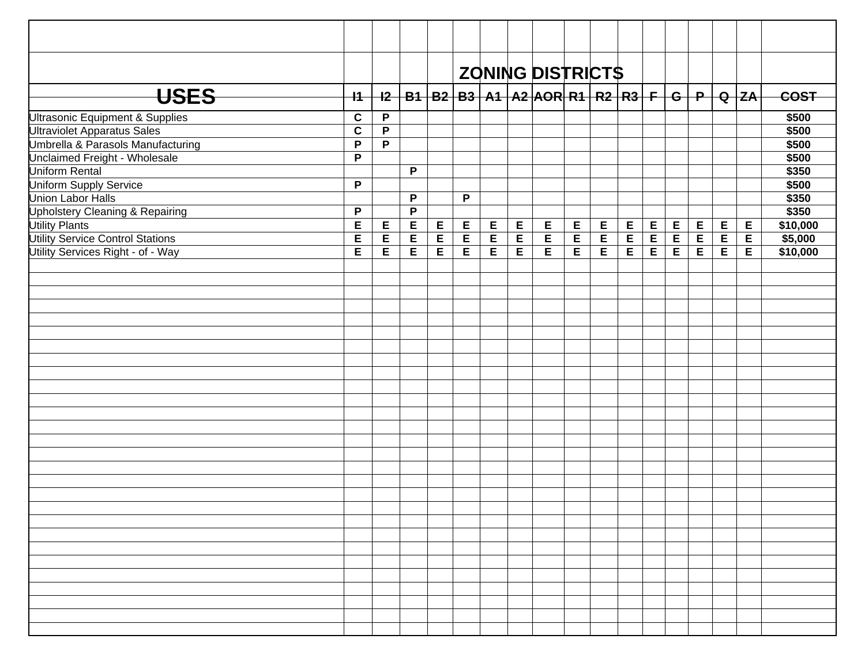|                                            |              |              |   |   |              |             |             | <b>ZONING DISTRICTS</b>                                                     |   |   |             |                |   |             |   |   |          |
|--------------------------------------------|--------------|--------------|---|---|--------------|-------------|-------------|-----------------------------------------------------------------------------|---|---|-------------|----------------|---|-------------|---|---|----------|
|                                            |              |              |   |   |              |             |             |                                                                             |   |   |             |                |   |             |   |   |          |
| <b>USES</b>                                | $+1$         |              |   |   |              |             |             | <u>I2   B1   B2   B3   A1   A2  AOR  R1   R2   R3   F   G   P   Q  ZA  </u> |   |   |             |                |   |             |   |   | COST     |
| Ultrasonic Equipment & Supplies            | $\mathbf c$  | $\mathsf{P}$ |   |   |              |             |             |                                                                             |   |   |             |                |   |             |   |   | \$500    |
| <b>Ultraviolet Apparatus Sales</b>         | $\mathbf c$  | P            |   |   |              |             |             |                                                                             |   |   |             |                |   |             |   |   | \$500    |
| Umbrella & Parasols Manufacturing          | P            | $\mathsf{P}$ |   |   |              |             |             |                                                                             |   |   |             |                |   |             |   |   | \$500    |
| Unclaimed Freight - Wholesale              | $\mathsf{P}$ |              |   |   |              |             |             |                                                                             |   |   |             |                |   |             |   |   | \$500    |
| Uniform Rental                             |              |              | P |   |              |             |             |                                                                             |   |   |             |                |   |             |   |   | \$350    |
| <b>Uniform Supply Service</b>              | $\mathsf{P}$ |              |   |   |              |             |             |                                                                             |   |   |             |                |   |             |   |   | \$500    |
| <b>Union Labor Halls</b>                   |              |              | P |   | $\mathsf{P}$ |             |             |                                                                             |   |   |             |                |   |             |   |   | \$350    |
| <b>Upholstery Cleaning &amp; Repairing</b> | $\mathsf{P}$ |              | P |   |              |             |             |                                                                             |   |   |             |                |   |             |   |   | \$350    |
| <b>Utility Plants</b>                      | E            | E            | E | E | $\mathsf E$  | $\mathsf E$ | E           | E                                                                           | E | E | E           | $\mathsf E$    | E | $\mathsf E$ | E | E | \$10,000 |
| <b>Utility Service Control Stations</b>    | E            | E            | E | E | $\mathsf E$  | E           | $\mathsf E$ | E                                                                           | E | E | $\mathsf E$ | $\overline{E}$ | E | $\mathsf E$ | E | E | \$5,000  |
| Utility Services Right - of - Way          | E            | E            | E | E | $\mathsf E$  | E           | E           | E                                                                           | E | E | E           | E              | E | $\mathsf E$ | E | E | \$10,000 |
|                                            |              |              |   |   |              |             |             |                                                                             |   |   |             |                |   |             |   |   |          |
|                                            |              |              |   |   |              |             |             |                                                                             |   |   |             |                |   |             |   |   |          |
|                                            |              |              |   |   |              |             |             |                                                                             |   |   |             |                |   |             |   |   |          |
|                                            |              |              |   |   |              |             |             |                                                                             |   |   |             |                |   |             |   |   |          |
|                                            |              |              |   |   |              |             |             |                                                                             |   |   |             |                |   |             |   |   |          |
|                                            |              |              |   |   |              |             |             |                                                                             |   |   |             |                |   |             |   |   |          |
|                                            |              |              |   |   |              |             |             |                                                                             |   |   |             |                |   |             |   |   |          |
|                                            |              |              |   |   |              |             |             |                                                                             |   |   |             |                |   |             |   |   |          |
|                                            |              |              |   |   |              |             |             |                                                                             |   |   |             |                |   |             |   |   |          |
|                                            |              |              |   |   |              |             |             |                                                                             |   |   |             |                |   |             |   |   |          |
|                                            |              |              |   |   |              |             |             |                                                                             |   |   |             |                |   |             |   |   |          |
|                                            |              |              |   |   |              |             |             |                                                                             |   |   |             |                |   |             |   |   |          |
|                                            |              |              |   |   |              |             |             |                                                                             |   |   |             |                |   |             |   |   |          |
|                                            |              |              |   |   |              |             |             |                                                                             |   |   |             |                |   |             |   |   |          |
|                                            |              |              |   |   |              |             |             |                                                                             |   |   |             |                |   |             |   |   |          |
|                                            |              |              |   |   |              |             |             |                                                                             |   |   |             |                |   |             |   |   |          |
|                                            |              |              |   |   |              |             |             |                                                                             |   |   |             |                |   |             |   |   |          |
|                                            |              |              |   |   |              |             |             |                                                                             |   |   |             |                |   |             |   |   |          |
|                                            |              |              |   |   |              |             |             |                                                                             |   |   |             |                |   |             |   |   |          |
|                                            |              |              |   |   |              |             |             |                                                                             |   |   |             |                |   |             |   |   |          |
|                                            |              |              |   |   |              |             |             |                                                                             |   |   |             |                |   |             |   |   |          |
|                                            |              |              |   |   |              |             |             |                                                                             |   |   |             |                |   |             |   |   |          |
|                                            |              |              |   |   |              |             |             |                                                                             |   |   |             |                |   |             |   |   |          |
|                                            |              |              |   |   |              |             |             |                                                                             |   |   |             |                |   |             |   |   |          |
|                                            |              |              |   |   |              |             |             |                                                                             |   |   |             |                |   |             |   |   |          |
|                                            |              |              |   |   |              |             |             |                                                                             |   |   |             |                |   |             |   |   |          |
|                                            |              |              |   |   |              |             |             |                                                                             |   |   |             |                |   |             |   |   |          |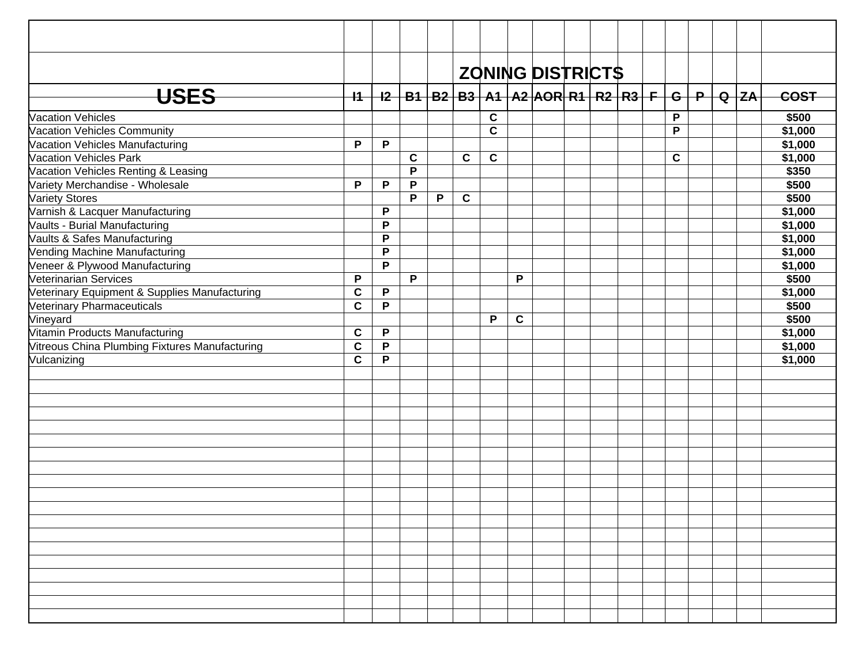|                                                |              |             |             |   |             |                |             |  | <b>ZONING DISTRICTS</b>                                                       |             |  |         |
|------------------------------------------------|--------------|-------------|-------------|---|-------------|----------------|-------------|--|-------------------------------------------------------------------------------|-------------|--|---------|
| <b>USES</b>                                    | $+1$         |             |             |   |             |                |             |  | <u>I2   B1   B2   B3   A1   A2  AOR  R1   R2   R3   F   G   P   Q   ZA   </u> |             |  | COST    |
| <b>Vacation Vehicles</b>                       |              |             |             |   |             | $\mathbf c$    |             |  |                                                                               | P           |  | \$500   |
| Vacation Vehicles Community                    |              |             |             |   |             | $\overline{c}$ |             |  |                                                                               | P           |  | \$1,000 |
| Vacation Vehicles Manufacturing                | P            | P           |             |   |             |                |             |  |                                                                               |             |  | \$1,000 |
| Vacation Vehicles Park                         |              |             | $\mathbf c$ |   | $\mathbf c$ | $\mathbf c$    |             |  |                                                                               | $\mathbf C$ |  | \$1,000 |
| Vacation Vehicles Renting & Leasing            |              |             | P           |   |             |                |             |  |                                                                               |             |  | \$350   |
| Variety Merchandise - Wholesale                | P            | P           | P           |   |             |                |             |  |                                                                               |             |  | \$500   |
| <b>Variety Stores</b>                          |              |             | P           | P | $\mathbf c$ |                |             |  |                                                                               |             |  | \$500   |
| Varnish & Lacquer Manufacturing                |              | P           |             |   |             |                |             |  |                                                                               |             |  | \$1,000 |
| Vaults - Burial Manufacturing                  |              | P           |             |   |             |                |             |  |                                                                               |             |  | \$1,000 |
| Vaults & Safes Manufacturing                   |              | P           |             |   |             |                |             |  |                                                                               |             |  | \$1,000 |
| Vending Machine Manufacturing                  |              | P           |             |   |             |                |             |  |                                                                               |             |  | \$1,000 |
| Veneer & Plywood Manufacturing                 |              | P           |             |   |             |                |             |  |                                                                               |             |  | \$1,000 |
| <b>Veterinarian Services</b>                   | $\mathsf{P}$ |             | P           |   |             |                | P           |  |                                                                               |             |  | \$500   |
| Veterinary Equipment & Supplies Manufacturing  | $\mathbf c$  | P           |             |   |             |                |             |  |                                                                               |             |  | \$1,000 |
| Veterinary Pharmaceuticals                     | $\mathbf c$  | P           |             |   |             |                |             |  |                                                                               |             |  | \$500   |
| Vineyard                                       |              |             |             |   |             | P              | $\mathbf c$ |  |                                                                               |             |  | \$500   |
| Vitamin Products Manufacturing                 | $\mathbf c$  | P           |             |   |             |                |             |  |                                                                               |             |  | \$1,000 |
| Vitreous China Plumbing Fixtures Manufacturing | $\mathbf C$  | P           |             |   |             |                |             |  |                                                                               |             |  | \$1,000 |
| Vulcanizing                                    | $\mathbf c$  | $\mathsf P$ |             |   |             |                |             |  |                                                                               |             |  | \$1,000 |
|                                                |              |             |             |   |             |                |             |  |                                                                               |             |  |         |
|                                                |              |             |             |   |             |                |             |  |                                                                               |             |  |         |
|                                                |              |             |             |   |             |                |             |  |                                                                               |             |  |         |
|                                                |              |             |             |   |             |                |             |  |                                                                               |             |  |         |
|                                                |              |             |             |   |             |                |             |  |                                                                               |             |  |         |
|                                                |              |             |             |   |             |                |             |  |                                                                               |             |  |         |
|                                                |              |             |             |   |             |                |             |  |                                                                               |             |  |         |
|                                                |              |             |             |   |             |                |             |  |                                                                               |             |  |         |
|                                                |              |             |             |   |             |                |             |  |                                                                               |             |  |         |
|                                                |              |             |             |   |             |                |             |  |                                                                               |             |  |         |
|                                                |              |             |             |   |             |                |             |  |                                                                               |             |  |         |
|                                                |              |             |             |   |             |                |             |  |                                                                               |             |  |         |
|                                                |              |             |             |   |             |                |             |  |                                                                               |             |  |         |
|                                                |              |             |             |   |             |                |             |  |                                                                               |             |  |         |
|                                                |              |             |             |   |             |                |             |  |                                                                               |             |  |         |
|                                                |              |             |             |   |             |                |             |  |                                                                               |             |  |         |
|                                                |              |             |             |   |             |                |             |  |                                                                               |             |  |         |
|                                                |              |             |             |   |             |                |             |  |                                                                               |             |  |         |
|                                                |              |             |             |   |             |                |             |  |                                                                               |             |  |         |